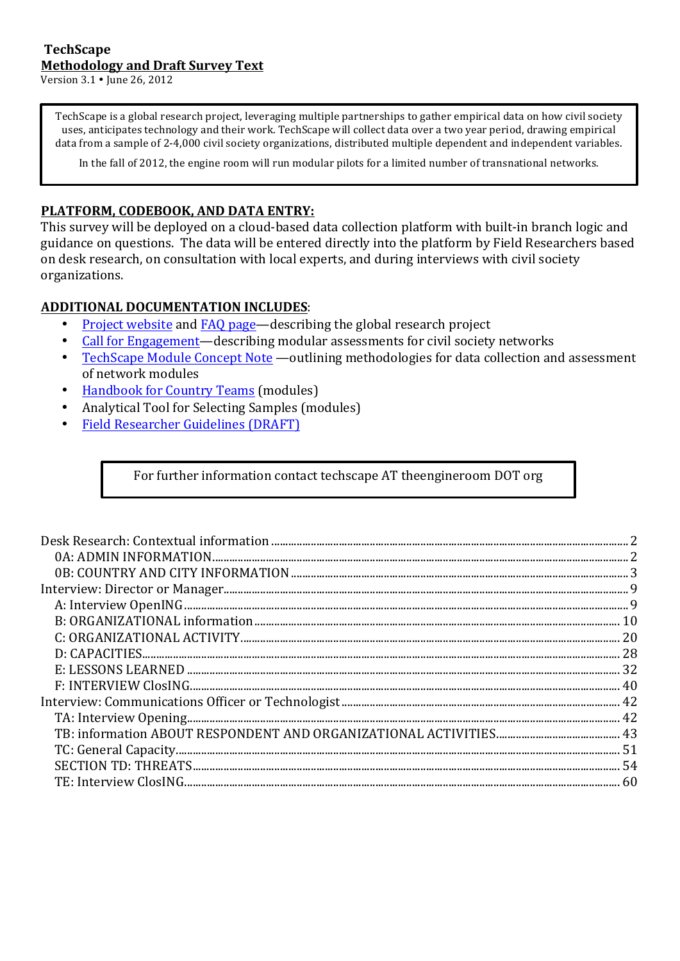### **TechScape Methodology and Draft Survey Text**

Version 3.1 . June 26, 2012

TechScape is a global research project, leveraging multiple partnerships to gather empirical data on how civil society uses, anticipates technology and their work. TechScape will collect data over a two year period, drawing empirical data from a sample of 2-4,000 civil society organizations, distributed multiple dependent and independent variables.

In the fall of 2012, the engine room will run modular pilots for a limited number of transnational networks.

### PLATFORM, CODEBOOK, AND DATA ENTRY:

This survey will be deployed on a cloud-based data collection platform with built-in branch logic and guidance on questions. The data will be entered directly into the platform by Field Researchers based on desk research, on consultation with local experts, and during interviews with civil society organizations.(

### **ADDITIONAL!DOCUMENTATION!INCLUDES**:

- Project website and FAQ page—describing the global research project
- Call for Engagement—describing modular assessments for civil society networks
- TechScape Module Concept Note —outlining methodologies for data collection and assessment of network modules
- **Handbook for Country Teams (modules)**
- Analytical Tool for Selecting Samples (modules)
- Field Researcher Guidelines (DRAFT)

For further information contact techscape AT theengineroom DOT org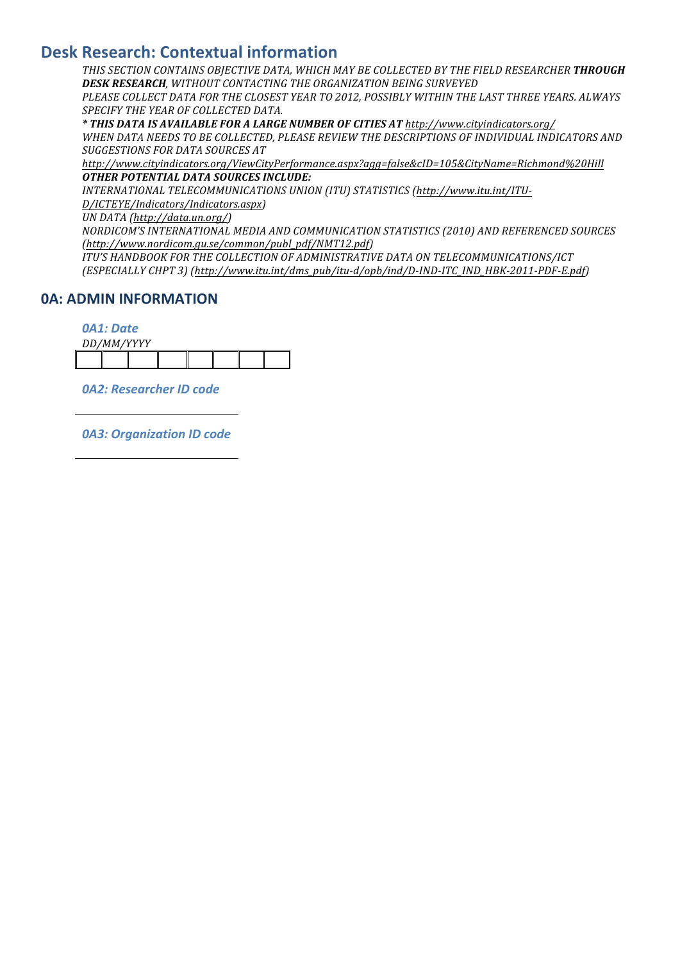# **Desk Research: Contextual information**

*THIS%SECTION%CONTAINS%OBJECTIVE%DATA,%WHICH%MAY%BE%COLLECTED BY%THE%FIELD%RESEARCHER%THROUGH' DESK'RESEARCH,%WITHOUT%CONTACTING THE%ORGANIZATION%BEING%SURVEYED PLEASE%COLLECT%DATA%FOR%THE%CLOSEST%YEAR TO%2012,%POSSIBLY%WITHIN%THE%LAST%THREE%YEARS.%ALWAYS%*

*SPECIFY%THE%YEAR%OF%COLLECTED%DATA.*

*\*'THIS'DATA'IS'AVAILABLE'FOR'A'LARGE'NUMBER'OF'CITIES'AT http://www.cityindicators.org/*

WHEN DATA NEEDS TO BE COLLECTED, PLEASE REVIEW THE DESCRIPTIONS OF INDIVIDUAL INDICATORS AND *SUGGESTIONS%FOR%DATA SOURCES%AT%*

*http://www.cityindicators.org/ViewCityPerformance.aspx?agg=false&cID=105&CityName=Richmond%20Hill OTHER'POTENTIAL'DATA SOURCES'INCLUDE:*

*INTERNATIONAL%TELECOMMUNICATIONS%UNION%(ITU)%STATISTICS%(http://www.itu.int/ITU[*

*D/ICTEYE/Indicators/Indicators.aspx)%*

*UN%DATA%(http://data.un.org/)*

*NORDICOM'S%INTERNATIONAL%MEDIA%AND%COMMUNICATION%STATISTICS%(2010)%AND%REFERENCED%SOURCES% (http://www.nordicom.gu.se/common/publ\_pdf/NMT12.pdf)%*

*ITU'S%HANDBOOK%FOR%THE%COLLECTION%OF%ADMINISTRATIVE%DATA%ON%TELECOMMUNICATIONS/ICT% (ESPECIALLY CHPT 3) (http://www.itu.int/dms\_pub/itu-d/opb/ind/D-IND-ITC\_IND\_HBK-2011-PDF-E.pdf)* 

### **0A: ADMIN INFORMATION**

*0A1:%Date*

| DD/MM/VVVV |  |  |  |
|------------|--|--|--|
|            |  |  |  |

*0A2:%Researcher%ID%code*

0A3: Organization ID code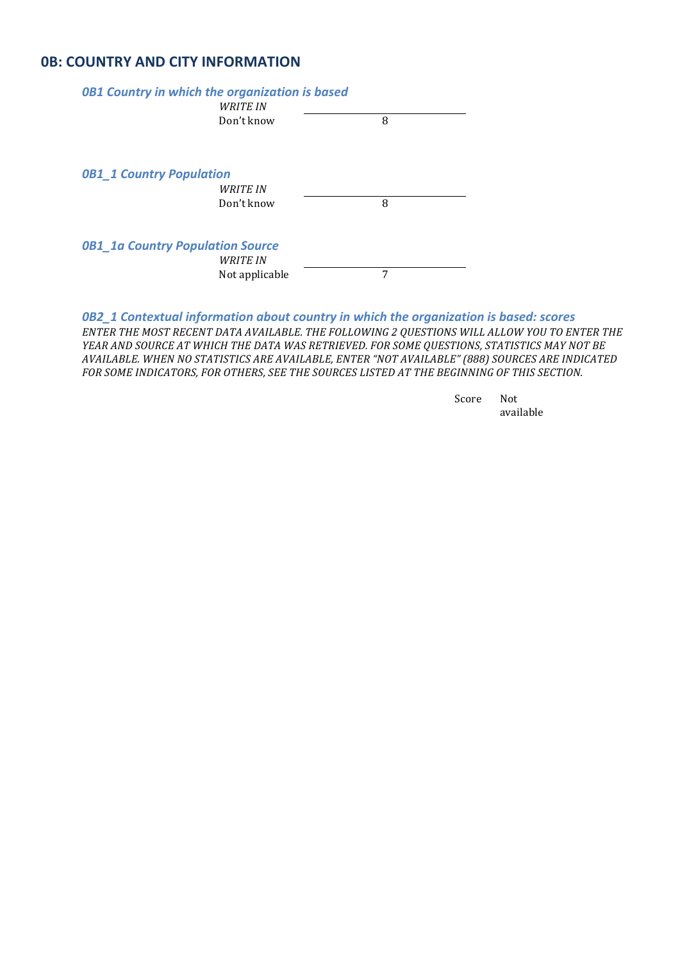### **0B: COUNTRY AND CITY INFORMATION**

| <b>0B1 Country in which the organization is based</b> | <b>WRITE IN</b> |   |
|-------------------------------------------------------|-----------------|---|
|                                                       | Don't know      | 8 |
| <b>0B1_1 Country Population</b>                       |                 |   |
|                                                       | <b>WRITE IN</b> |   |
|                                                       | Don't know      | 8 |
| <b>0B1 1a Country Population Source</b>               |                 |   |
|                                                       | <b>WRITE IN</b> |   |
|                                                       | Not applicable  | 7 |

0B2\_1 Contextual information about country in which the organization is based: scores *ENTER%THE%MOST%RECENT%DATA%AVAILABLE.%THE%FOLLOWING%2%QUESTIONS%WILL%ALLOW%YOU%TO%ENTER%THE%* YEAR AND SOURCE AT WHICH THE DATA WAS RETRIEVED. FOR SOME QUESTIONS, STATISTICS MAY NOT BE *AVAILABLE.%WHEN%NO%STATISTICS%ARE%AVAILABLE,%ENTER%"NOT%AVAILABLE"%(888) SOURCES%ARE%INDICATED%* FOR SOME INDICATORS, FOR OTHERS, SEE THE SOURCES LISTED AT THE BEGINNING OF THIS SECTION.

> Score Not available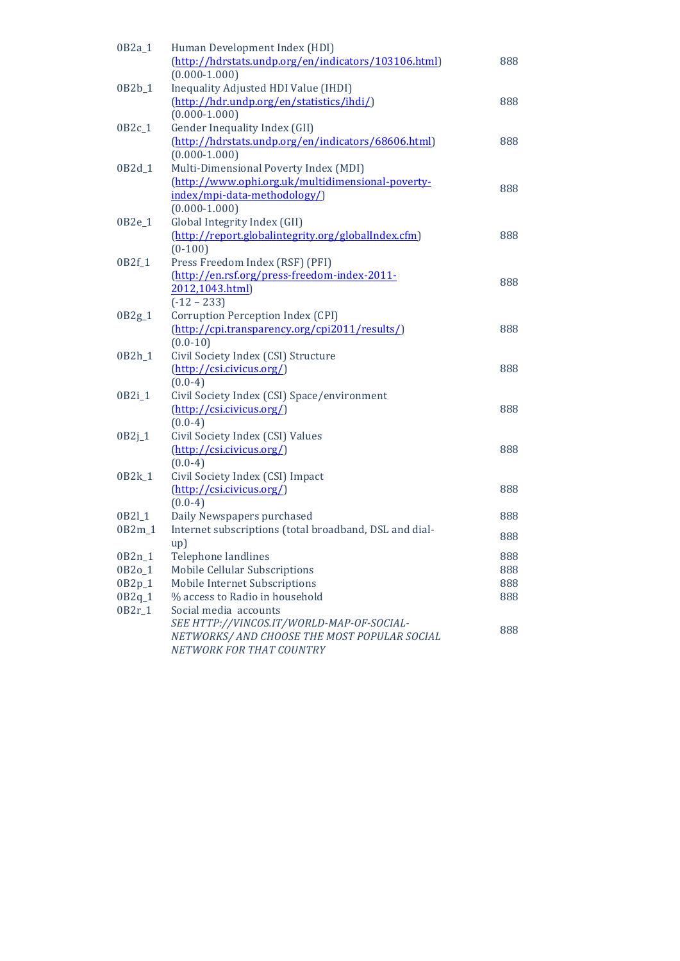| 0B2a_1   | Human Development Index (HDI)<br>(http://hdrstats.undp.org/en/indicators/103106.html) | 888        |
|----------|---------------------------------------------------------------------------------------|------------|
|          | $(0.000 - 1.000)$                                                                     |            |
| 0B2b_1   | Inequality Adjusted HDI Value (IHDI)                                                  | 888        |
|          | (http://hdr.undp.org/en/statistics/ihdi/)<br>$(0.000 - 1.000)$                        |            |
| $0B2c_1$ | Gender Inequality Index (GII)                                                         |            |
|          | (http://hdrstats.undp.org/en/indicators/68606.html)                                   | 888        |
|          | $(0.000 - 1.000)$                                                                     |            |
| 0B2d_1   | Multi-Dimensional Poverty Index (MDI)                                                 |            |
|          | (http://www.ophi.org.uk/multidimensional-poverty-                                     | 888        |
|          | index/mpi-data-methodology/)                                                          |            |
|          | $(0.000 - 1.000)$                                                                     |            |
| 0B2e_1   | Global Integrity Index (GII)                                                          |            |
|          | (http://report.globalintegrity.org/globalIndex.cfm)                                   | 888        |
|          | $(0-100)$                                                                             |            |
| $0B2f_1$ | Press Freedom Index (RSF) (PFI)                                                       |            |
|          | (http://en.rsf.org/press-freedom-index-2011-                                          | 888        |
|          | 2012,1043.html)                                                                       |            |
| $0B2g_1$ | $(-12 - 233)$<br>Corruption Perception Index (CPI)                                    |            |
|          | (http://cpi.transparency.org/cpi2011/results/)                                        | 888        |
|          | $(0.0 - 10)$                                                                          |            |
| 0B2h_1   | Civil Society Index (CSI) Structure                                                   |            |
|          | $(\frac{http://csicivicus.org/}{$                                                     | 888        |
|          | $(0.0-4)$                                                                             |            |
| 0B2i_1   | Civil Society Index (CSI) Space/environment                                           |            |
|          | (http://csi.civicus.org/)                                                             | 888        |
|          | $(0.0-4)$                                                                             |            |
| $0B2j_1$ | Civil Society Index (CSI) Values                                                      |            |
|          | $(\frac{http://csicivicus.org/}{$                                                     | 888        |
|          | $(0.0-4)$                                                                             |            |
| 0B2k_1   | Civil Society Index (CSI) Impact                                                      |            |
|          | (http://csi.civicus.org/)                                                             | 888        |
|          | $(0.0-4)$                                                                             |            |
| 0B2l_1   | Daily Newspapers purchased                                                            | 888        |
| $0B2m_1$ | Internet subscriptions (total broadband, DSL and dial-                                | 888        |
| $0B2n_1$ | up)<br>Telephone landlines                                                            |            |
| 0B2o_1   | <b>Mobile Cellular Subscriptions</b>                                                  | 888<br>888 |
| $0B2p_1$ | Mobile Internet Subscriptions                                                         | 888        |
| $0B2q_1$ | % access to Radio in household                                                        | 888        |
| $0B2r_1$ | Social media accounts                                                                 |            |
|          | SEE HTTP://VINCOS.IT/WORLD-MAP-OF-SOCIAL-                                             |            |
|          | NETWORKS/ AND CHOOSE THE MOST POPULAR SOCIAL                                          | 888        |
|          | NETWORK FOR THAT COUNTRY                                                              |            |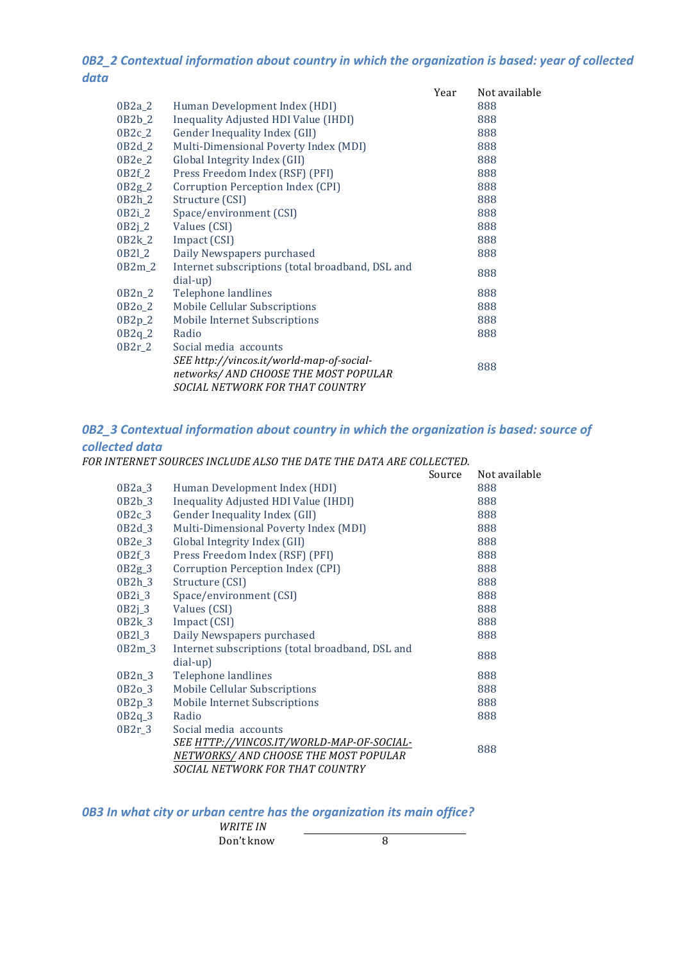### 0B2\_2 Contextual information about country in which the organization is based: year of collected *data*

|                                                                                                                                                | Year | Not available |
|------------------------------------------------------------------------------------------------------------------------------------------------|------|---------------|
| Human Development Index (HDI)                                                                                                                  |      | 888           |
| Inequality Adjusted HDI Value (IHDI)                                                                                                           |      | 888           |
| $0B2c_2$<br>Gender Inequality Index (GII)                                                                                                      |      | 888           |
| Multi-Dimensional Poverty Index (MDI)                                                                                                          |      | 888           |
| Global Integrity Index (GII)                                                                                                                   |      | 888           |
| Press Freedom Index (RSF) (PFI)                                                                                                                |      | 888           |
| Corruption Perception Index (CPI)                                                                                                              |      | 888           |
| $0B2h_2$<br>Structure (CSI)                                                                                                                    |      | 888           |
| Space/environment (CSI)<br>$0B2i_2$                                                                                                            |      | 888           |
| 0B2j <sub>-</sub> 2 Values (CSI)                                                                                                               |      | 888           |
| 0B2k <sub>2</sub> Impact (CSI)                                                                                                                 |      | 888           |
| Daily Newspapers purchased                                                                                                                     |      | 888           |
| Internet subscriptions (total broadband, DSL and<br>$0B2m_2$<br>$dial-up)$                                                                     |      | 888           |
| Telephone landlines                                                                                                                            |      | 888           |
| Mobile Cellular Subscriptions                                                                                                                  |      | 888           |
| <b>Mobile Internet Subscriptions</b>                                                                                                           |      | 888           |
| Radio                                                                                                                                          |      | 888           |
| Social media accounts<br>SEE http://vincos.it/world-map-of-social-<br>networks/ AND CHOOSE THE MOST POPULAR<br>SOCIAL NETWORK FOR THAT COUNTRY |      | 888           |
|                                                                                                                                                |      |               |

# 0B2\_3 Contextual information about country in which the organization is based: source of *collected%data*

*FOR%INTERNET%SOURCES INCLUDE%ALSO%THE%DATE%THE%DATA%ARE%COLLECTED.*

|          |                                                              | Source | Not available |
|----------|--------------------------------------------------------------|--------|---------------|
| 0B2a_3   | Human Development Index (HDI)                                |        | 888           |
| $0B2b_3$ | Inequality Adjusted HDI Value (IHDI)                         |        | 888           |
| $0B2c_3$ | Gender Inequality Index (GII)                                |        | 888           |
| $0B2d_3$ | Multi-Dimensional Poverty Index (MDI)                        |        | 888           |
| $0B2e_3$ | Global Integrity Index (GII)                                 |        | 888           |
| $0B2f_3$ | Press Freedom Index (RSF) (PFI)                              |        | 888           |
| $0B2g_3$ | Corruption Perception Index (CPI)                            |        | 888           |
| $0B2h_3$ | Structure (CSI)                                              |        | 888           |
| $0B2i_3$ | Space/environment (CSI)                                      |        | 888           |
| $OB2j_3$ | Values (CSI)                                                 |        | 888           |
| $0B2k_3$ | Impact (CSI)                                                 |        | 888           |
| 0B21_3   | Daily Newspapers purchased                                   |        | 888           |
| $0B2m_3$ | Internet subscriptions (total broadband, DSL and<br>dial-up) |        | 888           |
| $0B2n_3$ | Telephone landlines                                          |        | 888           |
| $0B2o_3$ | <b>Mobile Cellular Subscriptions</b>                         |        | 888           |
| $0B2p_3$ | <b>Mobile Internet Subscriptions</b>                         |        | 888           |
| $0B2q_3$ | Radio                                                        |        | 888           |
| $0B2r_3$ | Social media accounts                                        |        |               |
|          | SEE HTTP://VINCOS.IT/WORLD-MAP-OF-SOCIAL-                    |        |               |
|          | NETWORKS/ AND CHOOSE THE MOST POPULAR                        |        | 888           |
|          | SOCIAL NETWORK FOR THAT COUNTRY                              |        |               |

0B3 In what city or urban centre has the organization its main office?

| <b>WRITE IN</b> |  |
|-----------------|--|
| Don't know      |  |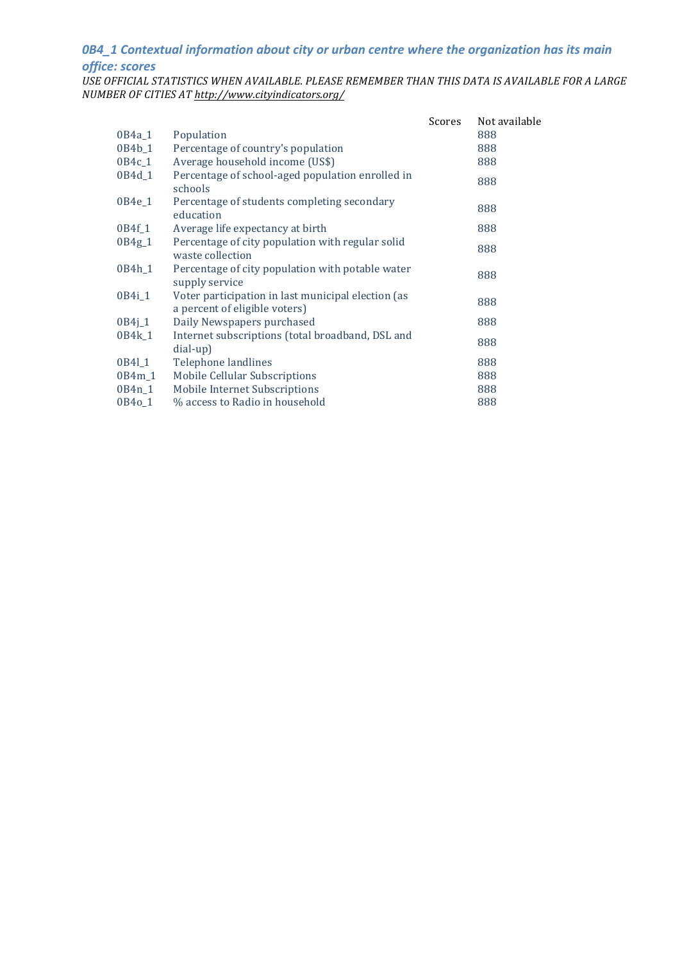# 0B4\_1 Contextual information about city or urban centre where the organization has its main

# *office:%scores*

*USE%OFFICIAL%STATISTICS%WHEN%AVAILABLE.%PLEASE%REMEMBER%THAN THIS%DATA%IS%AVAILABLE%FOR%A%LARGE% NUMBER%OF%CITIES%AT%http://www.cityindicators.org/*

|                   |                                                                                     | Scores | Not available |
|-------------------|-------------------------------------------------------------------------------------|--------|---------------|
| 0B4a_1            | Population                                                                          |        | 888           |
| 0B4b_1            | Percentage of country's population                                                  |        | 888           |
| $0B4c_1$          | Average household income (US\$)                                                     |        | 888           |
| 0B4d_1            | Percentage of school-aged population enrolled in<br>schools                         |        | 888           |
| $0B4e_1$          | Percentage of students completing secondary<br>education                            |        | 888           |
| 0B4f 1            | Average life expectancy at birth                                                    |        | 888           |
| 0B4g_1            | Percentage of city population with regular solid<br>waste collection                |        | 888           |
| 0B4h_1            | Percentage of city population with potable water<br>supply service                  |        | 888           |
| 0B4i 1            | Voter participation in last municipal election (as<br>a percent of eligible voters) |        | 888           |
| $0B4j_1$          | Daily Newspapers purchased                                                          |        | 888           |
| 0B4k_1            | Internet subscriptions (total broadband, DSL and<br>$dial-up)$                      |        | 888           |
| 0B41 <sub>1</sub> | Telephone landlines                                                                 |        | 888           |
| 0B4m_1            | <b>Mobile Cellular Subscriptions</b>                                                |        | 888           |
| $0B4n_1$          | Mobile Internet Subscriptions                                                       |        | 888           |
| 0B4o <sub>1</sub> | % access to Radio in household                                                      |        | 888           |
|                   |                                                                                     |        |               |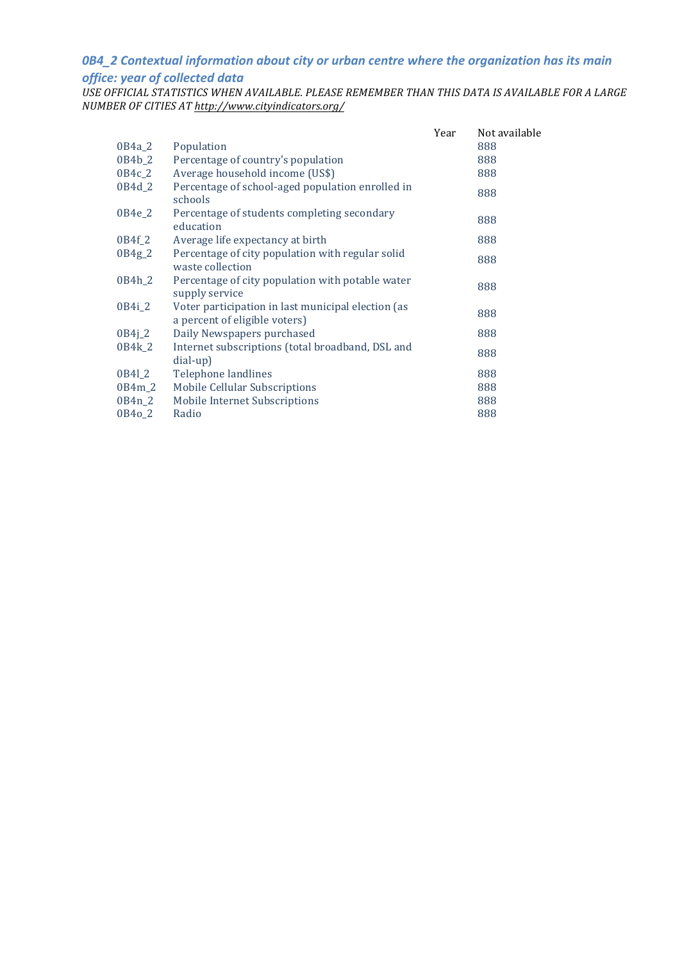# 0B4\_2 Contextual information about city or urban centre where the organization has its main **office: year of collected data**

*USE%OFFICIAL%STATISTICS%WHEN%AVAILABLE.%PLEASE%REMEMBER%THAN THIS%DATA%IS%AVAILABLE%FOR%A%LARGE% NUMBER%OF%CITIES%AT%http://www.cityindicators.org/*

|                    |                                                                                     | Year | Not available |
|--------------------|-------------------------------------------------------------------------------------|------|---------------|
| 0B4a_2             | Population                                                                          |      | 888           |
| 0B4b <sub>-2</sub> | Percentage of country's population                                                  |      | 888           |
| $0B4c_2$           | Average household income (US\$)                                                     |      | 888           |
| 0B4d <sub>2</sub>  | Percentage of school-aged population enrolled in<br>schools                         |      | 888           |
| 0B4e 2             | Percentage of students completing secondary<br>education                            |      | 888           |
| 0B4f_2             | Average life expectancy at birth                                                    |      | 888           |
| $0B4g_2$           | Percentage of city population with regular solid<br>waste collection                |      | 888           |
| 0B4h_2             | Percentage of city population with potable water<br>supply service                  |      | 888           |
| 0B4i 2             | Voter participation in last municipal election (as<br>a percent of eligible voters) |      | 888           |
| $0B4j_2$           | Daily Newspapers purchased                                                          |      | 888           |
| 0B4k_2             | Internet subscriptions (total broadband, DSL and<br>$dial-up)$                      |      | 888           |
| 0B41 2             | Telephone landlines                                                                 |      | 888           |
| $0B4m_2$           | <b>Mobile Cellular Subscriptions</b>                                                |      | 888           |
| $0B4n_2$           | Mobile Internet Subscriptions                                                       |      | 888           |
| 0B4o_2             | Radio                                                                               |      | 888           |
|                    |                                                                                     |      |               |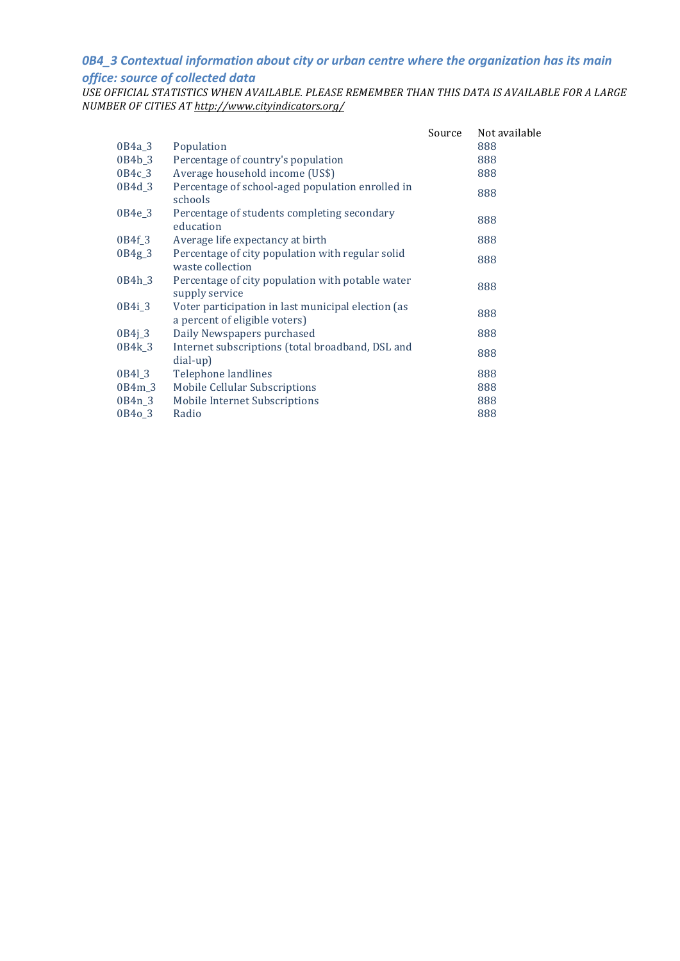## 0B4\_3 Contextual information about city or urban centre where the organization has its main **office: source of collected data**

*USE%OFFICIAL%STATISTICS%WHEN%AVAILABLE.%PLEASE%REMEMBER%THAN THIS%DATA%IS%AVAILABLE%FOR%A%LARGE% NUMBER%OF%CITIES%AT%http://www.cityindicators.org/*

| Source | Not available |
|--------|---------------|
|        | 888           |
|        | 888           |
|        | 888           |
|        | 888           |
|        | 888           |
|        | 888           |
|        | 888           |
|        | 888           |
|        | 888           |
|        | 888           |
|        | 888           |
|        | 888           |
|        | 888           |
|        | 888           |
|        | 888           |
|        |               |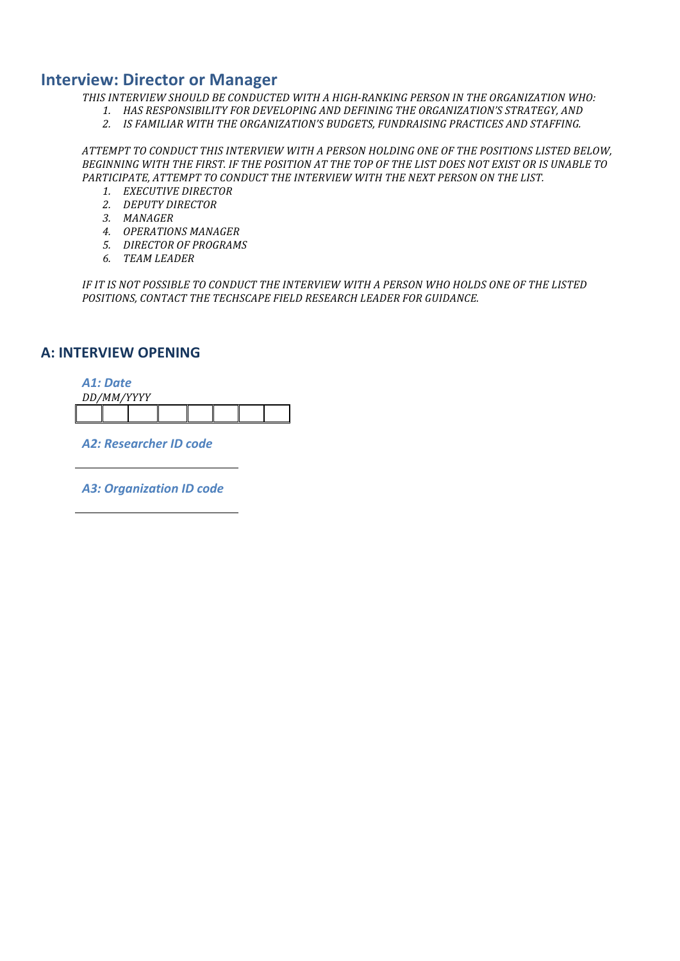# **Interview: Director or Manager**

THIS INTERVIEW SHOULD BE CONDUCTED WITH A HIGH-RANKING PERSON IN THE ORGANIZATION WHO:

- 1. HAS RESPONSIBILITY FOR DEVELOPING AND DEFINING THE ORGANIZATION'S STRATEGY, AND
- 2. IS FAMILIAR WITH THE ORGANIZATION'S BUDGETS, FUNDRAISING PRACTICES AND STAFFING.

*ATTEMPT%TO%CONDUCT%THIS%INTERVIEW%WITH%A PERSON%HOLDING%ONE%OF%THE%POSITIONS%LISTED%BELOW,% BEGINNING%WITH%THE%FIRST.%IF%THE%POSITION%AT%THE%TOP%OF%THE%LIST%DOES%NOT%EXIST%OR IS%UNABLE%TO%* PARTICIPATE, ATTEMPT TO CONDUCT THE INTERVIEW WITH THE NEXT PERSON ON THE LIST.

- 1. **EXECUTIVE DIRECTOR**
- 2. *DEPUTY DIRECTOR*
- *3. MANAGER*
- **4. OPERATIONS MANAGER**
- 5. **DIRECTOR OF PROGRAMS**
- *6. TEAM%LEADER*

*IF%IT%IS%NOT%POSSIBLE%TO%CONDUCT%THE%INTERVIEW%WITH%A%PERSON WHO HOLDS%ONE%OF%THE%LISTED% POSITIONS,%CONTACT%THE%TECHSCAPE%FIELD%RESEARCH%LEADER%FOR%GUIDANCE.*

### **A:%INTERVIEW%OPENING**

*A1:%Date*

| DD/MM/VVVV |  |  |  |  |  |  |  |  |  |  |
|------------|--|--|--|--|--|--|--|--|--|--|
|            |  |  |  |  |  |  |  |  |  |  |

*A2:%Researcher%ID%code*

A3: Organization ID code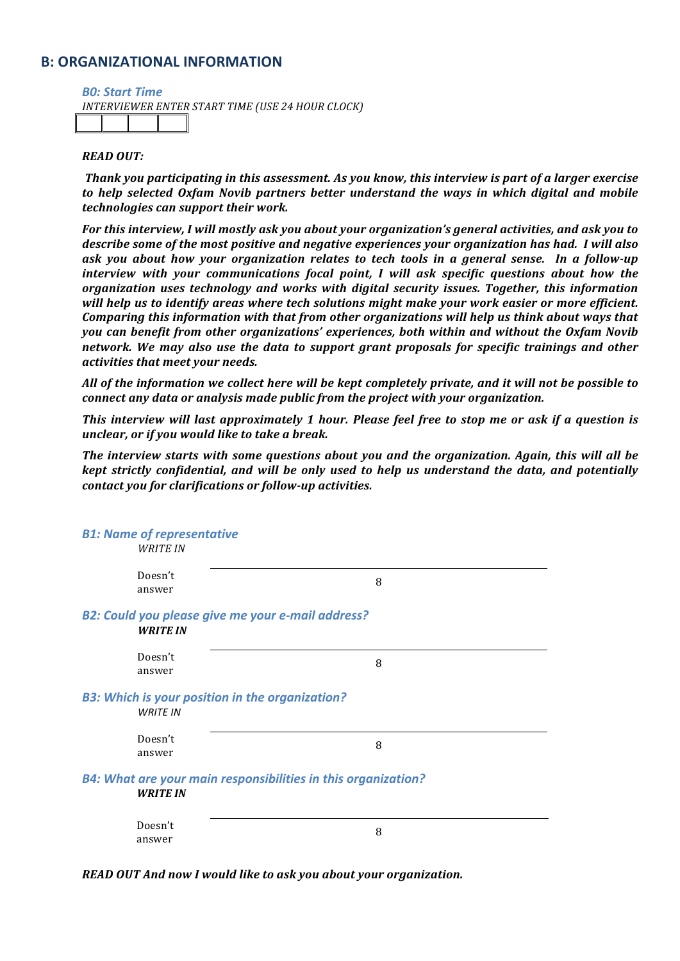### **B: ORGANIZATIONAL INFORMATION**

*B0: Start Time* 

|  |  | <b>INTERVIEWER ENTER START TIME (USE 24 HOUR CLOCK)</b> |  |  |  |
|--|--|---------------------------------------------------------|--|--|--|
|  |  |                                                         |  |  |  |

### *READ'OUT:*

*Thank'you'participating'in'this'assessment.'As'you'know,'this'interview'is'part'of'a'larger'exercise' to' help' selected' Oxfam' Novib' partners' better' understand' the' ways' in' which' digital' and' mobile'* technologies can support their work.

*For'this'interview,'I'will'mostly'ask'you'about'your'organization's'general'activities,'and'ask'you'to' describe'some'of'the'most'positive'and'negative'experiences'your'organization'has'had.''I'will'also'*  $ask$  *you about how your organization relates to tech tools in a general sense. In a follow-up* interview with your communications focal point, I will ask specific questions about how the *organization' uses' technology' and' works' with' digital' security' issues.' Together,' this' information' will'help'us'to'identify'areas'where'tech'solutions might'make'your'work'easier'or'more'efficient.' Comparing'this'information'with'that'from'other'organizations'will'help'us'think'about'ways'that' you'can'benefit' from'other'organizations''experiences,'both'within'and'without' the'Oxfam'Novib' network.' We' may' also' use' the' data' to' support' grant' proposals' for' specific' trainings' and' other' activities that meet your needs.* 

*All'of'the'information'we'collect'here'will'be'kept'completely'private,'and'it'will'not'be'possible'to'* connect any data or analysis made public from the project with your organization.

*This' interview' will'last' approximately' 1' hour.' Please' feel' free' to' stop'me' or' ask' if' a' question' is' unclear,'or'if'you'would'like'to'take'a'break.'*

The interview starts with some questions about you and the organization. Again, this will all be *kept strictly confidential, and will be only used to help us understand the data, and potentially contact you for clarifications or follow-up activities.* 

| <b>B1: Name of representative</b><br><b>WRITE IN</b>                        |                                                                      |
|-----------------------------------------------------------------------------|----------------------------------------------------------------------|
| Doesn't<br>answer                                                           | 8                                                                    |
| <b>B2: Could you please give me your e-mail address?</b><br><b>WRITE IN</b> |                                                                      |
| Doesn't<br>answer                                                           | 8                                                                    |
| <b>B3: Which is your position in the organization?</b><br><b>WRITE IN</b>   |                                                                      |
| Doesn't<br>answer                                                           | 8                                                                    |
| <b>WRITE IN</b>                                                             | <b>B4: What are your main responsibilities in this organization?</b> |
| Doesn't<br>answer                                                           | 8                                                                    |

*READ'OUT'And'now'I'would'like'to'ask'you'about'your'organization.*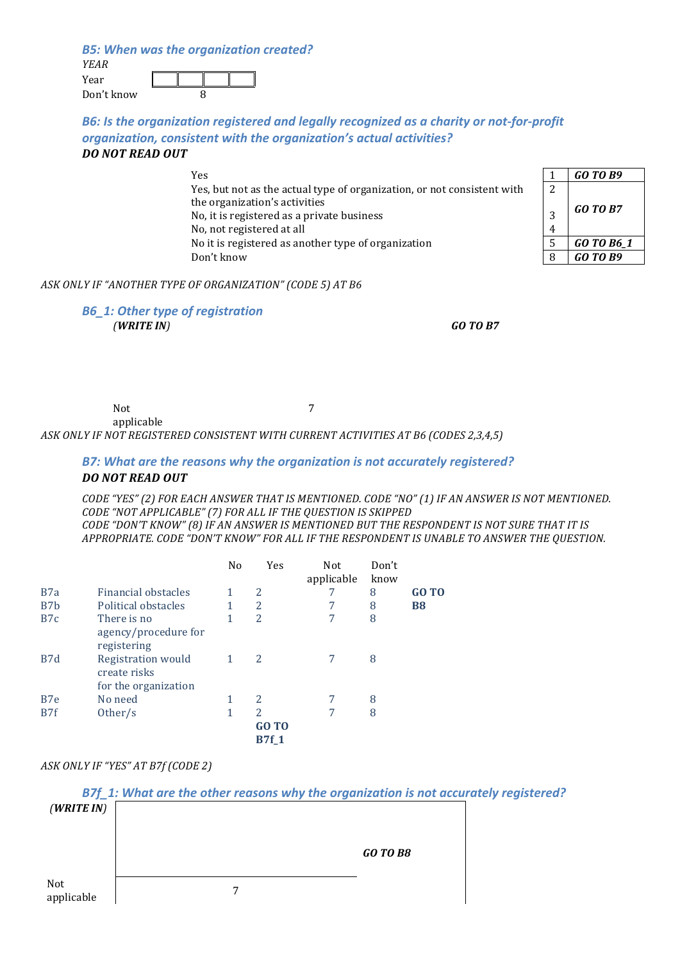**B5: When was the organization created?** 

*YEAR* Year Don't know 8

*B6: Is the organization registered and legally recognized as a charity or not-for-profit organization,%consistent%with%the%organization's%actual%activities?%*

#### *DO'NOT'READ'OUT'*

| Yes                                                                     |                | <b>GO TO B9</b>   |
|-------------------------------------------------------------------------|----------------|-------------------|
| Yes, but not as the actual type of organization, or not consistent with | $\overline{c}$ |                   |
| the organization's activities                                           |                | <b>GO TO B7</b>   |
| No, it is registered as a private business                              |                |                   |
| No, not registered at all                                               | $\overline{4}$ |                   |
| No it is registered as another type of organization                     |                | <b>GO TO B6_1</b> |
| Don't know                                                              |                | <b>GO TO B9</b>   |

|                | GO TO R9   |
|----------------|------------|
| $\overline{c}$ |            |
|                |            |
| 3              | GO TO B7   |
| -<br>4         |            |
| 5              | GO TO B6 1 |
|                | O TO R9    |

ASK ONLY IF "ANOTHER TYPE OF ORGANIZATION" (CODE 5) AT B6

**B6\_1: Other type of registration** *(WRITE'IN) GO'TO'B7*

Not<sub>(Not</sub> applicable

ASK ONLY IF NOT REGISTERED CONSISTENT WITH CURRENT ACTIVITIES AT B6 (CODES 2,3,4,5)

### **B7: What are the reasons why the organization is not accurately registered?** *DONOT READ OUT*

7

CODE "YES" (2) FOR EACH ANSWER THAT IS MENTIONED. CODE "NO" (1) IF AN ANSWER IS NOT MENTIONED. *CODE%"NOT%APPLICABLE"%(7)%FOR%ALL%IF%THE QUESTION%IS%SKIPPED* CODE "DON'T KNOW" (8) IF AN ANSWER IS MENTIONED BUT THE RESPONDENT IS NOT SURE THAT IT IS *APPROPRIATE.%CODE%"DON'T%KNOW"%FOR%ALL%IF%THE%RESPONDENT%IS%UNABLE%TO%ANSWER%THE QUESTION.*

|                  |                                                            | N <sub>o</sub> | Yes                                     | <b>Not</b><br>applicable | Don't<br>know |              |
|------------------|------------------------------------------------------------|----------------|-----------------------------------------|--------------------------|---------------|--------------|
| B <sub>7</sub> a | <b>Financial obstacles</b>                                 | 1              | 2                                       | 7                        | 8             | <b>GO TO</b> |
| B7h              | Political obstacles                                        |                | $\overline{2}$                          | 7                        | 8             | <b>B8</b>    |
| B <sub>7</sub> c | There is no<br>agency/procedure for<br>registering         | 1              | $\overline{2}$                          | 7                        | 8             |              |
| B7d              | Registration would<br>create risks<br>for the organization |                | 2                                       | 7                        | 8             |              |
| B7e              | No need                                                    |                | 2                                       | 7                        | 8             |              |
| B <sub>7f</sub>  | Other/s                                                    | 1              | $\overline{2}$<br>GO TO<br><b>B7f</b> 1 | 7                        | 8             |              |

### *ASK%ONLY%IF%"YES"%AT B7f (CODE%2)*

|                   | B7f 1: What are the other reasons why the organization is not accurately registered? |          |  |
|-------------------|--------------------------------------------------------------------------------------|----------|--|
| (WRITEIN)         |                                                                                      |          |  |
|                   |                                                                                      | GO TO B8 |  |
| Not<br>applicable |                                                                                      |          |  |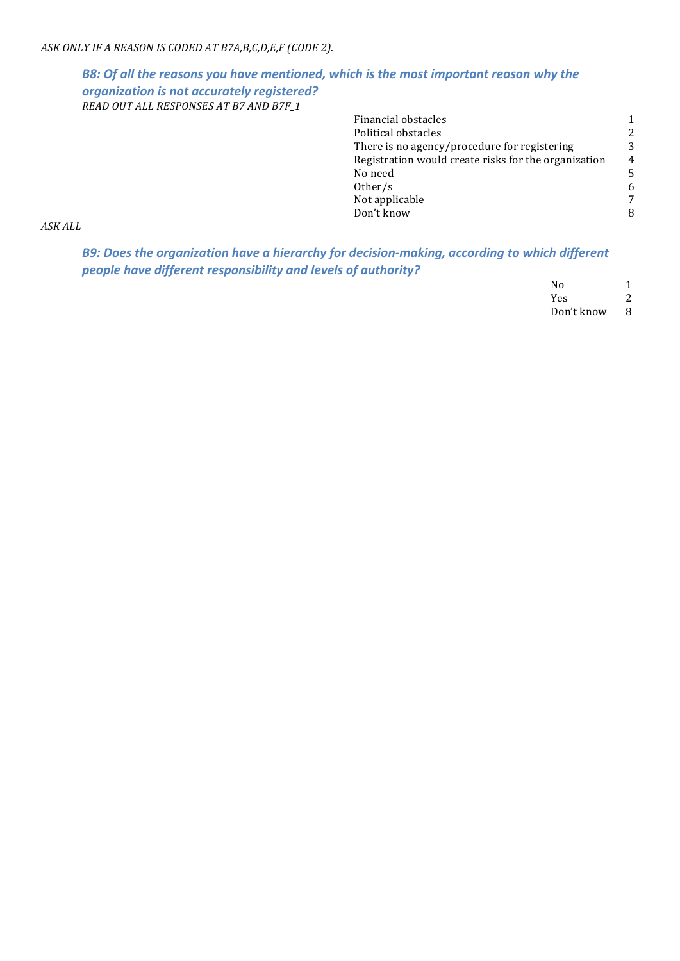ASK ONLY IF A REASON IS CODED AT B7A,B,C,D,E,F (CODE 2).

### *B8: Of all the reasons you have mentioned, which is the most important reason why the* **organization is not accurately registered?** *READ%OUT%ALL%RESPONSES%AT%B7%AND%B7F\_1*

| Financial obstacles                                  | 1 |
|------------------------------------------------------|---|
| Political obstacles                                  | 2 |
| There is no agency/procedure for registering         | 3 |
| Registration would create risks for the organization | 4 |
| No need                                              | 5 |
| Other/s                                              | 6 |
| Not applicable                                       | 7 |
| Don't know                                           | 8 |

*ASK%ALL*

**B9: Does the organization have a hierarchy for decision-making, according to which different** *people have different responsibility and levels of authority?* 

| Nο         |   |
|------------|---|
| Yes        | 2 |
| Don't know | 8 |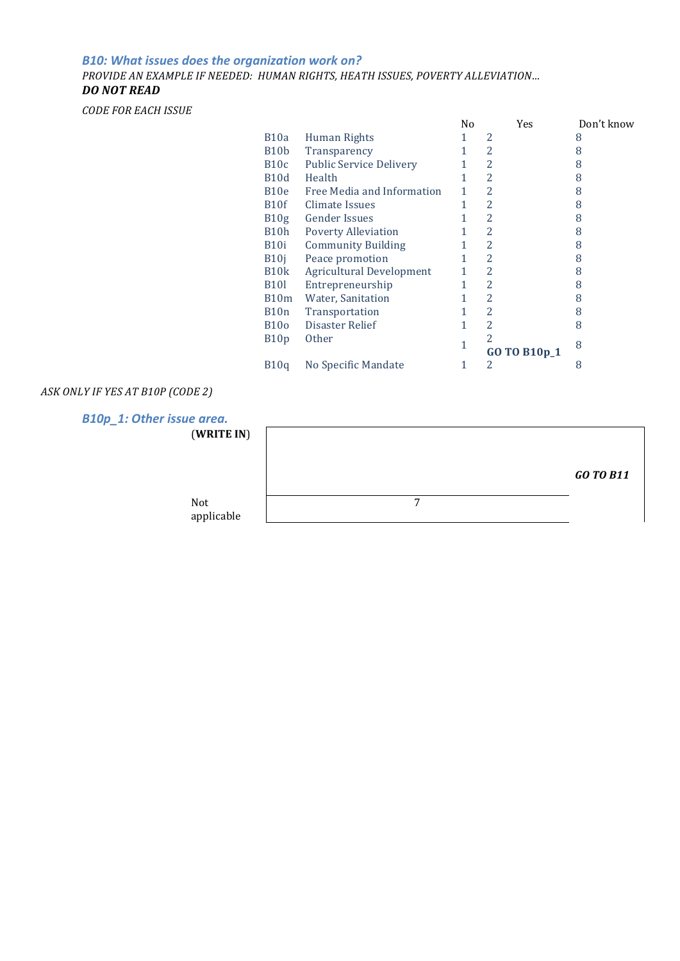### **B10: What issues does the organization work on?** PROVIDE AN EXAMPLE IF NEEDED: HUMAN RIGHTS, HEATH ISSUES, POVERTY ALLEVIATION... *DONOT READ*

**CODE FOR EACH ISSUE** 

|                   |                                 | No           | Yes                 | Don't know |
|-------------------|---------------------------------|--------------|---------------------|------------|
| <b>B10a</b>       | Human Rights                    | 1            | 2                   | 8          |
| B10b              | Transparency                    | 1            | 2                   | 8          |
| B <sub>10</sub> c | <b>Public Service Delivery</b>  | 1            | 2                   | 8          |
| B10d              | Health                          | 1            | 2                   | 8          |
| B10e              | Free Media and Information      | 1            | 2                   | 8          |
| B10f              | Climate Issues                  | 1            | 2                   | 8          |
| B10g              | <b>Gender Issues</b>            | 1            | 2                   | 8          |
| B10h              | <b>Poverty Alleviation</b>      | 1            | 2                   | 8          |
| B10i              | <b>Community Building</b>       | 1            | 2                   | 8          |
| B10i              | Peace promotion                 | 1            | 2                   | 8          |
| B10k              | <b>Agricultural Development</b> | 1            | 2                   | 8          |
| B10l              | Entrepreneurship                | 1            | 2                   | 8          |
| <b>B10m</b>       | Water, Sanitation               | 1            | 2                   | 8          |
| B10n              | Transportation                  | 1            | 2                   | 8          |
| <b>B100</b>       | Disaster Relief                 | 1            | 2                   | 8          |
| B10p              | <b>Other</b>                    | $\mathbf{1}$ | 2                   | 8          |
|                   |                                 |              | <b>GO TO B10p_1</b> |            |
| B10q              | No Specific Mandate             | 1            | 2                   | 8          |

### *ASK%ONLY%IF%YES%AT%B10P%(CODE%2)*

#### *B10p* 1: Other issue area.

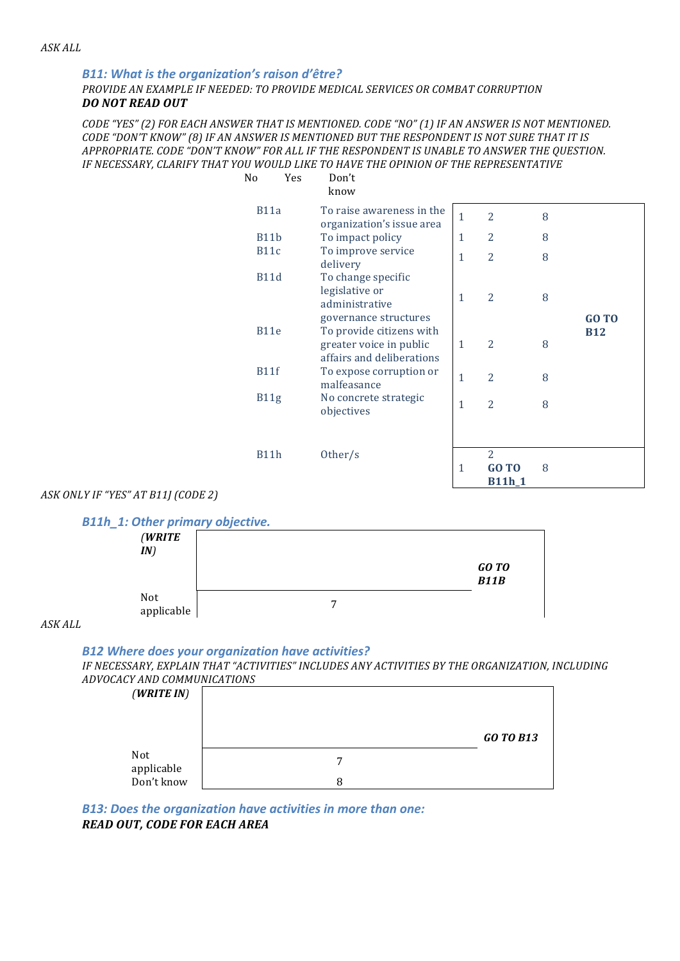#### **B11: What is the organization's raison d'être?**

#### *PROVIDE%AN%EXAMPLE%IF%NEEDED:%TO%PROVIDE MEDICAL%SERVICES%OR%COMBAT%CORRUPTION DONOT READ OUT*

*CODE%"YES"%(2)%FOR%EACH%ANSWER%THAT%IS%MENTIONED.%CODE%"NO"%(1)%IF%AN%ANSWER%IS%NOT%MENTIONED.%% CODE%"DON'T%KNOW"%(8)%IF%AN%ANSWER%IS%MENTIONED%BUT%THE RESPONDENT%IS%NOT%SURE%THAT%IT%IS% APPROPRIATE.%CODE%"DON'T%KNOW"%FOR%ALL%IF%THE%RESPONDENT%IS%UNABLE%TO%ANSWER%THE QUESTION. IF NECESSARY, CLARIFY THAT YOU WOULD LIKE TO HAVE THE OPINION OF THE REPRESENTATIVE* No Yes Don't

|                   | know                                                                             |                |                                          |   |            |
|-------------------|----------------------------------------------------------------------------------|----------------|------------------------------------------|---|------------|
| B11a              | To raise awareness in the<br>organization's issue area                           | $\overline{1}$ | 2                                        | 8 |            |
| B11b              | To impact policy                                                                 | 1              | $\overline{2}$                           | 8 |            |
| B11c              | To improve service<br>delivery                                                   | $\mathbf{1}$   | $\overline{2}$                           | 8 |            |
| <b>B11d</b>       | To change specific<br>legislative or<br>administrative<br>governance structures  | 1              | $\overline{2}$                           | 8 | GO TO      |
| B11e              | To provide citizens with<br>greater voice in public<br>affairs and deliberations | $\mathbf{1}$   | $\overline{c}$                           | 8 | <b>B12</b> |
| B11f              | To expose corruption or<br>malfeasance                                           | $\mathbf{1}$   | $\overline{2}$                           | 8 |            |
| B11g              | No concrete strategic<br>objectives                                              | $\mathbf{1}$   | $\overline{2}$                           | 8 |            |
|                   |                                                                                  |                |                                          |   |            |
| B <sub>11</sub> h | Other/s                                                                          | 1              | $\overline{2}$<br>GO TO<br><b>B11h_1</b> | 8 |            |

# *ASK%ONLY%IF%"YES" AT%B11J (CODE%2)*

*B11h\_1:%Other%primary%objective.*



#### $ASKALL$

#### **B12 Where does your organization have activities?**

IF NECESSARY, EXPLAIN THAT "ACTIVITIES" INCLUDES ANY ACTIVITIES BY THE ORGANIZATION, INCLUDING *ADVOCACY%AND%COMMUNICATIONS*

| (WRITEIN)                |   |                  |
|--------------------------|---|------------------|
|                          |   | <b>GO TO B13</b> |
| Not                      | 7 |                  |
| applicable<br>Don't know | 8 |                  |

**B13: Does the organization have activities in more than one: READ OUT, CODE FOR EACH AREA**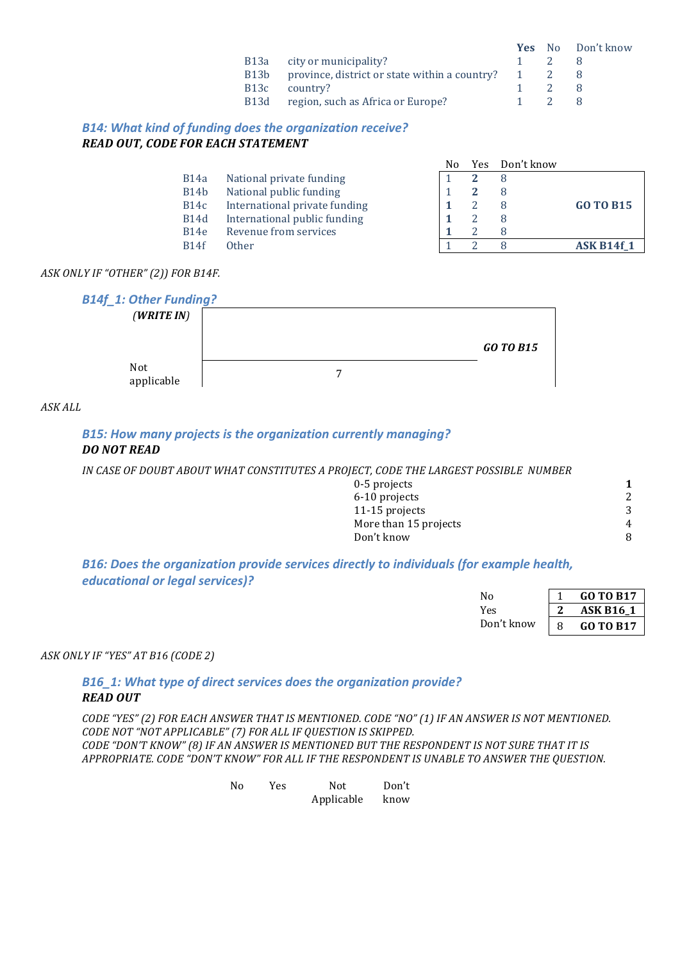|                   |                                                 |                | Yes No Don't know |
|-------------------|-------------------------------------------------|----------------|-------------------|
|                   | B13a city or municipality?                      | $\overline{2}$ |                   |
| B13b              | province, district or state within a country? 1 | - 2            |                   |
|                   | B <sub>13</sub> c country?                      | $\overline{2}$ |                   |
| B <sub>13</sub> d | region, such as Africa or Europe?               | $\overline{2}$ |                   |
|                   |                                                 |                |                   |

### **B14: What kind of funding does the organization receive? READ OUT, CODE FOR EACH STATEMENT**

|             |                               | No | Yes | Don't know |                   |
|-------------|-------------------------------|----|-----|------------|-------------------|
| B14a        | National private funding      |    |     |            |                   |
| B14b        | National public funding       |    |     |            |                   |
| B14c        | International private funding |    |     |            | <b>GO TO B15</b>  |
| <b>B14d</b> | International public funding  |    |     | 8          |                   |
| B14e        | Revenue from services         |    |     |            |                   |
| <b>R14f</b> | Other                         |    |     |            | <b>ASK B14f 1</b> |

#### *ASK%ONLY%IF%"OTHER"%(2))%FOR%B14F.*



#### $ASKALL$

### **B15: How many projects is the organization currently managing?** *DO'NOT'READ*

*IN CASE OF DOUBT ABOUT WHAT CONSTITUTES A PROJECT, CODE THE LARGEST POSSIBLE NUMBER* 

| 3 |
|---|
| 4 |
| 8 |
|   |

*B16: Does the organization provide services directly to individuals (for example health, educational or legal services)?* 

| Nο         |   | <b>GO TO B17</b> |
|------------|---|------------------|
| Yes        |   | <b>ASK B16 1</b> |
| Don't know | 8 | <b>GO TO B17</b> |

#### *ASK%ONLY%IF%"YES"%AT B16%(CODE%2)*

B16\_1: What type of direct services does the organization provide? *READ'OUT*

*CODE%"YES"%(2)%FOR%EACH%ANSWER%THAT%IS%MENTIONED.%CODE%"NO"%(1)%IF%AN%ANSWER%IS%NOT%MENTIONED.%% CODE%NOT%"NOT%APPLICABLE"%(7)%FOR%ALL%IF QUESTION%IS%SKIPPED.* CODE "DON'T KNOW" (8) IF AN ANSWER IS MENTIONED BUT THE RESPONDENT IS NOT SURE THAT IT IS *APPROPRIATE.%CODE%"DON'T%KNOW"%FOR%ALL%IF%THE%RESPONDENT%IS%UNABLE%TO%ANSWER%THE QUESTION.*

| N <sub>0</sub> | Yes. | Not        | Don't |
|----------------|------|------------|-------|
|                |      | Applicable | know  |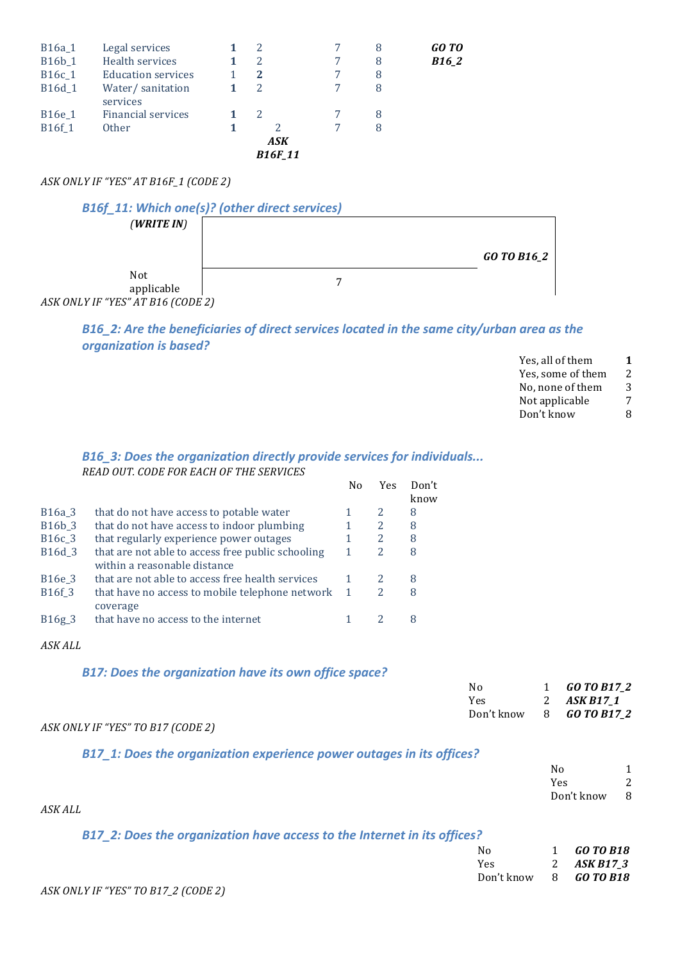| B <sub>16</sub> a 1<br>B16b_1<br>B <sub>16</sub> c 1<br>B16d <sub>1</sub> | Legal services<br>Health services<br><b>Education services</b><br>Water/sanitation | 2<br>2<br>$\mathbf{2}$<br>2     | 8<br>8<br>8<br>8 | GO TO<br>$B16_2$ |
|---------------------------------------------------------------------------|------------------------------------------------------------------------------------|---------------------------------|------------------|------------------|
| B16e 1<br>B16f <sub>1</sub>                                               | services<br><b>Financial services</b><br><b>Other</b>                              | 2<br>2<br>ASK<br><b>B16F_11</b> | 8<br>8           |                  |

### *ASK%ONLY%IF%"YES"%AT B16F\_1%(CODE%2)*



### *B16* 2: Are the beneficiaries of direct services located in the same city/urban area as the *organization is based?*

| Yes, all of them  |   |
|-------------------|---|
| Yes, some of them | 2 |
| No, none of them  | 3 |
| Not applicable    | 7 |
| Don't know        | 8 |
|                   |   |

#### *B16* 3: Does the organization directly provide services for individuals... *READ%OUT.%CODE%FOR%EACH%OF%THE%SERVICES*  $N_{\odot}$  Ves Don't

|                     |                                                                                   | NΩ.          | Y es | uon t<br>know |
|---------------------|-----------------------------------------------------------------------------------|--------------|------|---------------|
| B <sub>16</sub> a 3 | that do not have access to potable water                                          |              | 2    | 8             |
| B16b_3              | that do not have access to indoor plumbing                                        |              | 2    | 8             |
| B <sub>16</sub> c 3 | that regularly experience power outages                                           | 1            | 2    | 8             |
| B <sub>16</sub> d 3 | that are not able to access free public schooling<br>within a reasonable distance | 1            | 2    | 8             |
| B <sub>16e</sub> 3  | that are not able to access free health services                                  |              | 2    | 8             |
| B16f <sub>3</sub>   | that have no access to mobile telephone network<br>coverage                       | $\mathbf{1}$ | 2    | 8             |
| B16g3               | that have no access to the internet                                               |              |      | 8             |

 $ASKALL$ 

### *B17: Does the organization have its own office space?*

|                                   | No         | 1 <b>GO TO B17_2</b>            |
|-----------------------------------|------------|---------------------------------|
|                                   | <b>Yes</b> | 2 ASK B17 1                     |
|                                   |            | Don't know 8 <b>GO TO B17_2</b> |
| ASK ONLY IF "YES" TO B17 (CODE 2) |            |                                 |

### B17\_1: Does the organization experience power outages in its offices?

| N٥         |   |
|------------|---|
| Yes        | 2 |
| Don't know | 8 |

*ASK%ALL*

### *B17* 2: Does the organization have access to the Internet in its offices?

|                                            | No                            | 1 GOPOB18   |
|--------------------------------------------|-------------------------------|-------------|
|                                            | <b>Yes</b>                    | 2 ASK B17_3 |
|                                            | Don't know 8 <b>GO TO B18</b> |             |
| נ <i>ר תבחרו ב-19 חיי ייסתויי תו עו</i> וע |                               |             |

*ASK%ONLY%IF%"YES"%TO%B17\_2%(CODE%2)*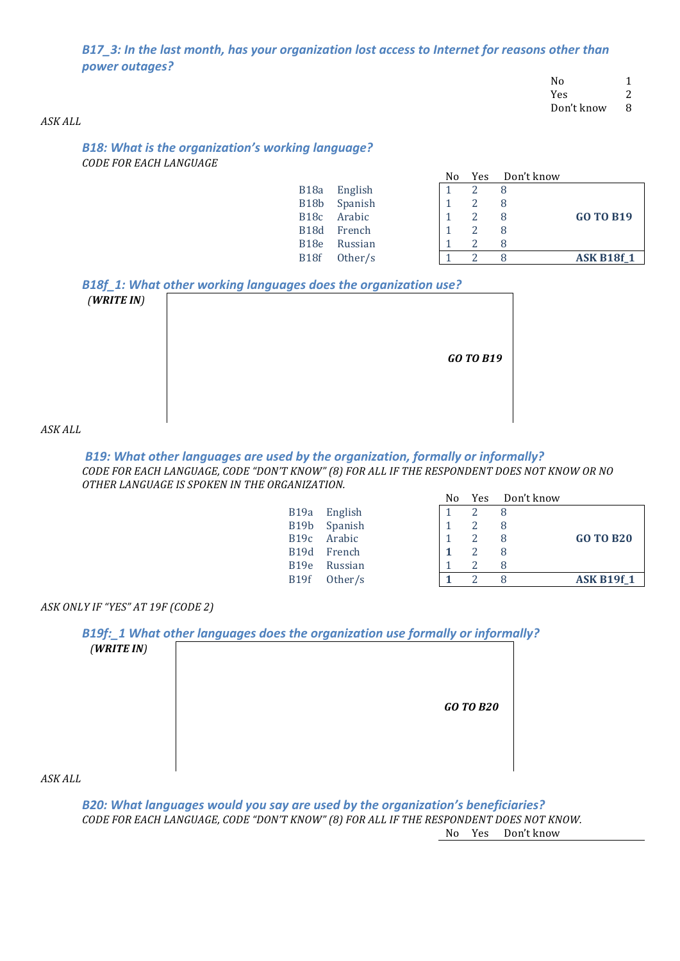*B17\_3: In the last month, has your organization lost access to Internet for reasons other than* power outages?

| No         |   |
|------------|---|
| Yes        |   |
| Don't know | 8 |

#### *ASK%ALL*

**B18: What is the organization's working language? CODE FOR EACH LANGUAGE** 

|                   |                          | 1 V U | 1 C.S | <b>DUILLAILUW</b> |                   |
|-------------------|--------------------------|-------|-------|-------------------|-------------------|
| <b>B18a</b>       | English                  |       |       |                   |                   |
| B <sub>18</sub> b | Spanish                  |       |       |                   |                   |
|                   | B <sub>18</sub> c Arabic |       |       |                   | <b>GO TO B19</b>  |
|                   | B <sub>18</sub> d French |       |       |                   |                   |
| B <sub>18e</sub>  | Russian                  |       | 2     |                   |                   |
| B <sub>18</sub> f | Other/s                  |       |       |                   | <b>ASK B18f 1</b> |
|                   |                          |       |       |                   |                   |

 $N_2$ ,  $V_{22}$ ,  $D_{22}$ <sup>'t</sup>(know

*B18f 1: What other working languages does the organization use?* 

| (WRITEIN) |                  |  |
|-----------|------------------|--|
|           | <b>GO TO B19</b> |  |
|           |                  |  |

### $ASKALL$

#### B19: What other languages are used by the organization, formally or informally? *CODE%FOR%EACH%LANGUAGE,%CODE%"DON'T%KNOW"%(8)%FOR%ALL%IF%THE RESPONDENT%DOES%NOT%KNOW%OR%NO% OTHER%LANGUAGE%IS%SPOKEN%IN%THE%ORGANIZATION.%*

|             |             | No | <b>Yes</b> | Don't know |                   |
|-------------|-------------|----|------------|------------|-------------------|
| B19a        | English     |    |            | 8          |                   |
| <b>B19b</b> | Spanish     |    |            | 8          |                   |
|             | B19c Arabic |    |            | 8          | <b>GO TO B20</b>  |
|             | B19d French |    |            | 8          |                   |
| B19e        | Russian     |    |            | 8          |                   |
| B19f        | Other/s     |    |            | 8          | <b>ASK B19f 1</b> |
|             |             |    |            |            |                   |

#### *ASK%ONLY%IF%"YES"%AT 19F%(CODE%2)*

### *B19f: 1 What other languages does the organization use formally or informally?*

| (WRITEIN) |  |                  |
|-----------|--|------------------|
|           |  | <b>GO TO B20</b> |
|           |  |                  |

 $ASKALL$ 

B20: What languages would you say are used by the organization's beneficiaries? CODE FOR EACH LANGUAGE, CODE "DON'T KNOW" (8) FOR ALL IF THE RESPONDENT DOES NOT KNOW. No Yes Don't know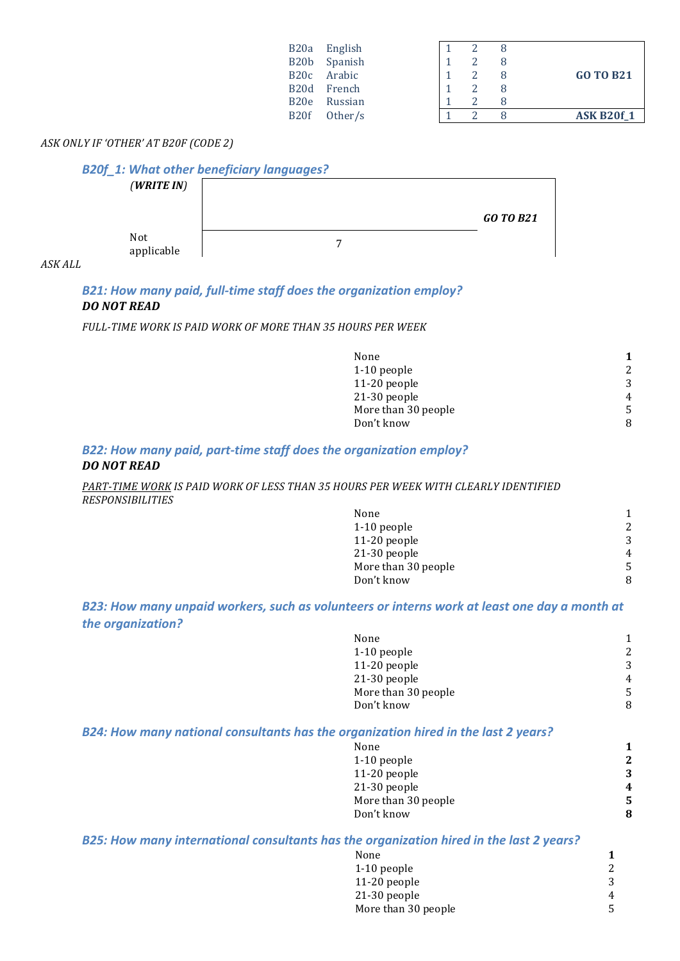| B20a              | English |  |                   |
|-------------------|---------|--|-------------------|
| B <sub>20</sub> b | Spanish |  |                   |
| B20c              | Arabic  |  | <b>GO TO B21</b>  |
| B <sub>20</sub> d | French  |  |                   |
| B <sub>20e</sub>  | Russian |  |                   |
| B <sub>20f</sub>  | Other/s |  | <b>ASK B20f 1</b> |

#### *ASK%ONLY%IF%'OTHER'%AT%B20F%(CODE%2)*

#### *B20f\_1:%What%other%beneficiary%languages?*



#### *ASK%ALL*

### **B21: How many paid, full-time staff does the organization employ?** *DONOT READ*

#### *FULL[TIME%WORK%IS%PAID%WORK%OF%MORE%THAN%35%HOURS%PER%WEEK*

| None                |    |
|---------------------|----|
| 1-10 people         |    |
| 11-20 people        |    |
| 21-30 people        | 4  |
| More than 30 people | 5. |
| Don't know          |    |

### *B22: How many paid, part-time staff does the organization employ? DO'NOT'READ*

PART-TIME WORK IS PAID WORK OF LESS THAN 35 HOURS PER WEEK WITH CLEARLY IDENTIFIED *RESPONSIBILITIES*

| None                |   |
|---------------------|---|
| 1-10 people         | 2 |
| 11-20 people        | 3 |
| 21-30 people        | 4 |
| More than 30 people | 5 |
| Don't know          | 8 |

### *B23: How many unpaid workers, such as volunteers or interns work at least one day a month at* the organization?

| None                |   |
|---------------------|---|
| 1-10 people         | 2 |
| 11-20 people        | 3 |
| 21-30 people        | 4 |
| More than 30 people | 5 |
| Don't know          | 8 |

### *B24: How many national consultants has the organization hired in the last 2 years?*

| None                | 1 |
|---------------------|---|
| $1-10$ people       | 2 |
| 11-20 people        | 3 |
| $21-30$ people      | 4 |
| More than 30 people | 5 |
| Don't know          | Я |

#### *B25: How many international consultants has the organization hired in the last 2 years?*

| None                |   |
|---------------------|---|
| 1-10 people         | 2 |
| $11-20$ people      | 3 |
| 21-30 people        | 4 |
| More than 30 people | 5 |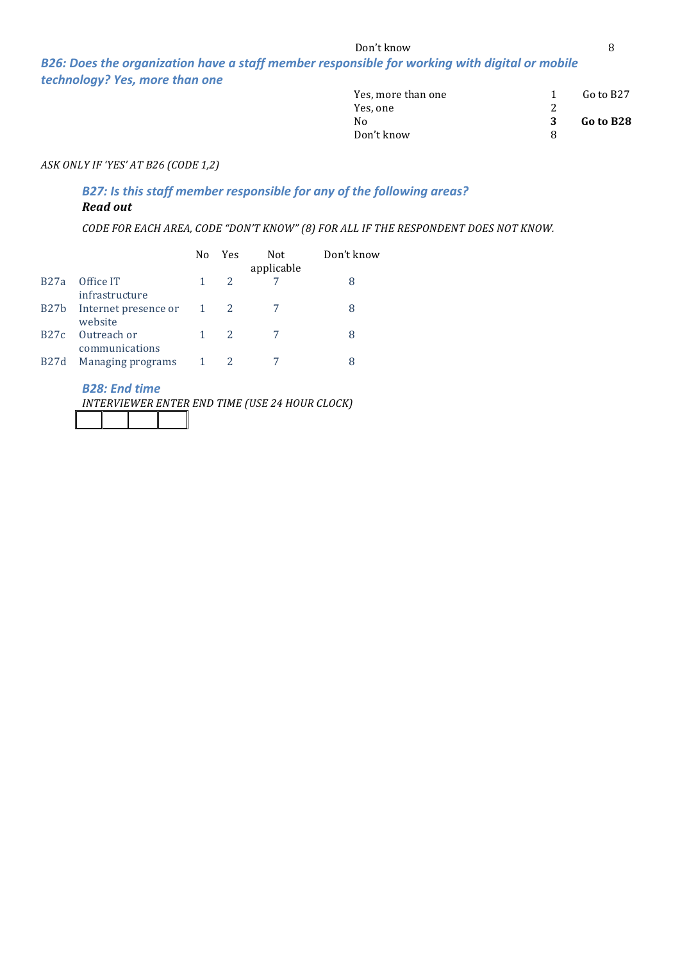Don't know 8

*B26: Does the organization have a staff member responsible for working with digital or mobile* **technology? Yes, more than one** 

| Yes, more than one |   | Go to B27 |
|--------------------|---|-----------|
| Yes, one           |   |           |
| Nο                 | 3 | Go to B28 |
| Don't know         |   |           |

### *ASK%ONLY%IF%'YES'%AT%B26 (CODE%1,2)*

### **B27: Is this staff member responsible for any of the following areas?** *Read'out*

CODE FOR EACH AREA, CODE "DON'T KNOW" (8) FOR ALL IF THE RESPONDENT DOES NOT KNOW.

|                  |                                 | N <sub>0</sub> | <b>Yes</b> | Not.<br>applicable | Don't know |
|------------------|---------------------------------|----------------|------------|--------------------|------------|
| <b>B27a</b>      | Office IT<br>infrastructure     |                |            |                    |            |
| B27 <sub>b</sub> | Internet presence or<br>website | $\mathbf{1}$   | 2          |                    | 8          |
| B27c             | Outreach or<br>communications   |                |            |                    | 8          |
| <b>B27d</b>      | Managing programs               |                |            |                    | 8          |

**B28: End time** 

*INTERVIEWER%ENTER%END%TIME%(USE%24%HOUR%CLOCK)*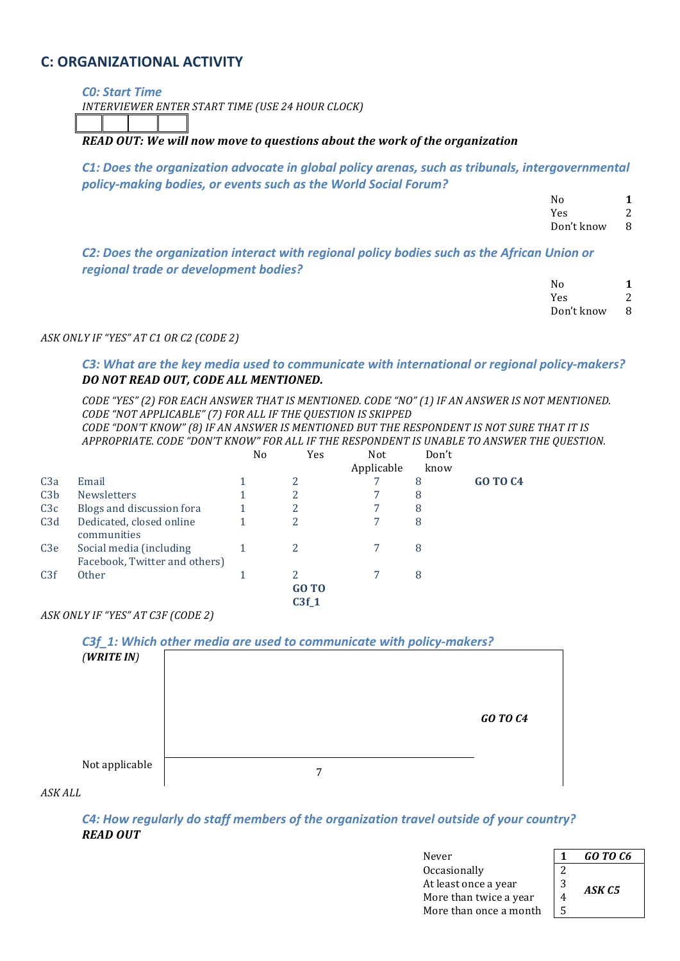### **C: ORGANIZATIONAL ACTIVITY**

*C0: Start Time* 

**INTERVIEWER ENTER START TIME (USE 24 HOUR CLOCK)** 

*READ'OUT:'We'will'now'move'to'questions'about'the'work'of'the'organization*

*C1: Does the organization advocate in global policy arenas, such as tribunals, intergovernmental* policy-making bodies, or events such as the World Social Forum?

| N٥         |   |
|------------|---|
| <b>Yes</b> |   |
| Don't know | 8 |

*C2: Does the organization interact with regional policy bodies such as the African Union or regional trade or development bodies?* 

| N٥         |   |
|------------|---|
| Yes        | 2 |
| Don't know | 8 |

#### *ASK%ONLY%IF%"YES"%AT C1%OR%C2%(CODE%2)*

C3: What are the key media used to communicate with international or regional policy-makers? DO NOT READ OUT, CODE ALL MENTIONED.

*CODE%"YES"%(2)%FOR%EACH%ANSWER%THAT%IS%MENTIONED.%CODE%"NO"%(1)%IF%AN%ANSWER%IS%NOT%MENTIONED.%% CODE%"NOT%APPLICABLE"%(7)%FOR%ALL%IF%THE QUESTION%IS%SKIPPED* CODE "DON'T KNOW" (8) IF AN ANSWER IS MENTIONED BUT THE RESPONDENT IS NOT SURE THAT IT IS *APPROPRIATE.%CODE%"DON'T%KNOW"%FOR%ALL%IF%THE%RESPONDENT%IS%UNABLE%TO%ANSWER%THE QUESTION.*

|     |                                                          | No | Yes                          | Not<br>Applicable | Don't<br>know |                 |
|-----|----------------------------------------------------------|----|------------------------------|-------------------|---------------|-----------------|
| C3a | Email                                                    |    | 2                            |                   | 8             | <b>GO TO C4</b> |
| C3b | <b>Newsletters</b>                                       |    | 2                            |                   | 8             |                 |
| C3c | Blogs and discussion fora                                |    |                              |                   | 8             |                 |
| C3d | Dedicated, closed online<br>communities                  |    | 2                            |                   | 8             |                 |
| C3e | Social media (including<br>Facebook, Twitter and others) |    | 2                            |                   | 8             |                 |
| C3f | <b>Other</b>                                             |    | 2<br><b>GO TO</b><br>$C3f_1$ |                   | 8             |                 |

*ASK%ONLY%IF%"YES"%AT C3F (CODE%2)*

| (WRITEIN)      |          |
|----------------|----------|
|                | GO TO C4 |
|                |          |
| Not applicable |          |

 $ASKALL$ 

*C4: How regularly do staff members of the organization travel outside of your country? READ'OUT*

| Never                      |                | <b>GO TO C6</b> |
|----------------------------|----------------|-----------------|
| <i><b>Occasionally</b></i> | ำ              |                 |
| At least once a year       | 3              | ASKC5           |
| More than twice a year     | $\overline{4}$ |                 |
| More than once a month     | 5              |                 |

| 1 | GO TO C6          |
|---|-------------------|
| 2 |                   |
| 3 | ASK <sub>C5</sub> |
| 4 |                   |
| 5 |                   |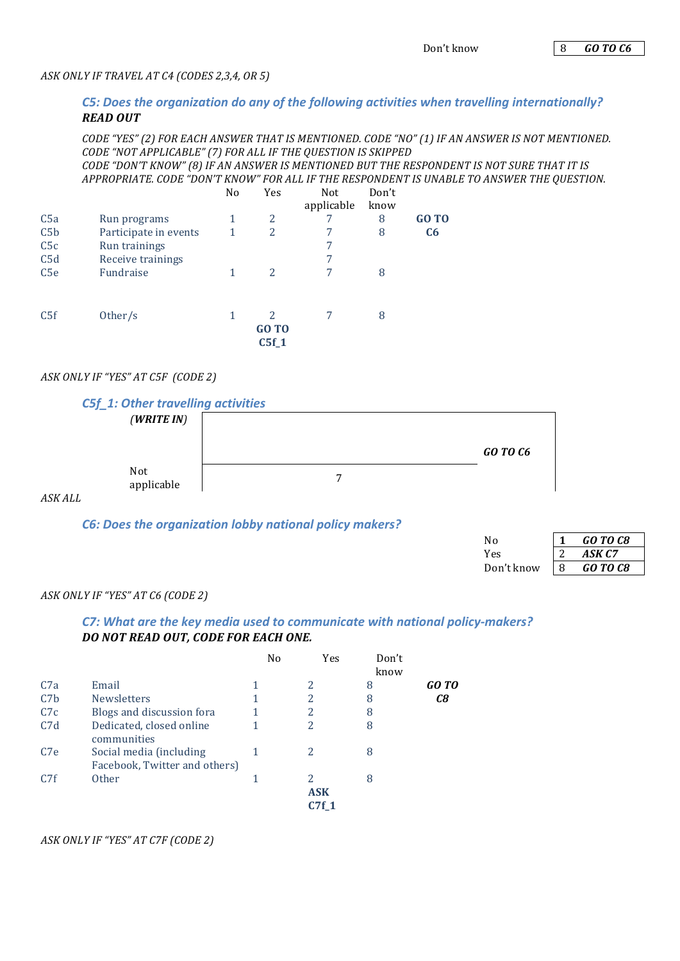#### C5: Does the organization do any of the following activities when travelling internationally? *READ'OUT*

CODE "YES" (2) FOR EACH ANSWER THAT IS MENTIONED. CODE "NO" (1) IF AN ANSWER IS NOT MENTIONED. *CODE%"NOT%APPLICABLE"%(7)%FOR%ALL%IF%THE QUESTION%IS%SKIPPED*

CODE "DON'T KNOW" (8) IF AN ANSWER IS MENTIONED BUT THE RESPONDENT IS NOT SURE THAT IT IS *APPROPRIATE. CODE "DON'T KNOW" FOR ALL IF THE RESPONDENT IS UNABLE TO ANSWER THE QUESTION.*  $V_{\alpha}$  $D = U$ 

|                  |                       | <b>NO</b> | r es                              | <b>NOT</b><br>applicable | Don τ<br>know |                |
|------------------|-----------------------|-----------|-----------------------------------|--------------------------|---------------|----------------|
| C5a              | Run programs          |           | 2                                 |                          | 8             | GO TO          |
| C5 <sub>b</sub>  | Participate in events |           | 2                                 | 7                        | 8             | C <sub>6</sub> |
| C5c              | Run trainings         |           |                                   | 7                        |               |                |
| C <sub>5</sub> d | Receive trainings     |           |                                   | 7                        |               |                |
| C <sub>5e</sub>  | Fundraise             |           | 2                                 | 7                        | 8             |                |
| C <sub>5f</sub>  | Other/s               | 1         | $\mathcal{P}$<br>GO TO<br>$C5f_1$ |                          | 8             |                |

#### *ASK%ONLY%IF%"YES"%AT%C5F%%(CODE%2)*

|         | <b>C5f_1: Other travelling activities</b> |   |          |  |  |  |  |
|---------|-------------------------------------------|---|----------|--|--|--|--|
|         | (WRITEIN)                                 |   |          |  |  |  |  |
|         |                                           |   | GO TO C6 |  |  |  |  |
|         | Not<br>applicable                         | ⇁ |          |  |  |  |  |
| ASK ALL |                                           |   |          |  |  |  |  |

# *C6: Does the organization lobby national policy makers?*

| Nο         |   | GO TO C8 |
|------------|---|----------|
| Yes        |   | ASK C7   |
| Don't know | 8 | GO TO C8 |

#### *ASK%ONLY%IF%"YES"%AT C6%(CODE%2)*

### *C7: What are the key media used to communicate with national policy-makers? DO NOT READ OUT, CODE FOR EACH ONE.*

|                  |                                                          | No | Yes                      | Don't<br>know |       |
|------------------|----------------------------------------------------------|----|--------------------------|---------------|-------|
| C7a              | Email                                                    |    | 2                        | 8             | GO TO |
| C <sub>7</sub> b | <b>Newsletters</b>                                       |    | 2                        | 8             | C8    |
| C7c              | Blogs and discussion fora                                |    | 2                        | 8             |       |
| C7d              | Dedicated, closed online<br>communities                  |    | 2                        | 8             |       |
| C <sub>7e</sub>  | Social media (including<br>Facebook, Twitter and others) |    | 2                        | 8             |       |
| C7f              | <b>Other</b>                                             |    | 2<br><b>ASK</b><br>C7f 1 | 8             |       |

#### *ASK ONLY IF "YES" AT C7F (CODE 2)*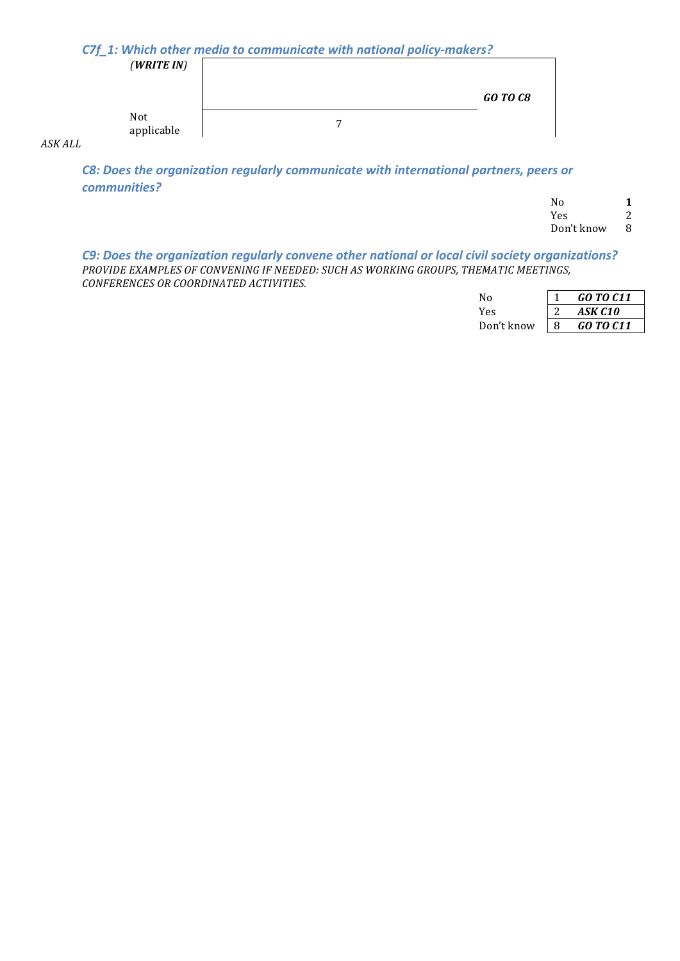### *C7f* 1: Which other media to communicate with national policy-makers?

| (WRITEIN)         |   |          |
|-------------------|---|----------|
|                   |   | GO TO C8 |
| Not<br>applicable | − |          |

*ASK%ALL*

*C8: Does the organization regularly communicate with international partners, peers or communities?*

| N٥         |   |
|------------|---|
| Yes        | 2 |
| Don't know | 8 |

C9: Does the organization regularly convene other national or local civil society organizations? PROVIDE EXAMPLES OF CONVENING IF NEEDED: SUCH AS WORKING GROUPS, THEMATIC MEETINGS, *CONFERENCES%OR%COORDINATED%ACTIVITIES.%*

| N٥         |   | GO TO C11 |
|------------|---|-----------|
| Yes        |   | ASK C10   |
| Don't know | 8 | GO TO C11 |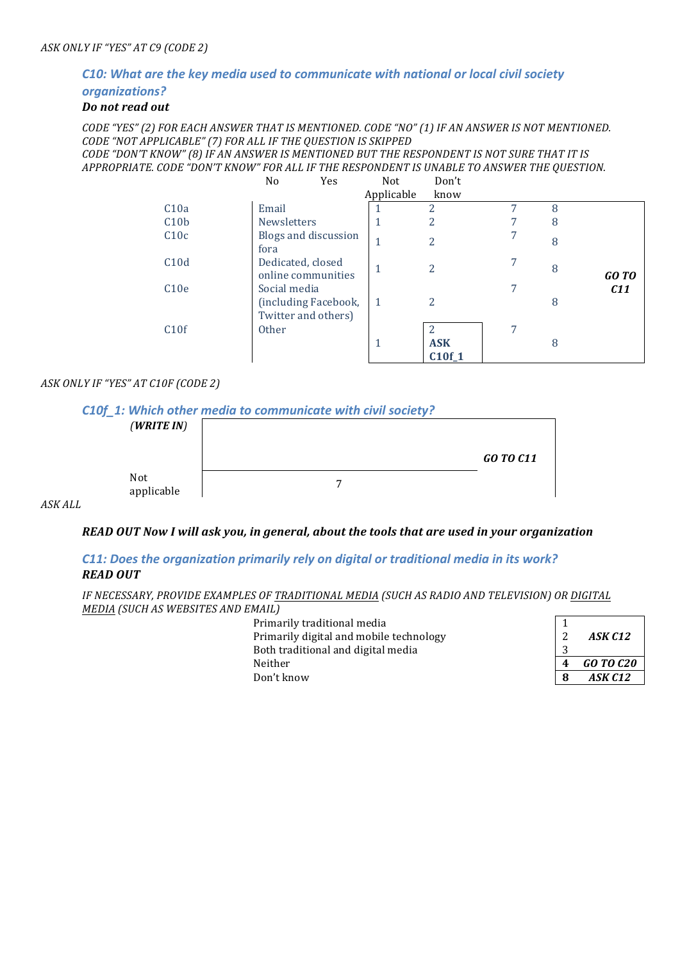# *C10: What are the key media used to communicate with national or local civil society organizations?*

### *Do'not'read'out*

*CODE%"YES"%(2)%FOR%EACH%ANSWER%THAT%IS%MENTIONED.%CODE%"NO"%(1)%IF%AN%ANSWER%IS%NOT%MENTIONED.%%* CODE "NOT APPLICABLE" (7) FOR ALL IF THE QUESTION IS SKIPPED CODE "DON'T KNOW" (8) IF AN ANSWER IS MENTIONED BUT THE RESPONDENT IS NOT SURE THAT IT IS

*APPROPRIATE. CODE "DON'T KNOW" FOR ALL IF THE RESPONDENT IS UNABLE TO ANSWER THE QUESTION.*<br>No Yes Not Don't  $Y_{\rho S}$ Don't

|                  | 11 V<br>د ب                                                 | 11 V U     | DUIL L                      |   |   |       |
|------------------|-------------------------------------------------------------|------------|-----------------------------|---|---|-------|
|                  |                                                             | Applicable | know                        |   |   |       |
| C10a             | Email                                                       |            | 2                           | 7 | 8 |       |
| C10 <sub>b</sub> | <b>Newsletters</b>                                          |            | 2                           |   | 8 |       |
| C10c             | Blogs and discussion<br>fora                                |            | 2                           |   | 8 |       |
| C10d             | Dedicated, closed<br>online communities                     |            | 2                           | 7 | 8 | GO TO |
| C10e             | Social media<br>(including Facebook,<br>Twitter and others) |            | 2                           |   | 8 | C11   |
| C10f             | Other                                                       |            | 2<br><b>ASK</b><br>$C10f_1$ |   | 8 |       |

### *ASK ONLY IF "YES" AT C10F (CODE 2)*

### *C10f\_1:%Which%other%media%to%communicate%with%civil%society?*

| - - -<br>(WRITEIN) |   |                  |
|--------------------|---|------------------|
|                    |   | <b>GO TO C11</b> |
| Not<br>applicable  | − |                  |

#### $ASKALL$

#### *READ'OUT'Now'I'will'ask'you,'in'general,'about'the'tools'that'are'used'in'your'organization''*

*C11: Does the organization primarily rely on digital or traditional media in its work? READ'OUT*

*IF%NECESSARY,%PROVIDE%EXAMPLES%OF%TRADITIONAL%MEDIA (SUCH%AS%RADIO%AND%TELEVISION)%OR%DIGITAL% MEDIA (SUCH AS WEBSITES AND EMAIL)* 

| Primarily traditional media             |           |
|-----------------------------------------|-----------|
| Primarily digital and mobile technology | ASK C12   |
| Both traditional and digital media      |           |
| Neither                                 | GO TO C20 |
| Don't know                              | ASK C12   |

| 2 | <b>ASK C12</b> |
|---|----------------|
| 3 |                |
| 4 | GO TO C20      |
|   | <b>ASK C12</b> |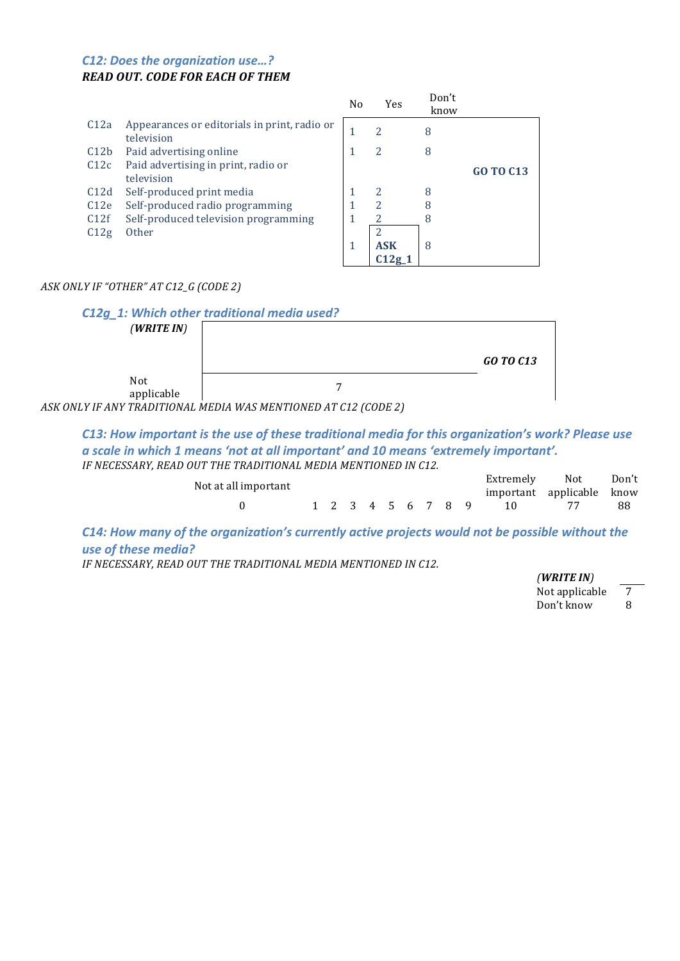### *C12: Does the organization use...? READ OUT. CODE FOR EACH OF THEM*

|                  |                                                            | N <sub>0</sub> | <b>Yes</b>               | Don't<br>know |                       |
|------------------|------------------------------------------------------------|----------------|--------------------------|---------------|-----------------------|
| C12a             | Appearances or editorials in print, radio or<br>television |                | $\overline{2}$           | 8             |                       |
| C12 <sub>b</sub> | Paid advertising online                                    | 1              | 2                        | 8             |                       |
| C12c             | Paid advertising in print, radio or<br>television          |                |                          |               | GO TO C <sub>13</sub> |
| C12d             | Self-produced print media                                  |                | 2                        | 8             |                       |
| C12e             | Self-produced radio programming                            |                | 2                        | 8             |                       |
| C12f             | Self-produced television programming                       |                | 2                        | 8             |                       |
| C12g             | <b>Other</b>                                               | 1              | 2<br><b>ASK</b><br>C12g1 | 8             |                       |

### *ASK%ONLY%IF%"OTHER"%AT%C12\_G%(CODE%2)*



*ASK%ONLY%IF%ANY%TRADITIONAL%MEDIA%WAS%MENTIONED%AT%C12%(CODE 2)*

*C13: How important is the use of these traditional media for this organization's work? Please use a%scale%in%which%1 means%'not%at%all%important'%and%10%means%'extremely%important'.* IF NECESSARY, READ OUT THE TRADITIONAL MEDIA MENTIONED IN C12.

| Not at all important |  |  |  |                   | Extremely | Not<br>important applicable know | Don't |
|----------------------|--|--|--|-------------------|-----------|----------------------------------|-------|
|                      |  |  |  | 1 2 3 4 5 6 7 8 9 |           |                                  | 88    |

*C14: How many of the organization's currently active projects would not be possible without the* **use of these media?** 

IF NECESSARY, READ OUT THE TRADITIONAL MEDIA MENTIONED IN C12.

| (WRITEIN)      |   |
|----------------|---|
| Not applicable |   |
| Don't know     | 8 |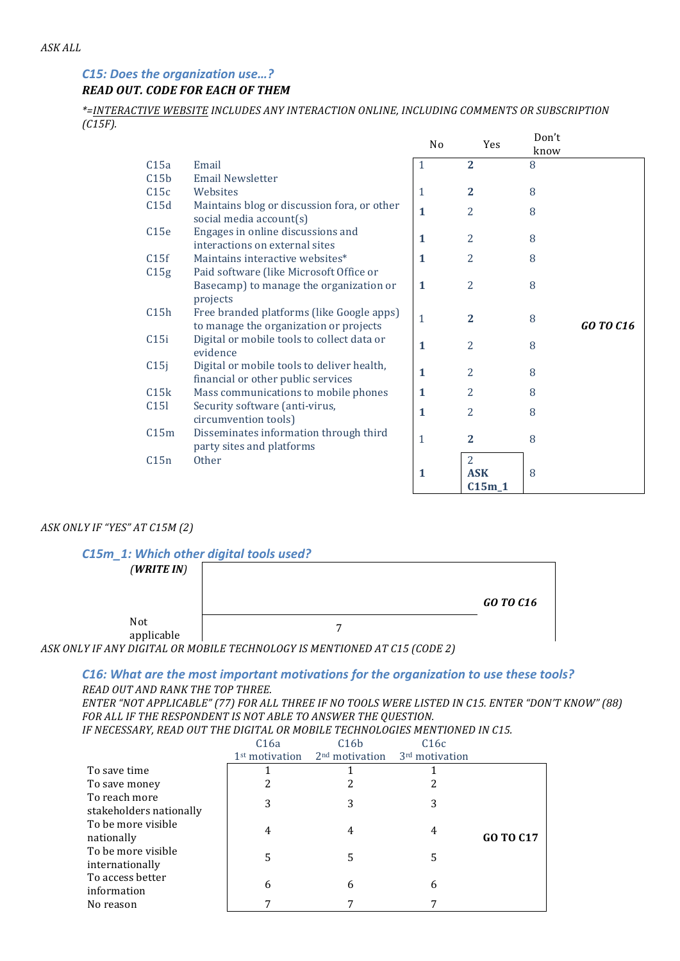### *C15: Does the organization use...? READ OUT. CODE FOR EACH OF THEM*

*\*=INTERACTIVE%WEBSITE INCLUDES%ANY%INTERACTION%ONLINE,%INCLUDING%COMMENTS%OR%SUBSCRIPTION% (C15F).*

|                  |                                                                                     | N <sub>0</sub> | Yes                                      | Don't<br>know |           |
|------------------|-------------------------------------------------------------------------------------|----------------|------------------------------------------|---------------|-----------|
| C15a             | Email                                                                               | 1              | $\overline{2}$                           | 8             |           |
| C15 <sub>b</sub> | <b>Email Newsletter</b>                                                             |                |                                          |               |           |
| C15c             | Websites                                                                            | 1              | $\overline{2}$                           | 8             |           |
| C15d             | Maintains blog or discussion fora, or other<br>social media account(s)              | $\mathbf{1}$   | $\overline{2}$                           | 8             |           |
| C15e             | Engages in online discussions and<br>interactions on external sites                 | 1              | $\overline{2}$                           | 8             |           |
| C15f             | Maintains interactive websites*                                                     | 1              | 2                                        | 8             |           |
| C15g             | Paid software (like Microsoft Office or                                             |                |                                          |               |           |
|                  | Basecamp) to manage the organization or                                             | 1              | 2                                        | 8             |           |
|                  | projects                                                                            |                |                                          |               |           |
| C15h             | Free branded platforms (like Google apps)<br>to manage the organization or projects | $\mathbf{1}$   | $\mathbf{2}$                             | 8             | GO TO C16 |
| C15i             | Digital or mobile tools to collect data or<br>evidence                              | 1              | 2                                        | 8             |           |
| C15j             | Digital or mobile tools to deliver health,<br>financial or other public services    | 1              | 2                                        | 8             |           |
| C15k             | Mass communications to mobile phones                                                | 1              | $\overline{2}$                           | 8             |           |
| C15l             | Security software (anti-virus,                                                      | 1              | $\overline{2}$                           | 8             |           |
|                  | circumvention tools)                                                                |                |                                          |               |           |
| C15m             | Disseminates information through third<br>party sites and platforms                 | $\mathbf{1}$   | $\overline{2}$                           | 8             |           |
| C15n             | <b>Other</b>                                                                        | 1              | $\overline{2}$<br><b>ASK</b><br>$C15m_1$ | 8             |           |

#### *ASK%ONLY%IF%"YES"%AT C15M%(2)*

# *C15m\_1:%Which%other%digital%tools%used?*

| $-$<br>(WRITE IN) |                                                                   |           |
|-------------------|-------------------------------------------------------------------|-----------|
|                   |                                                                   | GO TO C16 |
| Not<br>applicable |                                                                   |           |
|                   | IE ANV DICITAL OD MORII E TECHNOLOCY IS MENTIONED AT C15 (CODE 2) |           |

*ASK%ONLY%IF%ANY%DIGITAL%OR%MOBILE%TECHNOLOGY%IS%MENTIONED%AT%C15%(CODE%2)*

#### *C16: What are the most important motivations for the organization to use these tools?*

*READ%OUT%AND%RANK%THE%TOP%THREE.% ENTER%"NOT%APPLICABLE"%(77)%FOR%ALL%THREE%IF%NO%TOOLS%WERE%LISTED%IN%C15.%ENTER%"DON'T%KNOW"%(88)%*

FOR ALL IF THE RESPONDENT IS NOT ABLE TO ANSWER THE QUESTION. *IF%NECESSARY,%READ%OUT%THE%DIGITAL%OR%MOBILE%TECHNOLOGIES%MENTIONED%IN%C15.*

 $C16b$ 

|                                          | G I Od                     | <u>UTOD</u>                | <b>UIUU</b>                |                  |
|------------------------------------------|----------------------------|----------------------------|----------------------------|------------------|
|                                          | 1 <sup>st</sup> motivation | 2 <sup>nd</sup> motivation | 3 <sup>rd</sup> motivation |                  |
| To save time                             |                            |                            |                            |                  |
| To save money                            | 2                          |                            |                            |                  |
| To reach more<br>stakeholders nationally | 3                          | 3                          | 3                          |                  |
| To be more visible<br>nationally         | 4                          | 4                          | 4                          | <b>GO TO C17</b> |
| To be more visible<br>internationally    | 5                          | .5                         | 5                          |                  |
| To access better<br>information          | 6                          | 6                          | 6                          |                  |
| No reason                                |                            |                            |                            |                  |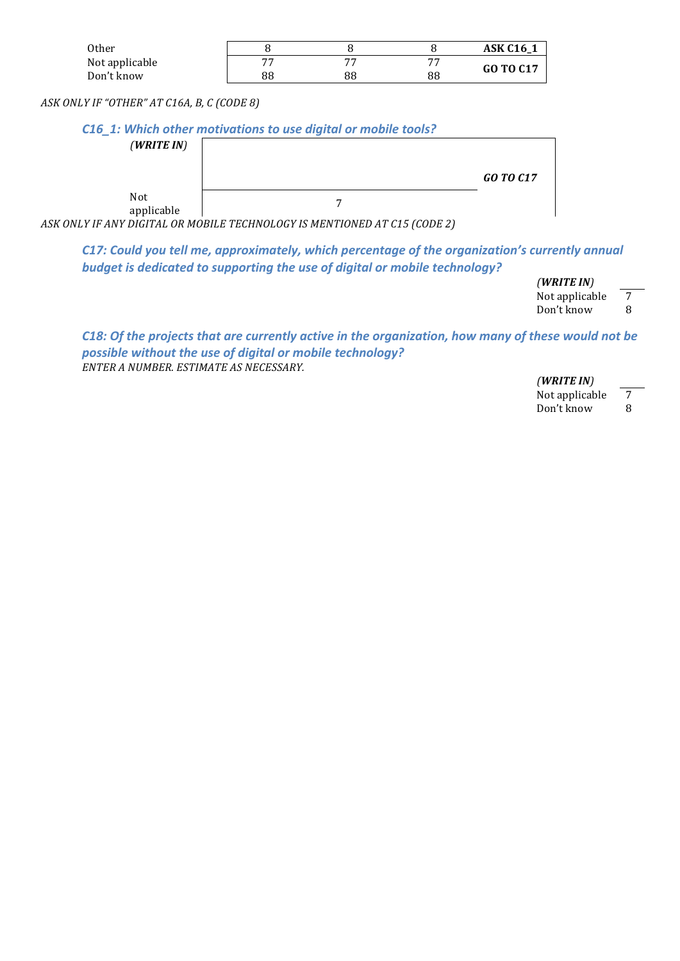| 0ther          |    |    |    | <b>ASK C16_1</b> |
|----------------|----|----|----|------------------|
| Not applicable | 77 |    | 75 | <b>GO TO C17</b> |
| Don't know     | 88 | 88 | 88 |                  |

### *ASK%ONLY%IF%"OTHER"%AT%C16A,%B,%C%(CODE%8)*

|                   | C16 1: Which other motivations to use digital or mobile tools? |           |
|-------------------|----------------------------------------------------------------|-----------|
| (WRITE IN)        |                                                                |           |
|                   |                                                                | GO TO C17 |
| Not<br>applicable |                                                                |           |

*ASK%ONLY%IF%ANY%DIGITAL%OR%MOBILE%TECHNOLOGY%IS%MENTIONED%AT C15%(CODE%2)*

*C17: Could you tell me, approximately, which percentage of the organization's currently annual* **budget is dedicated to supporting the use of digital or mobile technology?** 

| (WRITE IN)     |   |
|----------------|---|
| Not applicable | 7 |
| Don't know     | 8 |

*C18: Of the projects that are currently active in the organization, how many of these would not be possible without the use of digital or mobile technology?*  $ENTER$  A NUMBER. ESTIMATE AS NECESSARY.

| (WRITEIN)      |   |
|----------------|---|
| Not applicable | 7 |
| Don't know     | 8 |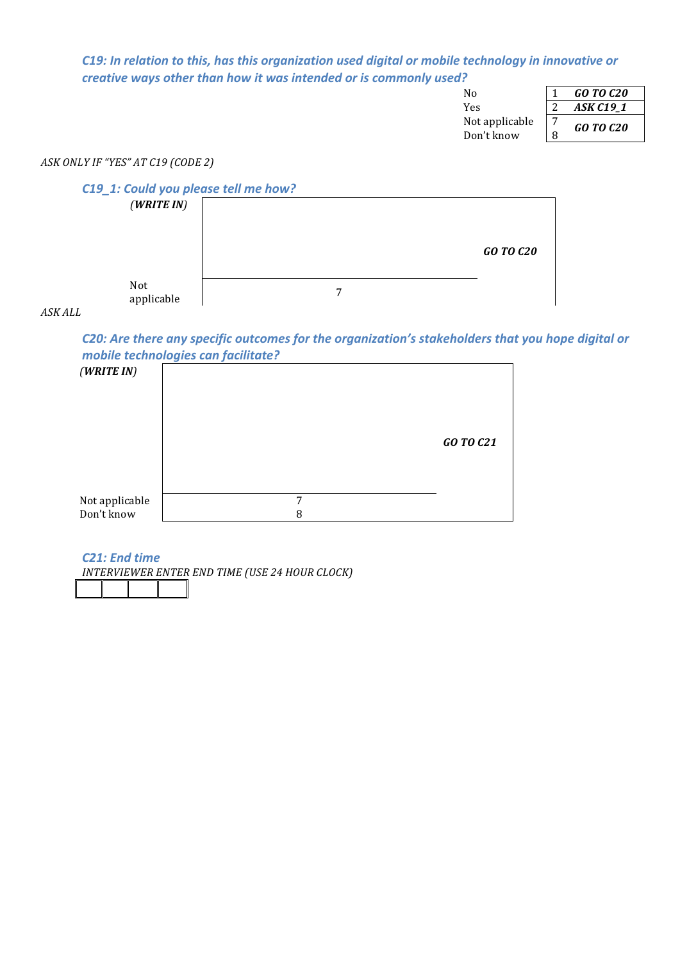### *C19: In relation to this, has this organization used digital or mobile technology in innovative or creative ways other than how it was intended or is commonly used?*

| N٥             |   | GO TO C20        |
|----------------|---|------------------|
| Yes            |   | <b>ASK C19 1</b> |
| Not applicable |   | GO TO C20        |
| Don't know     | R |                  |

#### *ASK%ONLY%IF%"YES"%AT%C19%(CODE%2)*



### *ASK%ALL*

*C20: Are there any specific outcomes for the organization's stakeholders that you hope digital or mobile technologies can facilitate?* 



**C21: End time** 

*INTERVIEWER%ENTER%END%TIME%(USE%24%HOUR%CLOCK)*

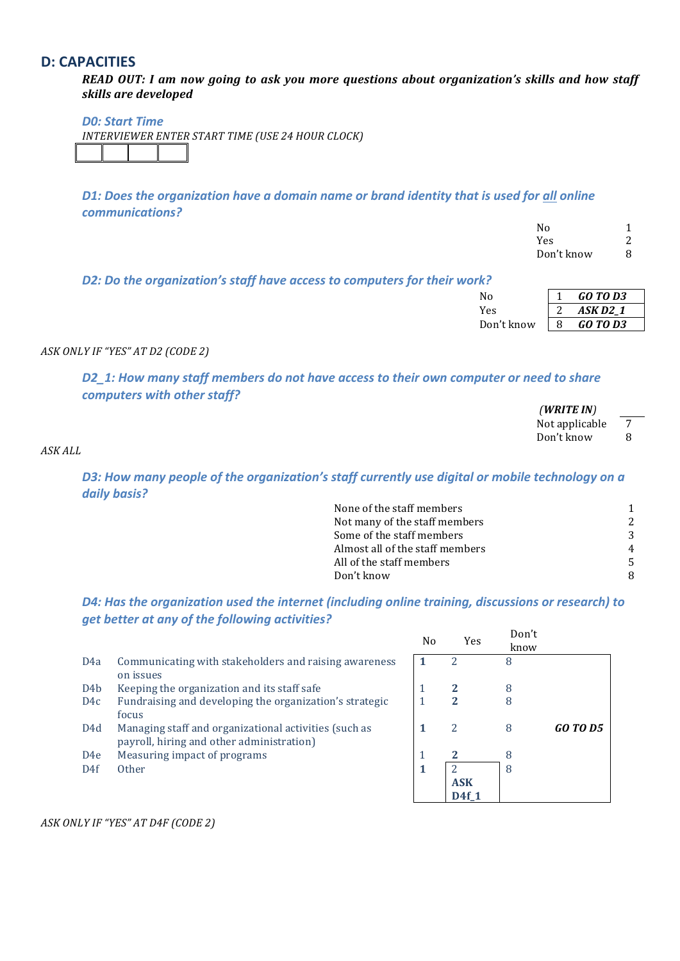### **D: CAPACITIES**

*READ* OUT: I am now going to ask you more questions about organization's skills and how staff *skills'are'developed*

*D0: Start Time* 

**INTERVIEWER ENTER START TIME (USE 24 HOUR CLOCK)** 

*D1: Does the organization have a domain name or brand identity that is used for all online communications?*

| No         |   |
|------------|---|
| Yes        | 2 |
| Don't know | 8 |

D2: Do the organization's staff have access to computers for their work?

| N٥         |   | GO TO D3 |
|------------|---|----------|
| <b>Yes</b> |   | ASK D2-1 |
| Don't know | 8 | GO TO D3 |

#### *ASK%ONLY%IF%"YES"%AT D2%(CODE%2)*

*D2\_1: How many staff members do not have access to their own computer or need to share* computers with other staff?

| (WRITE IN)     | the control of the control |
|----------------|----------------------------|
| Not applicable | $\overline{ }$             |
| Don't know     |                            |

#### $ASKALL$

D3: How many people of the organization's staff currently use digital or mobile technology on a daily basis?

| None of the staff members       |   |
|---------------------------------|---|
| Not many of the staff members   | 2 |
| Some of the staff members       | 3 |
| Almost all of the staff members | 4 |
| All of the staff members        | 5 |
| Don't know                      | 8 |
|                                 |   |

*D4: Has the organization used the internet (including online training, discussions or research) to* get better at any of the following activities?  $Don't$ 

|                  |                                                                                                    | No | Yes        | ້ນ ບ⊥ະເ<br>know |          |
|------------------|----------------------------------------------------------------------------------------------------|----|------------|-----------------|----------|
| D <sub>4</sub> a | Communicating with stakeholders and raising awareness<br>on issues                                 |    |            | 8               |          |
| D <sub>4</sub> b | Keeping the organization and its staff safe                                                        | 1  |            | 8               |          |
| D4c              | Fundraising and developing the organization's strategic<br>focus                                   |    |            | 8               |          |
| D <sub>4</sub> d | Managing staff and organizational activities (such as<br>payroll, hiring and other administration) | 1  | 2          | 8               | GO TO D5 |
| D <sub>4e</sub>  | Measuring impact of programs                                                                       | 1  |            | 8               |          |
| D4f              | <b>Other</b>                                                                                       | 1  |            | 8               |          |
|                  |                                                                                                    |    | <b>ASK</b> |                 |          |
|                  |                                                                                                    |    | D4f 1      |                 |          |

*ASK%ONLY%IF%"YES"%AT D4F%(CODE%2)*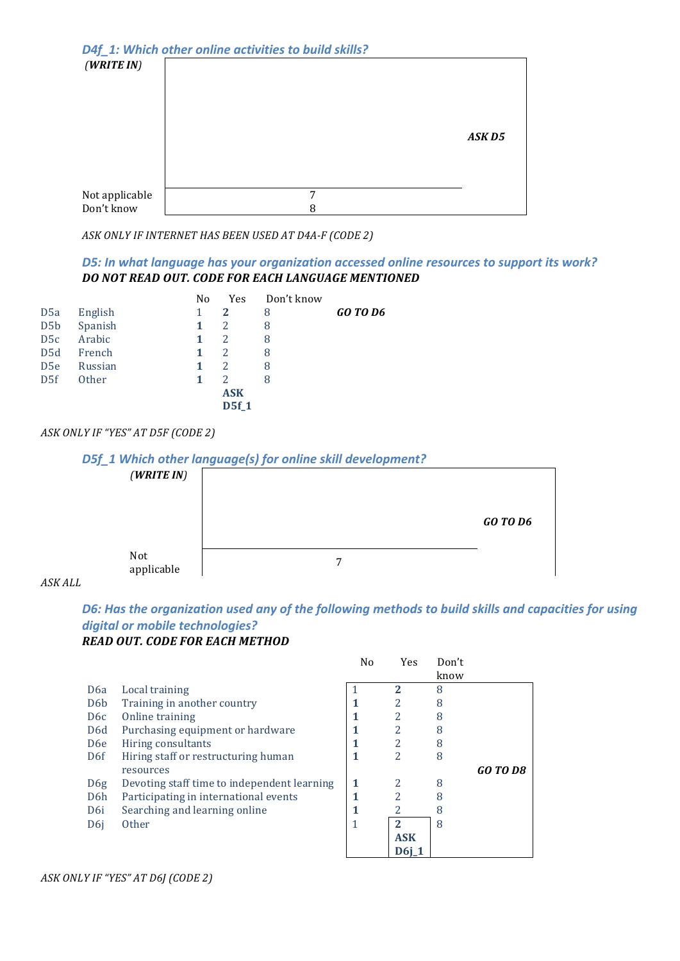|                              | D4f_1: Which other online activities to build skills? |        |
|------------------------------|-------------------------------------------------------|--------|
| (WRITEIN)                    |                                                       |        |
|                              |                                                       | ASK D5 |
| Not applicable<br>Don't know | 7<br>8                                                |        |

ASK ONLY IF INTERNET HAS BEEN USED AT D4A-F (CODE 2)

*D5: In what language has your organization accessed online resources to support its work? DO'NOT'READ'OUT.'CODE'FOR'EACH'LANGUAGE MENTIONED*

|                  |         | No | Yes        | Don't know |          |
|------------------|---------|----|------------|------------|----------|
| D <sub>5</sub> a | English | 1  | 2          | 8          | GO TO D6 |
| D <sub>5</sub> b | Spanish | 1  | 2          | 8          |          |
| D <sub>5</sub> c | Arabic  | 1  | 2          | 8          |          |
| D <sub>5</sub> d | French  | 1  | 2          | 8          |          |
| D <sub>5e</sub>  | Russian | 1  | 2          | 8          |          |
| D <sub>5f</sub>  | Other   | 1  | 2          | 8          |          |
|                  |         |    | <b>ASK</b> |            |          |
|                  |         |    | D5f_1      |            |          |

#### *ASK ONLY IF "YES" AT D5F (CODE 2)*



*ASK%ALL*

*D6: Has the organization used any of the following methods to build skills and capacities for using* digital or mobile technologies? *READ OUT. CODE FOR EACH METHOD* 

|                  |                                             | N <sub>0</sub> | Yes            | Don't |          |
|------------------|---------------------------------------------|----------------|----------------|-------|----------|
|                  |                                             |                |                | know  |          |
| D <sub>6</sub> a | Local training                              |                | $\overline{2}$ | 8     |          |
| D <sub>6</sub> b | Training in another country                 |                | 2              | 8     |          |
| D <sub>6</sub> c | Online training                             |                | 2              | 8     |          |
| D <sub>6</sub> d | Purchasing equipment or hardware            |                | 2              | 8     |          |
| D <sub>6e</sub>  | Hiring consultants                          |                | 2              | 8     |          |
| D <sub>6f</sub>  | Hiring staff or restructuring human         |                | 2              | 8     |          |
|                  | resources                                   |                |                |       | GO TO D8 |
| D <sub>6</sub> g | Devoting staff time to independent learning |                | 2              | 8     |          |
| D <sub>6</sub> h | Participating in international events       |                |                | 8     |          |
| D <sub>6i</sub>  | Searching and learning online               |                |                | 8     |          |
| D <sub>6</sub> j | <b>Other</b>                                | 1              | $\mathcal{P}$  | 8     |          |
|                  |                                             |                | <b>ASK</b>     |       |          |
|                  |                                             |                | <b>D6i 1</b>   |       |          |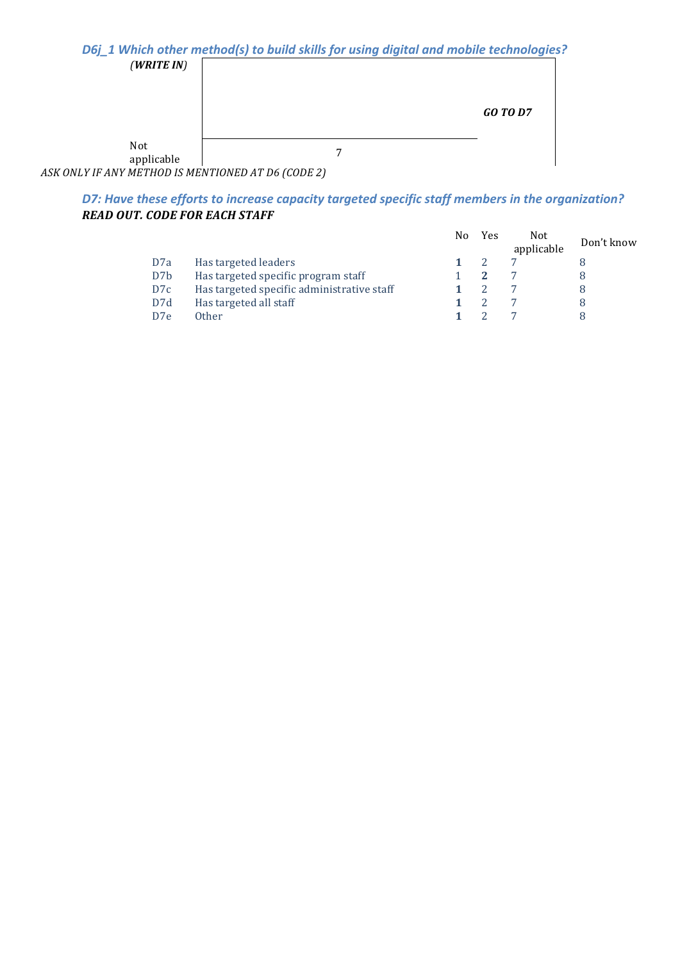# *D6j\_1 Which other method(s) to build skills for using digital and mobile technologies?*

| (WRITEIN)         |   |                 |
|-------------------|---|-----------------|
|                   |   | <b>GO TO D7</b> |
| Not<br>applicable | 7 |                 |

*ASK%ONLY%IF%ANY%METHOD%IS%MENTIONED%AT%D6%(CODE%2)*

### *D7: Have these efforts to increase capacity targeted specific staff members in the organization?* **READ OUT. CODE FOR EACH STAFF**

|                  |                                            | No. | Yes | Not<br>applicable | Don't know |
|------------------|--------------------------------------------|-----|-----|-------------------|------------|
| D <sub>7</sub> a | Has targeted leaders                       |     |     |                   |            |
| D <sub>7</sub> b | Has targeted specific program staff        |     |     |                   |            |
| D <sub>7</sub> c | Has targeted specific administrative staff |     |     |                   |            |
| D7d              | Has targeted all staff                     |     |     |                   |            |
| D <sub>7e</sub>  | 0ther                                      |     |     |                   |            |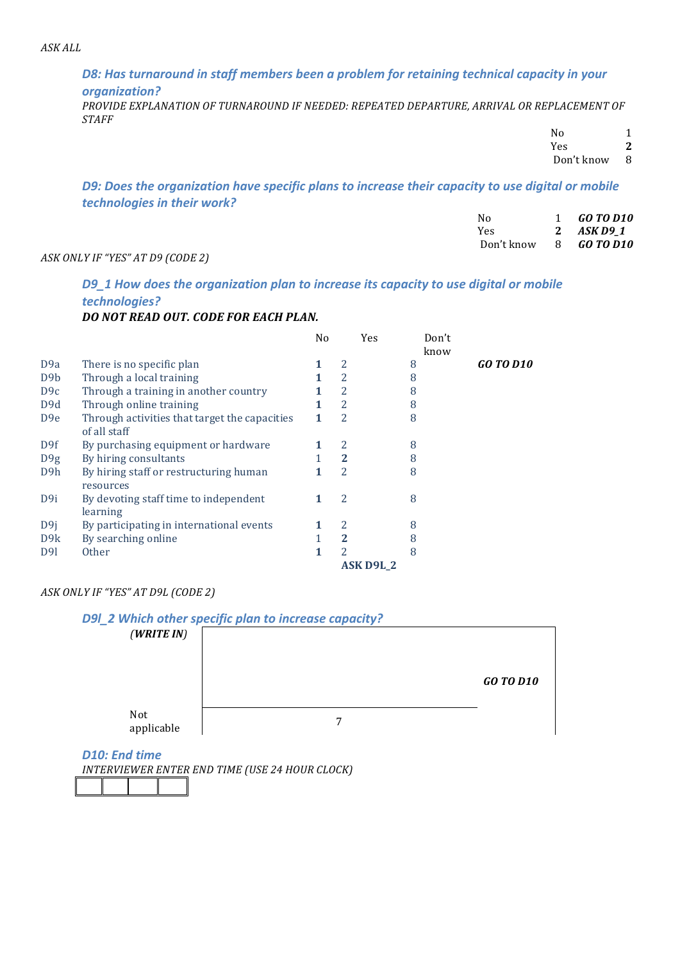*D8: Has turnaround in staff members been a problem for retaining technical capacity in your organization?*

PROVIDE EXPLANATION OF TURNAROUND IF NEEDED: REPEATED DEPARTURE, ARRIVAL OR REPLACEMENT OF *STAFF*

| N٥         |   |
|------------|---|
| Yes        | 2 |
| Don't know | 8 |

*D9: Does the organization have specific plans to increase their capacity to use digital or mobile* technologies in their work?

|                                   | No                            | $1 \quad$ | GO TO D10 |
|-----------------------------------|-------------------------------|-----------|-----------|
|                                   | Yes                           | 2         | ASK D9_1  |
|                                   | Don't know 8 <b>GO TO D10</b> |           |           |
| $P''$ $WPP''$ $AP$ $DQ$ $(CDDPQ)$ |                               |           |           |

*ASK%ONLY%IF%"YES"%AT D9%(CODE%2)*

## D9\_1 How does the organization plan to increase its capacity to use digital or mobile *technologies?%*

### *DO NOT READ OUT. CODE FOR EACH PLAN.*

|                  |                                               | N <sub>0</sub> | Yes              | Don't |           |
|------------------|-----------------------------------------------|----------------|------------------|-------|-----------|
|                  |                                               |                |                  | know  |           |
| D9a              | There is no specific plan                     |                | 2                | 8     | GO TO D10 |
| D <sub>9</sub> b | Through a local training                      |                | 2                | 8     |           |
| D9c              | Through a training in another country         |                | 2                | 8     |           |
| D <sub>9</sub> d | Through online training                       |                | 2                | 8     |           |
| D <sub>9e</sub>  | Through activities that target the capacities |                | 2                | 8     |           |
|                  | of all staff                                  |                |                  |       |           |
| D <sub>9f</sub>  | By purchasing equipment or hardware           |                | 2                | 8     |           |
| D <sub>9g</sub>  | By hiring consultants                         |                | $\mathbf{2}$     | 8     |           |
| D <sub>9</sub> h | By hiring staff or restructuring human        |                | 2                | 8     |           |
|                  | resources                                     |                |                  |       |           |
| D <sub>9i</sub>  | By devoting staff time to independent         | 1              | 2                | 8     |           |
|                  | learning                                      |                |                  |       |           |
| D9j              | By participating in international events      |                | 2                | 8     |           |
| D <sub>9</sub> k | By searching online                           |                | 2                | 8     |           |
| D <sub>9</sub>   | <b>Other</b>                                  |                | 2                | 8     |           |
|                  |                                               |                | <b>ASK D9L 2</b> |       |           |

### *ASK%ONLY%IF%"YES"%AT D9L%(CODE%2)*

| D9I_2 Which other specific plan to increase capacity? |  |           |  |
|-------------------------------------------------------|--|-----------|--|
| (WRITEIN)                                             |  |           |  |
|                                                       |  | GO TO D10 |  |
| Not<br>applicable                                     |  |           |  |

**D10: End time** 

*INTERVIEWER%ENTER%END%TIME%(USE%24%HOUR%CLOCK)*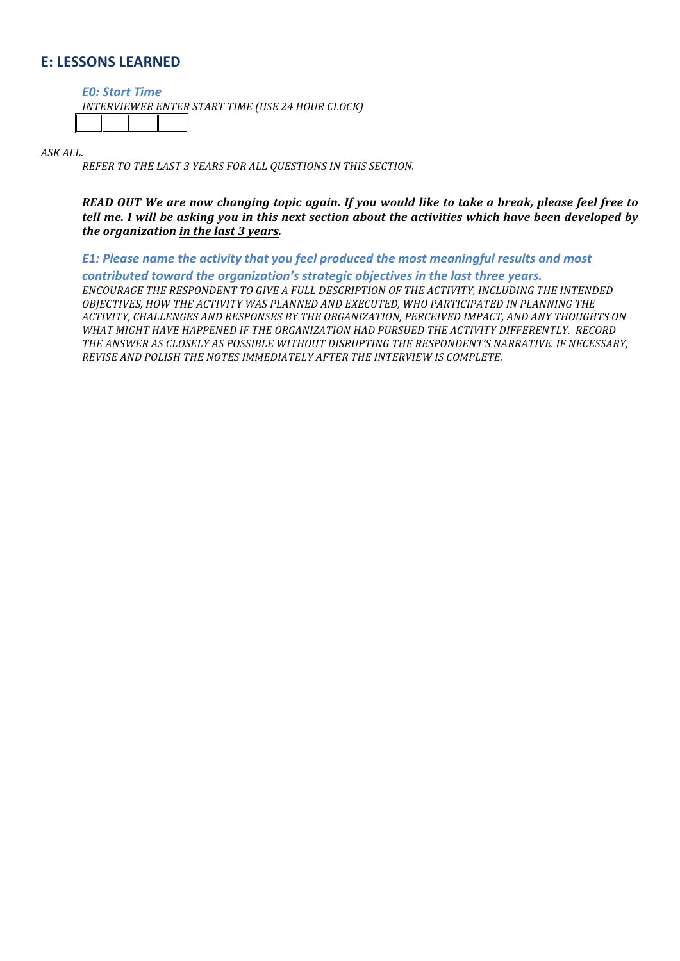### **E: LESSONS LEARNED**

*E0: Start Time* 

**INTERVIEWER ENTER START TIME (USE 24 HOUR CLOCK)** 

 $ASKALL.$ 

*REFER%TO%THE%LAST%3%YEARS%FOR%ALL%QUESTIONS%IN%THIS%SECTION.*

*READ'OUT'We'are'now'changing'topic'again.'If'you'would'like'to'take'a'break,'please'feel'free'to'* tell me. I will be asking you in this next section about the activities which have been developed by *the'organization'in'the'last'3'years.*

*E1:%Please%name%the%activity%that%you%feel%produced%the%most%meaningful%results%and%most%* contributed toward the organization's strategic objectives in the last three years. *ENCOURAGE%THE%RESPONDENT%TO%GIVE%A%FULL%DESCRIPTION%OF%THE%ACTIVITY,%INCLUDING%THE%INTENDED% OBJECTIVES,%HOW%THE%ACTIVITY%WAS%PLANNED%AND%EXECUTED,%WHO%PARTICIPATED%IN%PLANNING%THE% ACTIVITY,%CHALLENGES AND%RESPONSES%BY%THE ORGANIZATION,%PERCEIVED%IMPACT,%AND%ANY%THOUGHTS%ON% WHAT%MIGHT%HAVE%HAPPENED%IF%THE%ORGANIZATION%HAD%PURSUED%THE ACTIVITY%DIFFERENTLY.%%RECORD% THE%ANSWER%AS%CLOSELY%AS%POSSIBLE%WITHOUT%DISRUPTING%THE%RESPONDENT'S%NARRATIVE. IF%NECESSARY,% REVISE%AND%POLISH%THE%NOTES%IMMEDIATELY%AFTER%THE%INTERVIEW%IS%COMPLETE.%*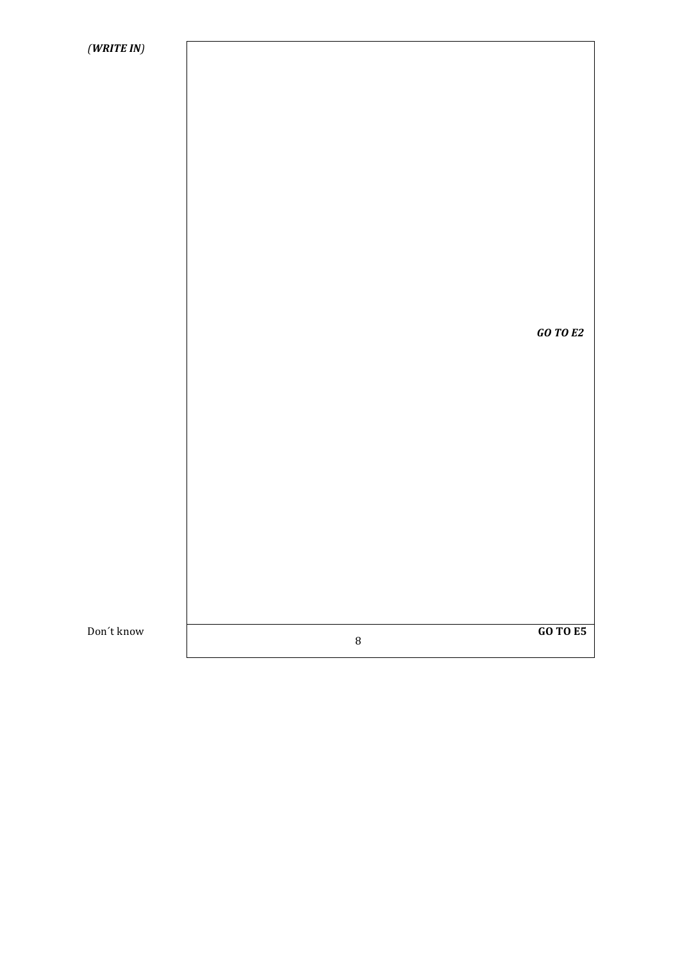*GO'TO'E2*

Don't know

8

**GO!TO!E5**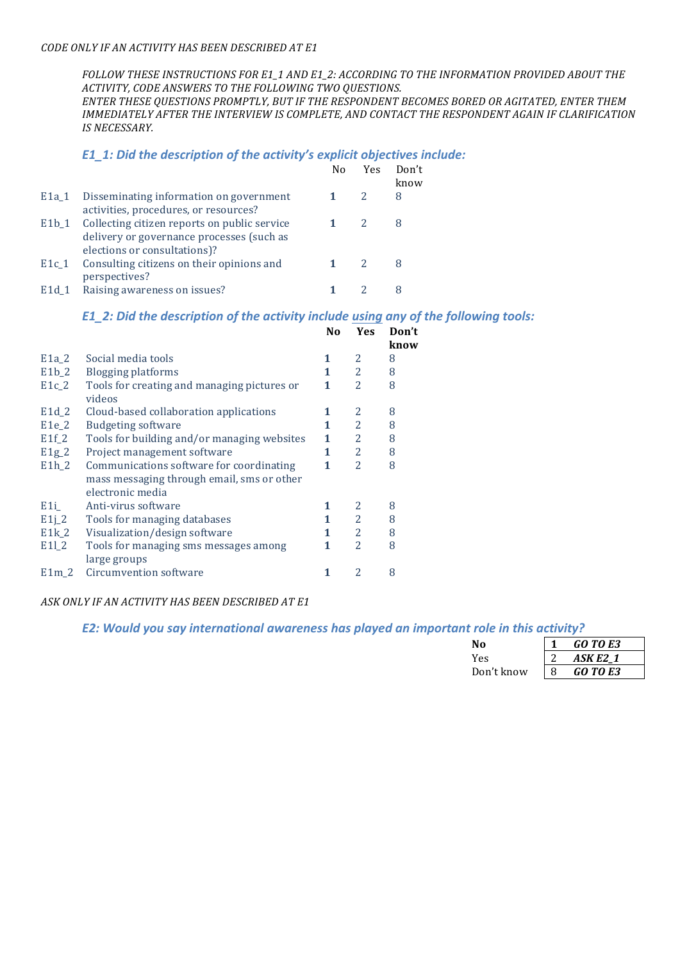#### *CODE%ONLY%IF%AN%ACTIVITY%HAS%BEEN%DESCRIBED%AT%E1*

*FOLLOW%THESE%INSTRUCTIONS%FOR%E1\_1%AND%E1\_2:%ACCORDING%TO%THE%INFORMATION%PROVIDED%ABOUT%THE%* ACTIVITY, CODE ANSWERS TO THE FOLLOWING TWO QUESTIONS.

*ENTER%THESE%QUESTIONS%PROMPTLY,%BUT%IF%THE%RESPONDENT%BECOMES%BORED%OR%AGITATED, ENTER THEM% IMMEDIATELY%AFTER%THE%INTERVIEW%IS%COMPLETE,%AND%CONTACT%THE RESPONDENT%AGAIN%IF%CLARIFICATION% IS%NECESSARY.%*

### *E1\_1:%Did%the%description%of%the%activity's%explicit%objectives%include:*

|         |                                                                                                                                             | Yes | Don't<br>know |
|---------|---------------------------------------------------------------------------------------------------------------------------------------------|-----|---------------|
| E1a 1   | Disseminating information on government<br>activities, procedures, or resources?                                                            |     | 8             |
|         | E1b <sub>_1</sub> Collecting citizen reports on public service<br>delivery or governance processes (such as<br>elections or consultations)? |     |               |
| $E1c_1$ | Consulting citizens on their opinions and<br>perspectives?                                                                                  |     |               |
| E1d 1   | Raising awareness on issues?                                                                                                                |     |               |

#### *E1\_2:%Did%the%description%of%the%activity%include%using any%of%the%following%tools:*

|                    |                                                                                                            | No | <b>Yes</b>     | Don't<br>know |
|--------------------|------------------------------------------------------------------------------------------------------------|----|----------------|---------------|
| $E1a_2$            | Social media tools                                                                                         | 1  | 2              | 8             |
| $E1b_2$            | Blogging platforms                                                                                         | 1  | $\overline{2}$ | 8             |
| $E1c_2$            | Tools for creating and managing pictures or<br>videos                                                      | 1  | $\mathcal{L}$  | 8             |
| E <sub>1</sub> d 2 | Cloud-based collaboration applications                                                                     | 1  | 2              | 8             |
| E1e 2              | <b>Budgeting software</b>                                                                                  | 1  | 2              | 8             |
| $E1f_2$            | Tools for building and/or managing websites                                                                | 1  | 2              | 8             |
| $E1g_2$            | Project management software                                                                                | 1  | $\overline{2}$ | 8             |
| E1h 2              | Communications software for coordinating<br>mass messaging through email, sms or other<br>electronic media | 1  | $\overline{2}$ | 8             |
| E1i                | Anti-virus software                                                                                        | 1  | 2              | 8             |
| $E1j_2$            | Tools for managing databases                                                                               | 1  | 2              | 8             |
| $E1k_2$            | Visualization/design software                                                                              | 1  | 2              | 8             |
| $E11_2$            | Tools for managing sms messages among<br>large groups                                                      | 1  | $\overline{2}$ | 8             |
| $E1m_2$            | Circumvention software                                                                                     | 1  | 2              | 8             |

#### *ASK%ONLY%IF%AN%ACTIVITY%HAS%BEEN%DESCRIBED%AT%E1*

#### *E2: Would you say international awareness has played an important role in this activity?*

| Nο         |   | GO TO E3        |
|------------|---|-----------------|
| Yes        |   | <b>ASK E2_1</b> |
| Don't know | 8 | GO TO E3        |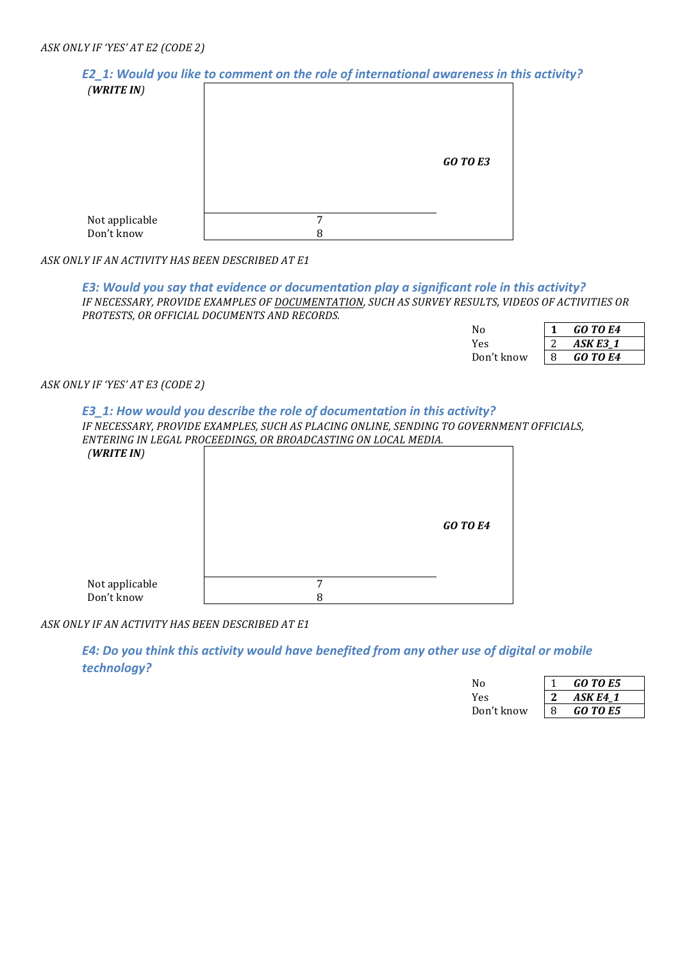**E2\_1: Would you like to comment on the role of international awareness in this activity?** *(WRITE'IN)*

| (WRITE IN)                   |        |                 |
|------------------------------|--------|-----------------|
|                              |        | <b>GO TO E3</b> |
| Not applicable<br>Don't know | 7<br>8 |                 |

#### *ASK%ONLY%IF%AN%ACTIVITY%HAS%BEEN%DESCRIBED%AT%E1*

*E3: Would you say that evidence or documentation play a significant role in this activity?* IF NECESSARY, PROVIDE EXAMPLES OF DOCUMENTATION, SUCH AS SURVEY RESULTS, VIDEOS OF ACTIVITIES OR *PROTESTS,%OR%OFFICIAL%DOCUMENTS%AND%RECORDS.%*

| N٥         | GO TO E4 |
|------------|----------|
| Yes        | ASK E3 1 |
| Don't know | GO TO E4 |

*ASK%ONLY%IF%'YES'%AT E3%(CODE%2)*

#### *E3\_1:%How%would%you%describe%the%role%of%documentation%in%this%activity?*

IF NECESSARY, PROVIDE EXAMPLES, SUCH AS PLACING ONLINE, SENDING TO GOVERNMENT OFFICIALS, *ENTERING%IN%LEGAL%PROCEEDINGS,%OR%BROADCASTING%ON%LOCAL%MEDIA.%*

| WRITE.<br>IN |  |
|--------------|--|
|              |  |

| (WRITEIN)                    |        |                 |
|------------------------------|--------|-----------------|
|                              |        | <b>GO TO E4</b> |
| Not applicable<br>Don't know | 7<br>8 |                 |

*ASK%ONLY%IF%AN%ACTIVITY%HAS%BEEN%DESCRIBED%AT%E1*

*E4:%Do%you%think%this%activity%would%have%benefited%from%any%other%use%of%digital%or%mobile% technology?*

| Nο         |   | <b>GO TO E5</b> |
|------------|---|-----------------|
| Yes        |   | ASK E4 1        |
| Don't know | 8 | GO TO E5        |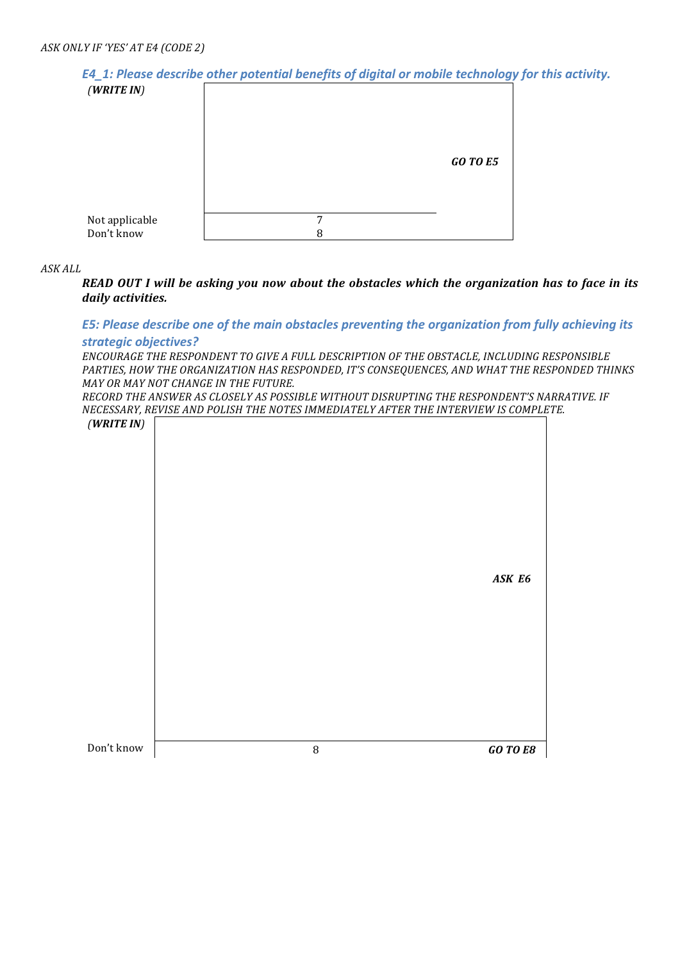*E4\_1: Please describe other potential benefits of digital or mobile technology for this activity. (WRITE'IN)*



#### $ASKALL$

*READ OUT I will be asking you now about the obstacles which the organization has to face in its daily'activities.*

*E5: Please describe one of the main obstacles preventing the organization from fully achieving its* strategic objectives?

*ENCOURAGE%THE%RESPONDENT%TO%GIVE%A%FULL%DESCRIPTION%OF%THE%OBSTACLE,%INCLUDING%RESPONSIBLE%* PARTIES, HOW THE ORGANIZATION HAS RESPONDED, IT'S CONSEQUENCES, AND WHAT THE RESPONDED THINKS MAY OR MAY NOT CHANGE IN THE FUTURE.

*RECORD%THE%ANSWER%AS CLOSELY%AS%POSSIBLE%WITHOUT%DISRUPTING%THE%RESPONDENT'S%NARRATIVE.%IF% NECESSARY,%REVISE%AND%POLISH%THE%NOTES%IMMEDIATELY%AFTER%THE%INTERVIEW%IS%COMPLETE.%*

 $(WRITEIN)$ 

| Don't know | $\, 8$ | $\it GO$ TO $E8$ |
|------------|--------|------------------|
|            |        |                  |
|            |        |                  |
|            |        |                  |
|            |        |                  |
|            |        |                  |
|            |        |                  |
|            |        |                  |
|            |        | ASK E6           |
|            |        |                  |
|            |        |                  |
|            |        |                  |
|            |        |                  |
|            |        |                  |
| (WKIIE IN) |        |                  |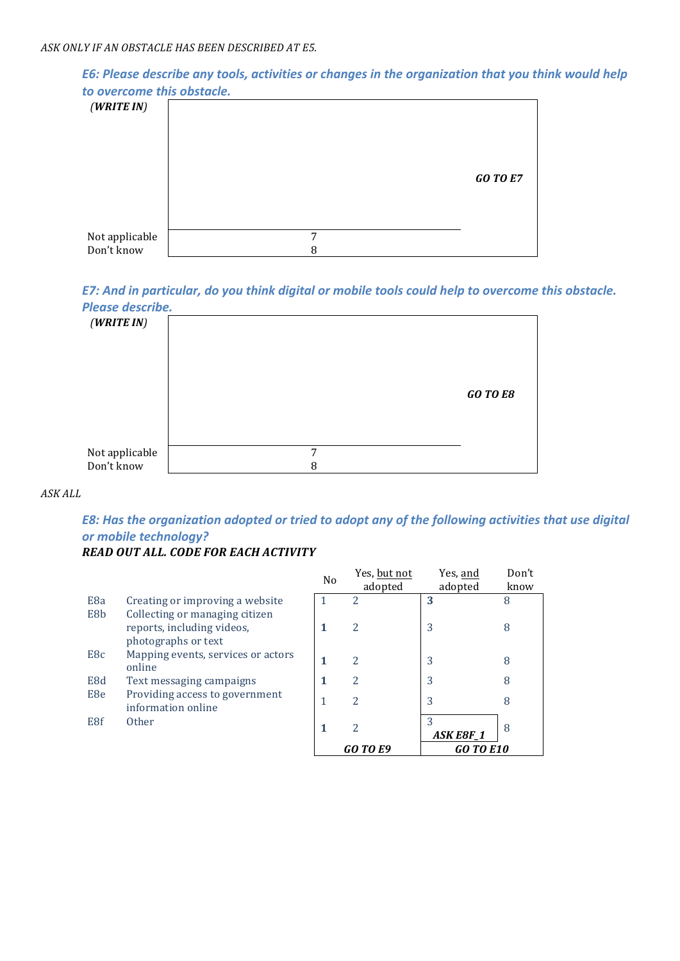

*E6: Please describe any tools, activities or changes in the organization that you think would help* 

*E7: And in particular, do you think digital or mobile tools could help to overcome this obstacle.* **Please describe.** 



 $ASKALL$ 

*E8: Has the organization adopted or tried to adopt any of the following activities that use digital* or mobile technology? *READ'OUT'ALL.'CODE'FOR'EACH'ACTIVITY*

|                  |                                    | N <sub>0</sub> | Yes, but not   | Yes, and  | Don't |
|------------------|------------------------------------|----------------|----------------|-----------|-------|
|                  |                                    |                | adopted        | adopted   | know  |
| E <sub>8</sub> a | Creating or improving a website    |                | 2              | 3         | 8     |
| E8b              | Collecting or managing citizen     |                |                |           |       |
|                  | reports, including videos,         |                |                | 3         | 8     |
|                  | photographs or text                |                |                |           |       |
| E <sub>8</sub> c | Mapping events, services or actors | 1              | $\overline{2}$ | 3         | 8     |
|                  | online                             |                |                |           |       |
| E <sub>8</sub> d | Text messaging campaigns           |                | 2              | 3         | 8     |
| E <sub>8e</sub>  | Providing access to government     |                | 2              | 3         | 8     |
|                  | information online                 |                |                |           |       |
| E <sub>8f</sub>  | Other                              |                | 2              | 3         | 8     |
|                  |                                    |                |                | ASK E8F_1 |       |
|                  |                                    |                | GO TO E9       | GO TO E10 |       |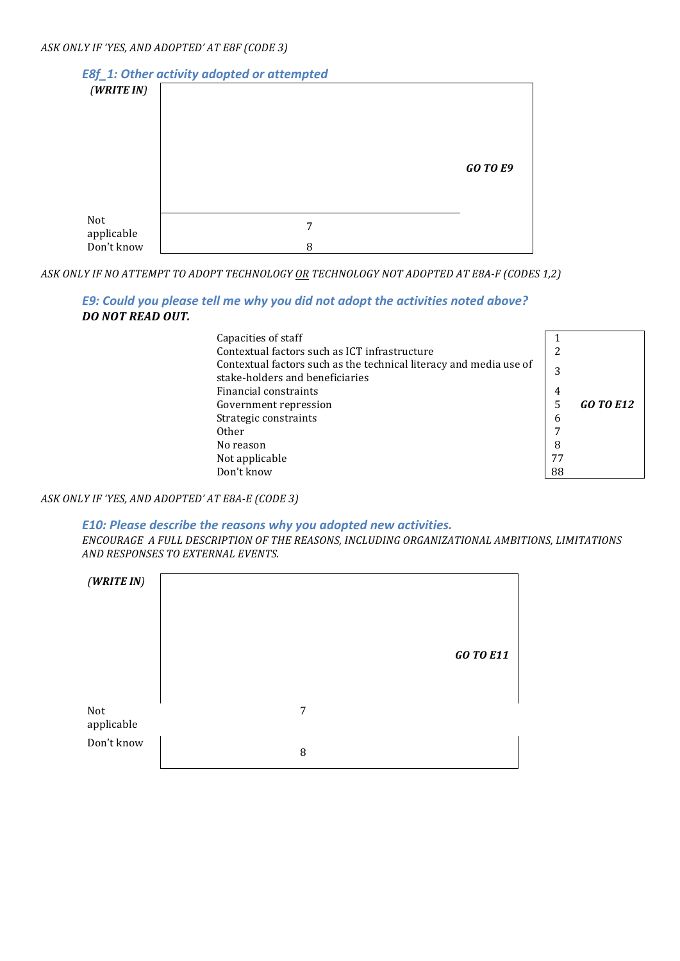

ASK ONLY IF NO ATTEMPT TO ADOPT TECHNOLOGY OR TECHNOLOGY NOT ADOPTED AT E8A-F (CODES 1,2)

### *E9:%Could%you%please%tell%me%why%you%did%not%adopt%the%activities noted%above?% DONOT READ OUT.*

| Capacities of staff                                                                                   |    |                  |
|-------------------------------------------------------------------------------------------------------|----|------------------|
| Contextual factors such as ICT infrastructure                                                         | 2  |                  |
| Contextual factors such as the technical literacy and media use of<br>stake-holders and beneficiaries | 3  |                  |
| Financial constraints                                                                                 | 4  |                  |
| Government repression                                                                                 |    | <b>GO TO E12</b> |
| Strategic constraints                                                                                 | 6  |                  |
| Other                                                                                                 |    |                  |
| No reason                                                                                             | 8  |                  |
| Not applicable                                                                                        | 77 |                  |
| Don't know                                                                                            | 88 |                  |

#### ASK ONLY IF 'YES, AND ADOPTED' AT E8A-E (CODE 3)

#### *E10: Please describe the reasons why you adopted new activities.*

ENCOURAGE A FULL DESCRIPTION OF THE REASONS, INCLUDING ORGANIZATIONAL AMBITIONS, LIMITATIONS **AND RESPONSES TO EXTERNAL EVENTS.** 

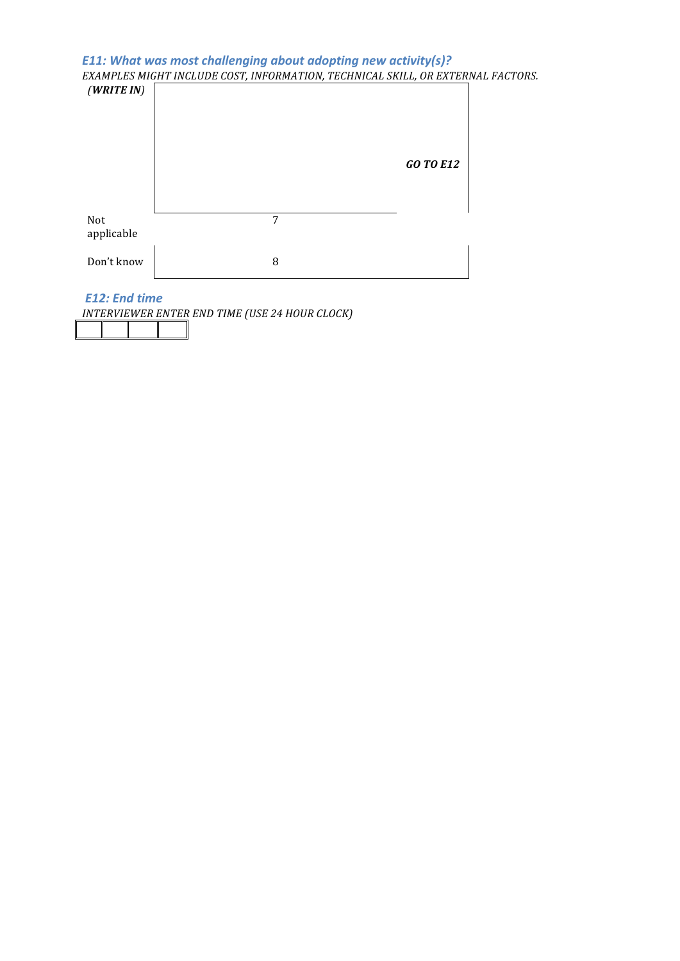

### **E12: End time**

*INTERVIEWER%ENTER%END%TIME%(USE%24%HOUR%CLOCK)*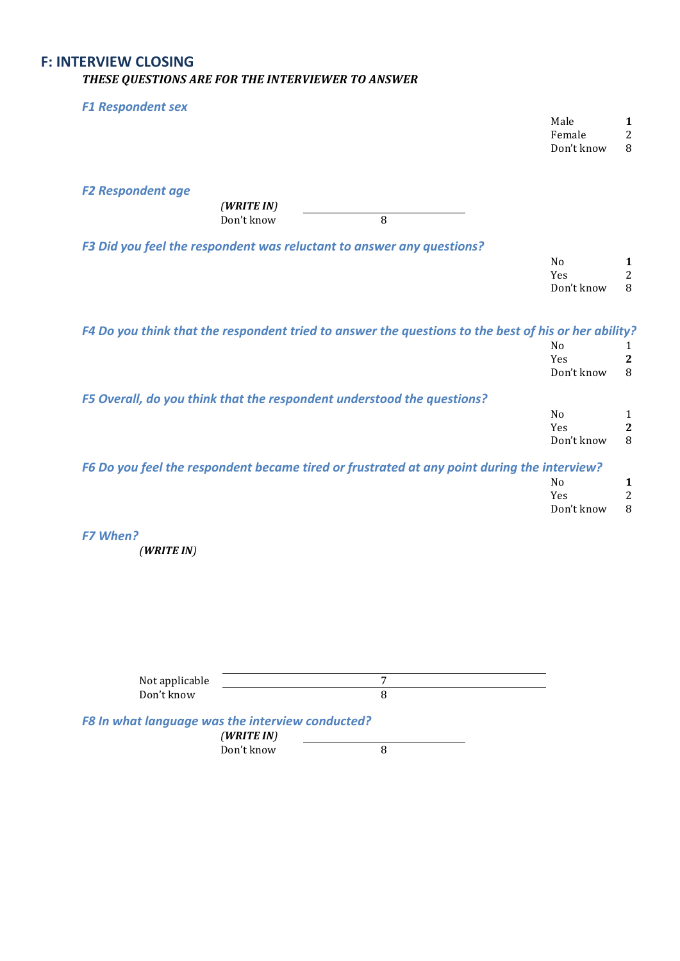# **F: INTERVIEW CLOSING** *THESE'QUESTIONS'ARE'FOR'THE'INTERVIEWER'TO'ANSWER*

**F1 Respondent sex** Male **1** Female 2 Don't know 8 *F2%Respondent%age (WRITE'IN)* Don't know  $\overline{\qquad \qquad }$  8 F3 Did you feel the respondent was reluctant to answer any questions? No **1** Yes 2 Don't know 8 F4 Do you think that the respondent tried to answer the questions to the best of his or her ability? No 1 Yes **2** Don't know 8 *F5%Overall,%do%you%think%that%the%respondent%understood%the%questions?* No 1 Yes **2** Don't know 8 F6 Do you feel the respondent became tired or frustrated at any point during the interview? No **1** Yes 2 Don't know 8

*F7%When?*

*(WRITE'IN)*

| Not applicable                                   |            | − |  |
|--------------------------------------------------|------------|---|--|
| Don't know                                       |            | 8 |  |
| F8 In what language was the interview conducted? | (WRITE IN) |   |  |
|                                                  | Don't know |   |  |
|                                                  |            |   |  |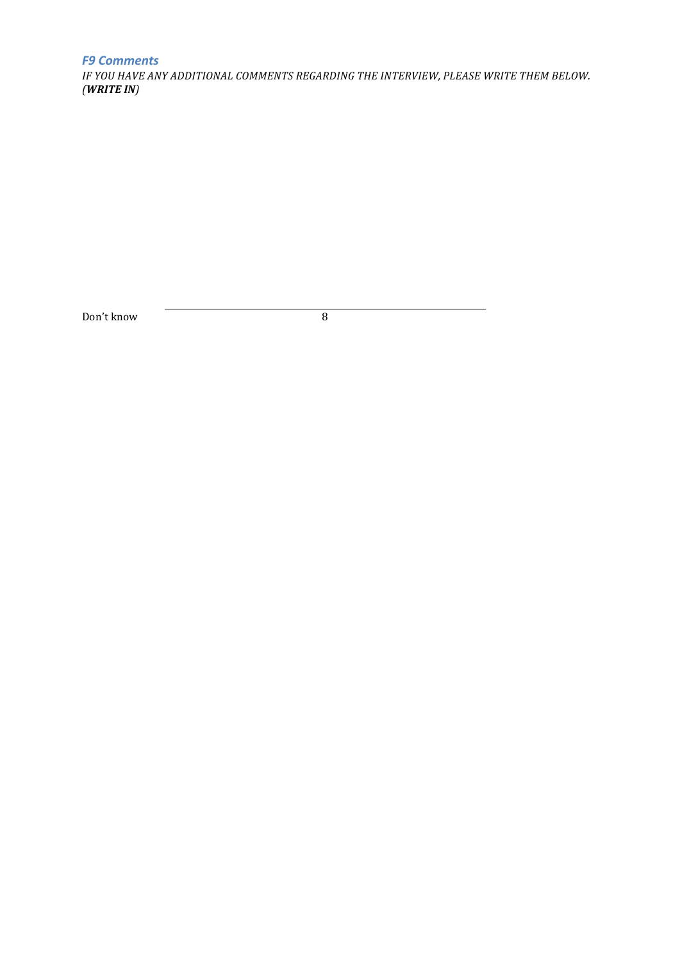### *F9%Comments*

*IF%YOU%HAVE%ANY%ADDITIONAL%COMMENTS%REGARDING%THE%INTERVIEW, PLEASE%WRITE%THEM%BELOW. (WRITE'IN)*

Don't know 8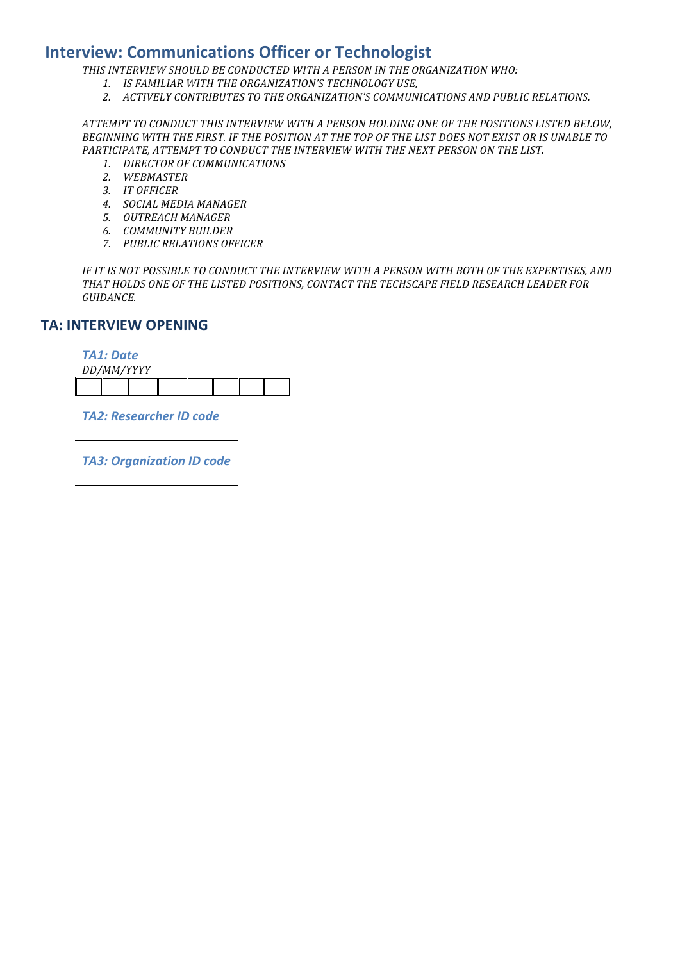# **Interview: Communications Officer or Technologist**

*THIS%INTERVIEW%SHOULD%BE%CONDUCTED%WITH%A%PERSON%IN%THE%ORGANIZATION%WHO:%*

- *1. IS%FAMILIAR%WITH%THE ORGANIZATION'S%TECHNOLOGY%USE,*
- *2. ACTIVELY%CONTRIBUTES TO%THE%ORGANIZATION'S%COMMUNICATIONS%AND PUBLIC%RELATIONS.*

*ATTEMPT%TO%CONDUCT%THIS%INTERVIEW%WITH%A PERSON%HOLDING%ONE%OF%THE%POSITIONS%LISTED%BELOW,% BEGINNING%WITH%THE%FIRST.%IF%THE%POSITION%AT%THE%TOP%OF%THE%LIST%DOES%NOT%EXIST%OR%IS%UNABLE%TO%* PARTICIPATE, ATTEMPT TO CONDUCT THE INTERVIEW WITH THE NEXT PERSON ON THE LIST.

- 1. **DIRECTOR OF COMMUNICATIONS**
- *2. WEBMASTER*
- 3. *IT OFFICER*
- *4. SOCIAL%MEDIA%MANAGER*
- *5. OUTREACH%MANAGER*
- **6. COMMUNITY BUILDER**
- *7. PUBLIC%RELATIONS%OFFICER*

IF IT IS NOT POSSIBLE TO CONDUCT THE INTERVIEW WITH A PERSON WITH BOTH OF THE EXPERTISES, AND *THAT%HOLDS%ONE%OF%THE%LISTED%POSITIONS, CONTACT%THE%TECHSCAPE%FIELD%RESEARCH%LEADER%FOR% GUIDANCE.*

### **TA: INTERVIEW OPENING**

*TA1:%Date*



*TA2:%Researcher%ID%code*

*TA3:%Organization%ID%code*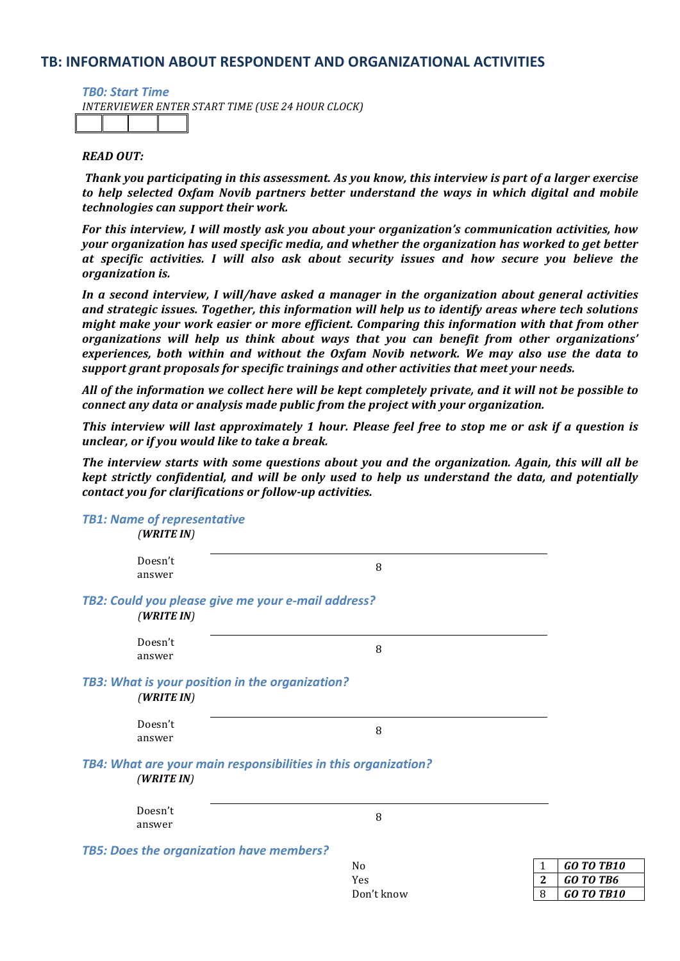### **TB: INFORMATION ABOUT RESPONDENT AND ORGANIZATIONAL ACTIVITIES**

**TB0: Start Time** 

**INTERVIEWER ENTER START TIME (USE 24 HOUR CLOCK)** 

### *READ'OUT:*

*Thank'you'participating'in'this'assessment.'As'you'know,'this'interview'is'part'of'a'larger'exercise' to' help' selected' Oxfam' Novib' partners' better' understand' the' ways' in' which' digital' and' mobile'* technologies can support their work.

For this interview, I will mostly ask you about your organization's communication activities, how *your'organization'has'used'specific'media,'and'whether'the'organization'has'worked'to'get'better' at' specific' activities.' I' will' also' ask' about' security' issues' and' how' secure' you' believe' the' organization'is.'*

*In a second interview, I will/have asked a manager in the organization about general activities and'strategic'issues.'Together,'this'information'will'help'us'to'identify'areas'where'tech'solutions' might'make'your'work'easier'or'more'efficient.'Comparing'this'information'with'that'from'other' organizations' will' help' us' think' about' ways' that' you' can' benefit' from' other' organizations'' experiences,' both' within' and' without' the' Oxfam' Novib' network.' We' may' also' use' the' data' to' support'grant'proposals'for'specific'trainings'and'other'activities'that'meet'your'needs.'*

*All'of'the'information'we'collect'here'will'be'kept'completely'private,'and'it'will'not'be'possible'to' connect'any'data'or'analysis'made'public'from'the'project'with'your'organization.'''*

*This interview will last approximately 1 hour. Please feel free to stop me or ask if a question is unclear,'or'if'you'would'like'to'take'a'break.'*

The interview starts with some questions about you and the organization. Again, this will all be *kept strictly confidential, and will be only used to help us understand the data, and potentially contact you for clarifications or follow-up activities.* 

| TD1: Name of representative<br>(WRITEIN)                                    |                |                    |
|-----------------------------------------------------------------------------|----------------|--------------------|
| Doesn't<br>answer                                                           | 8              |                    |
| TB2: Could you please give me your e-mail address?<br>(WRITEIN)             |                |                    |
| Doesn't<br>answer                                                           | 8              |                    |
| TB3: What is your position in the organization?<br>(WRITEIN)                |                |                    |
| Doesn't<br>answer                                                           | 8              |                    |
| TB4: What are your main responsibilities in this organization?<br>(WRITEIN) |                |                    |
| Doesn't<br>answer                                                           | 8              |                    |
| <b>TB5: Does the organization have members?</b>                             |                |                    |
|                                                                             | N <sub>0</sub> | GO<br>1            |
|                                                                             | Yes            | $\mathbf{2}$<br>GO |
|                                                                             | Don't know     | 8<br>GO            |

**TO TB10** Yes **2** *GO'TO'TB6* Don't(know 8 *GO'TO'TB10*

# *TB1:%Name%of%representative*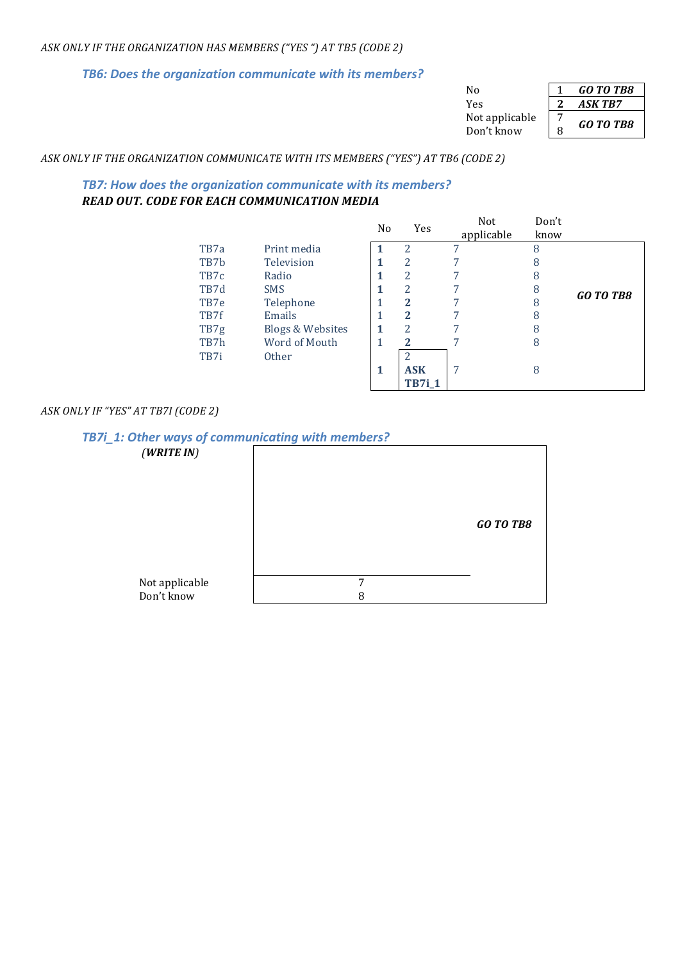### *TB6:%Does%the%organization%communicate%with%its%members?*

| Nο             |   | <b>GO TO TB8</b> |
|----------------|---|------------------|
| Yes            |   | ASK TB7          |
| Not applicable |   | <b>GO TO TB8</b> |
| Don't know     | 8 |                  |

### ASK ONLY IF THE ORGANIZATION COMMUNICATE WITH ITS MEMBERS ("YES") AT TB6 (CODE 2)

### *TB7:%How%does%the%organization%communicate%with%its%members?% READ'OUT.'CODE'FOR'EACH'COMMUNICATION'MEDIA*

|      |                             | N <sub>0</sub> | Yes            | Not<br>applicable | Don't<br>know |                  |
|------|-----------------------------|----------------|----------------|-------------------|---------------|------------------|
| TB7a | Print media                 |                | $\overline{2}$ | 7                 | 8             |                  |
| TB7b | Television                  | 1              | 2              |                   | 8             |                  |
| TB7c | Radio                       | 1              | 2              |                   | 8             |                  |
| TB7d | <b>SMS</b>                  | 1              | $\overline{c}$ |                   | 8             | <b>GO TO TB8</b> |
| TB7e | Telephone                   |                | $\overline{2}$ |                   | 8             |                  |
| TB7f | Emails                      | 1              | $\mathbf{2}$   |                   | 8             |                  |
| TB7g | <b>Blogs &amp; Websites</b> | 1              | 2              |                   | 8             |                  |
| TB7h | Word of Mouth               | 1              | $\mathbf{2}$   |                   | 8             |                  |
| TB7i | <b>Other</b>                |                | 2              |                   |               |                  |
|      |                             | 1              | <b>ASK</b>     |                   | 8             |                  |
|      |                             |                | <b>TB7i_1</b>  |                   |               |                  |

#### *ASK%ONLY%IF%"YES"%AT TB7I%(CODE%2)*

### **TB7i\_1: Other ways of communicating with members?**

| (WRITEIN)                    |        |                  |
|------------------------------|--------|------------------|
|                              |        | <b>GO TO TB8</b> |
| Not applicable<br>Don't know | ⇁<br>8 |                  |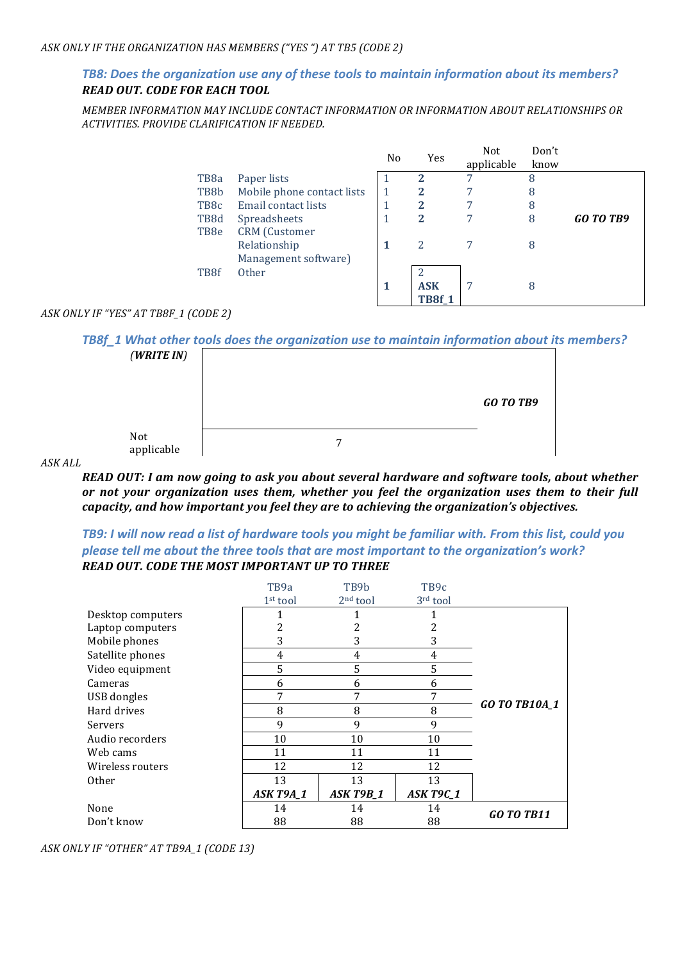### **TB8: Does the organization use any of these tools to maintain information about its members?** *READ'OUT.'CODE'FOR'EACH'TOOL*

*MEMBER%INFORMATION%MAY%INCLUDE%CONTACT%INFORMATION%OR%INFORMATION%ABOUT%RELATIONSHIPS%OR% ACTIVITIES.%PROVIDE%CLARIFICATION%IF%NEEDED.*

|                   |                            | N <sub>0</sub> | Yes            | Not<br>applicable | Don't<br>know |           |
|-------------------|----------------------------|----------------|----------------|-------------------|---------------|-----------|
| TB <sub>8</sub> a | Paper lists                |                | $\overline{2}$ | 7                 | 8             |           |
| TB <sub>8</sub> b | Mobile phone contact lists |                | $\overline{2}$ |                   | 8             |           |
| TB <sub>8</sub> c | Email contact lists        |                | $\overline{2}$ |                   | 8             |           |
| TB <sub>8</sub> d | Spreadsheets               |                | $\mathbf{2}$   | 7                 | 8             | GO TO TB9 |
| TB <sub>8e</sub>  | <b>CRM</b> (Customer       |                |                |                   |               |           |
|                   | Relationship               |                | 2              |                   | 8             |           |
|                   | Management software)       |                |                |                   |               |           |
| TB <sub>8f</sub>  | <b>Other</b>               |                |                |                   |               |           |
|                   |                            |                | <b>ASK</b>     |                   | 8             |           |
|                   |                            |                | TB8f           |                   |               |           |

#### *ASK%ONLY%IF%"YES"%AT TB8F\_1%(CODE%2)*

#### *TB8f\_1%What%other%tools%does%the%organization%use%to%maintain%information%about%its%members?%*



 $ASKALL$ 

*READ OUT: I am now going to ask you about several hardware and software tools, about whether or' not' your' organization' uses' them,' whether' you' feel' the' organization' uses' them' to' their' full' capacity,'and'how'important'you'feel'they'are'to'achieving'the'organization's'objectives.'*

### *TB9: I will now read a list of hardware tools you might be familiar with. From this list, could you please tell me about the three tools that are most important to the organization's work? READ'OUT.'CODE'THE'MOST'IMPORTANT'UP'TO'THREE*

|                   | TB <sub>9a</sub> | TB9b             | TB <sub>9c</sub> |                      |
|-------------------|------------------|------------------|------------------|----------------------|
|                   | $1st$ tool       | $2nd$ tool       | 3rd tool         |                      |
| Desktop computers |                  |                  |                  |                      |
| Laptop computers  | 2                | 2                | 2                |                      |
| Mobile phones     | 3                | 3                | 3                |                      |
| Satellite phones  | 4                | 4                | 4                |                      |
| Video equipment   | 5                | 5                | 5                |                      |
| Cameras           | 6                | 6                | 6                |                      |
| USB dongles       | 7                | 7                | 7                | <b>GO TO TB10A_1</b> |
| Hard drives       | 8                | 8                | 8                |                      |
| Servers           | 9                | 9                | 9                |                      |
| Audio recorders   | 10               | 10               | 10               |                      |
| Web cams          | 11               | 11               | 11               |                      |
| Wireless routers  | 12               | 12               | 12               |                      |
| Other             | 13               | 13               | 13               |                      |
|                   | ASK T9A_1        | <b>ASK T9B_1</b> | <b>ASK T9C_1</b> |                      |
| None              | 14               | 14               | 14               | <b>GO TO TB11</b>    |
| Don't know        | 88               | 88               | 88               |                      |

*ASK%ONLY%IF%"OTHER"%AT%TB9A\_1%(CODE%13)*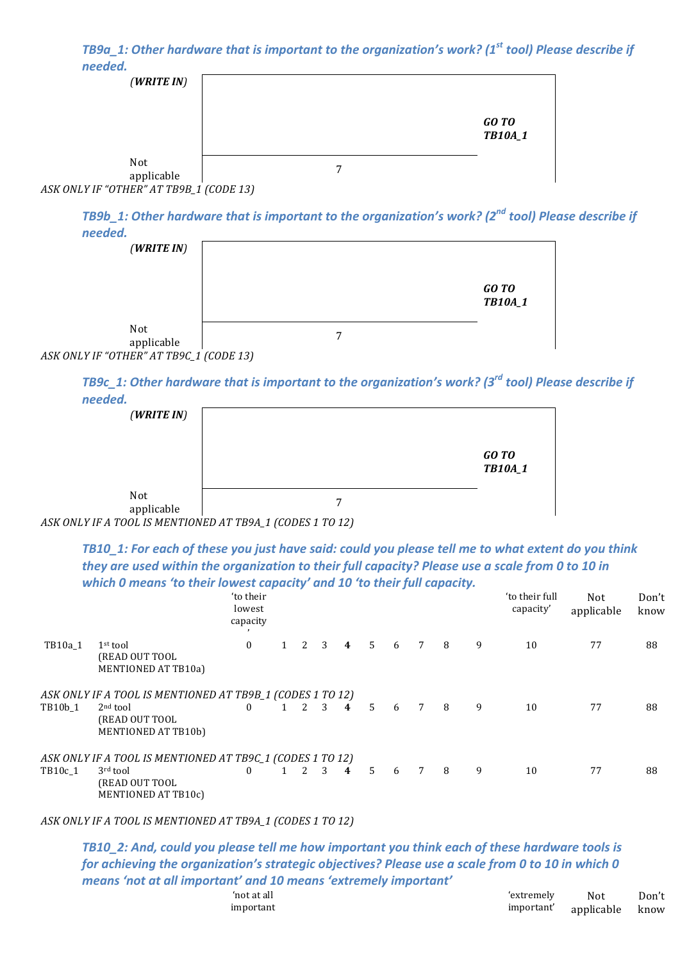*TB9a\_1: Other hardware that is important to the organization's work? (1<sup>st</sup> tool) Please describe if needed.*



*TB9b\_1: Other hardware that is important to the organization's work? (2<sup>nd</sup> tool) Please describe if needed.*



*TB9c\_1: Other hardware that is important to the organization's work? (3<sup>rd</sup> tool) Please describe if needed.*



*ASK%ONLY%IF%A%TOOL%IS%MENTIONED%AT%TB9A\_1%(CODES%1%TO%12)*

*TB10\_1: For each of these you just have said: could you please tell me to what extent do you think* they are used within the organization to their full capacity? Please use a scale from 0 to 10 in which 0 means 'to their lowest capacity' and 10 'to their full capacity.

|         |                                                            | 'to their<br>lowest<br>capacity |              |   |                     |                |             |    |   |    |   | 'to their full<br>capacity' | Not<br>applicable | Don't<br>know |
|---------|------------------------------------------------------------|---------------------------------|--------------|---|---------------------|----------------|-------------|----|---|----|---|-----------------------------|-------------------|---------------|
| TB10a 1 | $1st$ tool<br>(READ OUT TOOL<br><b>MENTIONED AT TB10a)</b> | $\mathbf{0}$                    | $\mathbf{1}$ | 2 | 3                   | 4              | $5^{\circ}$ | -6 | 7 | 8  | 9 | 10                          | 77                | 88            |
|         | ASK ONLY IF A TOOL IS MENTIONED AT TB9B_1 (CODES 1 TO 12)  |                                 |              |   |                     |                |             |    |   |    |   |                             |                   |               |
| TB10b 1 | $2nd$ tool<br>(READ OUT TOOL<br>MENTIONED AT TB10b)        | 0                               |              |   | $1 \quad 2 \quad 3$ | $\overline{4}$ | $5^{\circ}$ | -6 | 7 | -8 | 9 | 10                          | 77                | 88            |
|         | ASK ONLY IF A TOOL IS MENTIONED AT TB9C_1 (CODES 1 TO 12)  |                                 |              |   |                     |                |             |    |   |    |   |                             |                   |               |
| TB10c 1 | 3rd tool<br>(READ OUT TOOL<br>MENTIONED AT TB10c)          | 0                               |              |   | 1 2 3               | 4              | $5^{\circ}$ | -6 | 7 | 8  | 9 | 10                          | 77                | 88            |

*ASK%ONLY%IF%A%TOOL%IS%MENTIONED%AT%TB9A\_1%(CODES%1%TO%12)*

*TB10 2: And, could you please tell me how important you think each of these hardware tools is for achieving the organization's strategic objectives? Please use a scale from 0 to 10 in which 0* means 'not at all important' and 10 means 'extremely important'

| 'not at all | 'extremely | <b>Not</b>                 | Don't |
|-------------|------------|----------------------------|-------|
| important   |            | important' applicable know |       |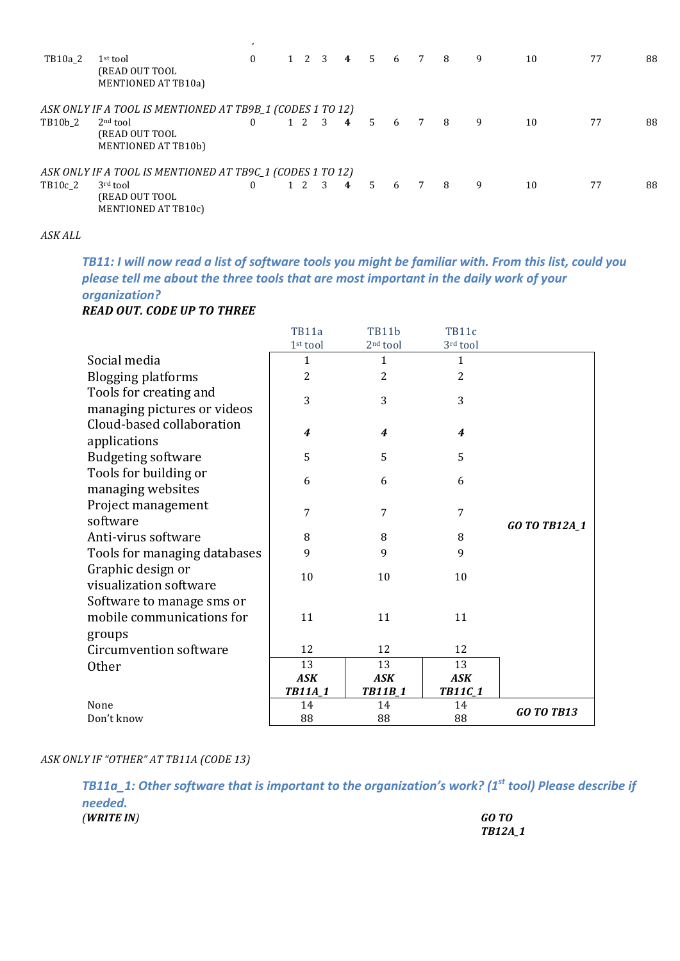| TB10a 2 | $1st$ tool<br>(READ OUT TOOL<br><b>MENTIONED AT TB10a)</b> | $\mathbf{0}$ | <sup>2</sup>      | 3 | $\overline{4}$          | 5 <sup>1</sup> | 6 7 |                 | 8 <sup>8</sup> | 9 | 10 | 77 | 88 |
|---------|------------------------------------------------------------|--------------|-------------------|---|-------------------------|----------------|-----|-----------------|----------------|---|----|----|----|
|         | ASK ONLY IF A TOOL IS MENTIONED AT TB9B_1 (CODES 1 TO 12)  |              |                   |   |                         |                |     |                 |                |   |    |    |    |
| TB10b 2 | $2nd$ tool<br>(READ OUT TOOL<br>MENTIONED AT TB10b)        | 0            | $1\quad 2\quad 3$ |   | $\overline{\mathbf{4}}$ | .5.            | 6   | $\overline{7}$  | - 8            | 9 | 10 | 77 | 88 |
|         | ASK ONLY IF A TOOL IS MENTIONED AT TB9C_1 (CODES 1 TO 12)  |              |                   |   |                         |                |     |                 |                |   |    |    |    |
| TB10c 2 | 3rd tool<br>(READ OUT TOOL<br>MENTIONED AT TB10c)          | $\Omega$     | $1 \t2 \t3$       |   | $\overline{4}$          | 5.             | - 6 | $7\overline{ }$ | - 8            | 9 | 10 | 77 | 88 |

#### *ASK%ALL*

*TB11: I will now read a list of software tools you might be familiar with. From this list, could you please tell me about the three tools that are most important in the daily work of your organization?*

*READ'OUT.'CODE'UP'TO THREE*

|                              | TB11a          | TB11b                | TB11c          |                      |
|------------------------------|----------------|----------------------|----------------|----------------------|
|                              | 1st tool       | 2 <sup>nd</sup> tool | 3rd tool       |                      |
| Social media                 | $\mathbf{1}$   | $\mathbf{1}$         | 1              |                      |
| <b>Blogging platforms</b>    | 2              | $\overline{2}$       | 2              |                      |
| Tools for creating and       | 3              | 3                    | 3              |                      |
| managing pictures or videos  |                |                      |                |                      |
| Cloud-based collaboration    |                |                      |                |                      |
| applications                 | 4              | 4                    | 4              |                      |
| <b>Budgeting software</b>    | 5              | 5                    | 5              |                      |
| Tools for building or        |                |                      |                |                      |
| managing websites            | 6              | 6                    | 6              |                      |
| Project management           | 7              | 7                    | 7              |                      |
| software                     |                |                      |                | <b>GO TO TB12A 1</b> |
| Anti-virus software          | 8              | 8                    | 8              |                      |
| Tools for managing databases | 9              | 9                    | 9              |                      |
| Graphic design or            |                |                      |                |                      |
| visualization software       | 10             | 10                   | 10             |                      |
| Software to manage sms or    |                |                      |                |                      |
| mobile communications for    | 11             | 11                   | 11             |                      |
| groups                       |                |                      |                |                      |
| Circumvention software       | 12             | 12                   | 12             |                      |
| Other                        | 13             | 13                   | 13             |                      |
|                              | <b>ASK</b>     | <b>ASK</b>           | <b>ASK</b>     |                      |
|                              | <b>TB11A_1</b> | <b>TB11B_1</b>       | <b>TB11C_1</b> |                      |
| None                         | 14             | 14                   | 14             | <b>GO TO TB13</b>    |
| Don't know                   | 88             | 88                   | 88             |                      |

#### *ASK%ONLY%IF%"OTHER"%AT%TB11A%(CODE%13)*

*TB11a\_1: Other software that is important to the organization's work? (1<sup>st</sup> tool) Please describe if needed. (WRITE'IN) GO'TO' TB12A\_1*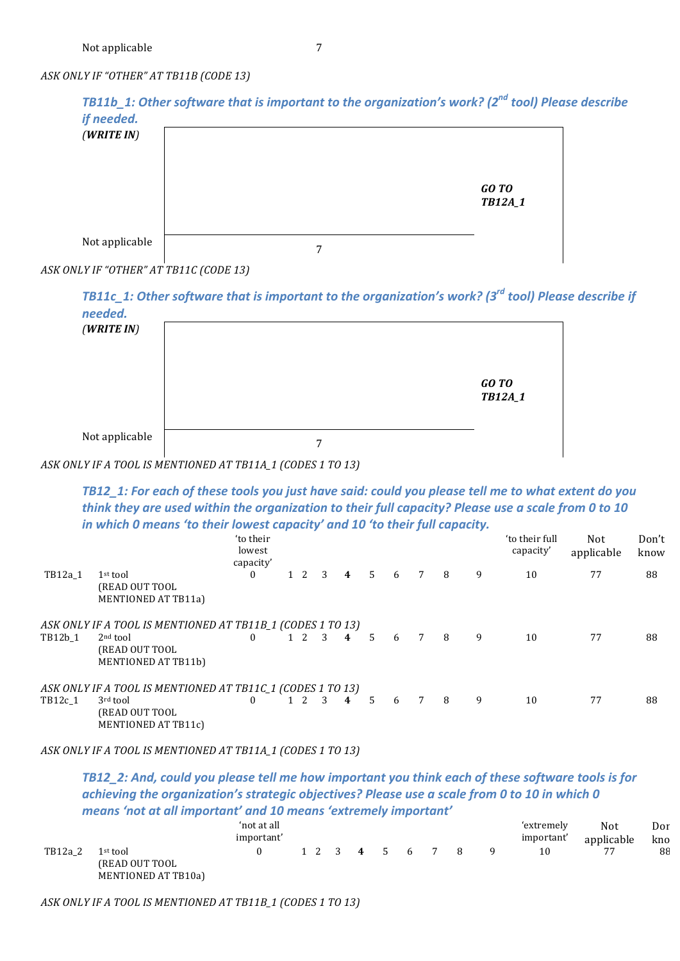*ASK%ONLY%IF%"OTHER"%AT%TB11B%(CODE%13)*

| if needed.<br>(WRITEIN) |                  |
|-------------------------|------------------|
|                         | GO TO<br>TB12A_1 |
| Not applicable          |                  |

*TB11b* 1: Other software that is important to the organization's work? (2<sup>nd</sup> tool) Please describe

*ASK%ONLY%IF%"OTHER"%AT%TB11C%(CODE%13)*

*TB11c\_1: Other software that is important to the organization's work? (3<sup>rd</sup> tool) Please describe if needed. (WRITE'IN) GO'TO' TB12A\_1* Not applicable  $\overline{7}$ 

ASK ONLY IF A TOOL IS MENTIONED AT TB11A\_1 (CODES 1 TO 13)

*TB12\_1: For each of these tools you just have said: could you please tell me to what extent do you* think they are used within the organization to their full capacity? Please use a scale from 0 to 10 in which 0 means 'to their lowest capacity' and 10 'to their full capacity.

|         |                                                            | 'to their<br>lowest<br>capacity' |            |                 |                 |                |    |   |   |   | 'to their full<br>capacity' | Not<br>applicable | Don't<br>know |
|---------|------------------------------------------------------------|----------------------------------|------------|-----------------|-----------------|----------------|----|---|---|---|-----------------------------|-------------------|---------------|
| TB12a 1 | $1st$ tool<br>(READ OUT TOOL<br><b>MENTIONED AT TB11a)</b> | $\Omega$                         | $1\quad 2$ | $3 \quad 4$     |                 | $-5$           | -6 | 7 | 8 | 9 | 10                          | 77                | 88            |
|         | ASK ONLY IF A TOOL IS MENTIONED AT TB11B_1 (CODES 1 TO 13) |                                  |            |                 |                 |                |    |   |   |   |                             |                   |               |
| TB12b 1 | $2nd$ tool<br>(READ OUT TOOL<br>MENTIONED AT TB11b)        | $\Omega$                         |            |                 | $1 \t2 \t3 \t4$ | $-5$           | 6  | 7 | 8 | 9 | 10                          | 77                | 88            |
|         | ASK ONLY IF A TOOL IS MENTIONED AT TB11C_1 (CODES 1 TO 13) |                                  |            |                 |                 |                |    |   |   |   |                             |                   |               |
| TB12c 1 | 3rd tool<br>(READ OUT TOOL<br>MENTIONED AT TB11c)          | $\Omega$                         |            | $1 \t2 \t3 \t4$ |                 | 5 <sup>5</sup> | 6  | 7 | 8 | 9 | 10                          | 77                | 88            |

ASK ONLY IF A TOOL IS MENTIONED AT TB11A\_1 (CODES 1 TO 13)

*TB12\_2: And, could you please tell me how important you think each of these software tools is for* achieving the organization's strategic objectives? Please use a scale from 0 to 10 in which 0 means 'not at all important' and 10 means 'extremely important'

|         |                                                            | 'not at all<br>important' |  |                 |  |  | 'extremely<br>important' | Not<br>applicable | Dor<br>kno |
|---------|------------------------------------------------------------|---------------------------|--|-----------------|--|--|--------------------------|-------------------|------------|
| TB12a 2 | $1st$ tool<br>(READ OUT TOOL<br><b>MENTIONED AT TB10a)</b> |                           |  | 1 2 3 4 5 6 7 8 |  |  |                          |                   | 88         |

*ASK%ONLY%IF%A%TOOL%IS%MENTIONED%AT%TB11B\_1%(CODES%1%TO%13)*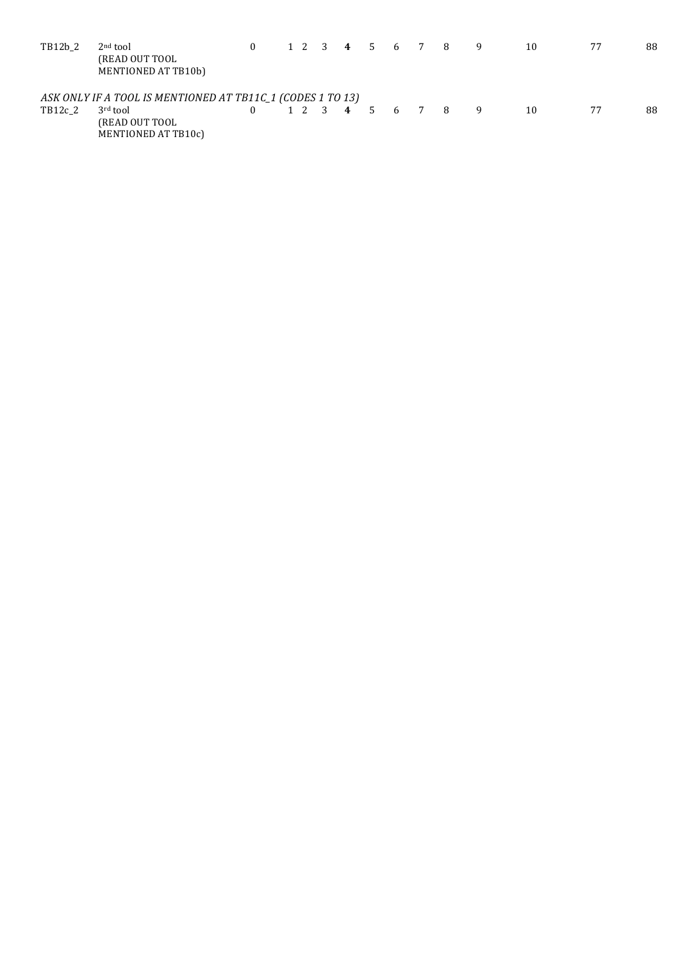| TB12b 2 | $2nd$ tool<br>(READ OUT TOOL<br>MENTIONED AT TB10b)           |  |  |  |  | 1 2 3 4 5 6 7 8 9 | 10 | 88 |
|---------|---------------------------------------------------------------|--|--|--|--|-------------------|----|----|
|         | ASK ONLY IF A TOOL IS MENTIONED AT TB11C_1 (CODES 1 TO 13)    |  |  |  |  |                   |    |    |
| TB12c 2 | 3 <sup>rd</sup> tool<br>(READ OUT TOOL<br>MENTIONED AT TB10c) |  |  |  |  | 1 2 3 4 5 6 7 8 9 | 10 | 88 |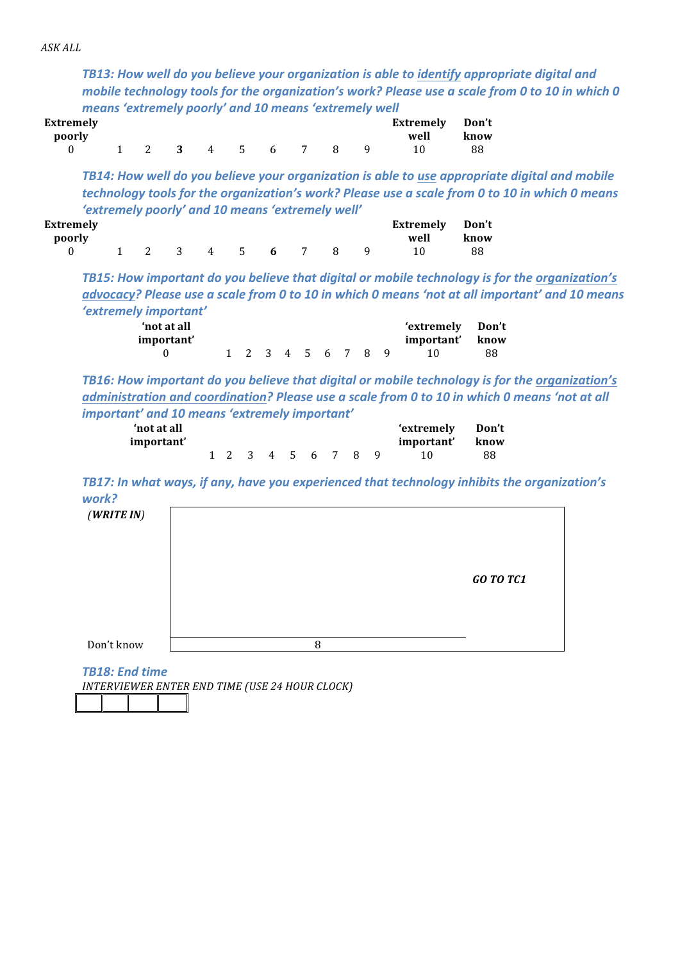*ASK%ALL*

*TB13: How well do you believe your organization is able to identify appropriate digital and mobile technology tools for the organization's work? Please use a scale from 0 to 10 in which 0* means 'extremely poorly' and 10 means 'extremely well

| Extremely<br>poorly |  |  |  |               |              | Extremely Don't<br>well | know |
|---------------------|--|--|--|---------------|--------------|-------------------------|------|
|                     |  |  |  | 1 2 3 4 5 6 7 | $\mathbf{8}$ |                         | 88   |

*TB14:%How%well%do%you%believe%your%organization%is%able%to%use appropriate%digital%and%mobile%* technology tools for the organization's work? Please use a scale from 0 to 10 in which 0 means 'extremely poorly' and 10 means 'extremely well'

| <b>Extremely</b> |  |  |  |                 |  | Extremely Don't |     |
|------------------|--|--|--|-----------------|--|-----------------|-----|
| poorly           |  |  |  |                 |  | well know       |     |
|                  |  |  |  | 1 2 3 4 5 6 7 8 |  | 10              | -88 |

*TB15:%How%important%do%you%believe%that%digital%or%mobile%technology%is%for%the%organization's% advocacy?%Please%use%a%scale%from%0%to%10%in%which%0%means%'not%at%all%important'%and%10%means% 'extremely%important'*

| 'not at all<br>important' |  |                 |  |  | 'extremely Don't<br>important' know |    |
|---------------------------|--|-----------------|--|--|-------------------------------------|----|
|                           |  | 1 2 3 4 5 6 7 8 |  |  |                                     | 88 |

*TB16: How important do you believe that digital or mobile technology is for the organization's administration%and%coordination?%Please%use%a%scale%from%0%to%10%in%which%0%means%'not%at%all%* important' and 10 means 'extremely important'

| 'not at all<br>important' |  |  |  |                   |  | 'extremely Don't<br>important' | know |
|---------------------------|--|--|--|-------------------|--|--------------------------------|------|
|                           |  |  |  | 1 2 3 4 5 6 7 8 9 |  |                                | 88   |

*TB17: In what ways, if any, have you experienced that technology inhibits the organization's work?*



**TB18: End time** 

*INTERVIEWER%ENTER%END%TIME%(USE%24%HOUR%CLOCK)*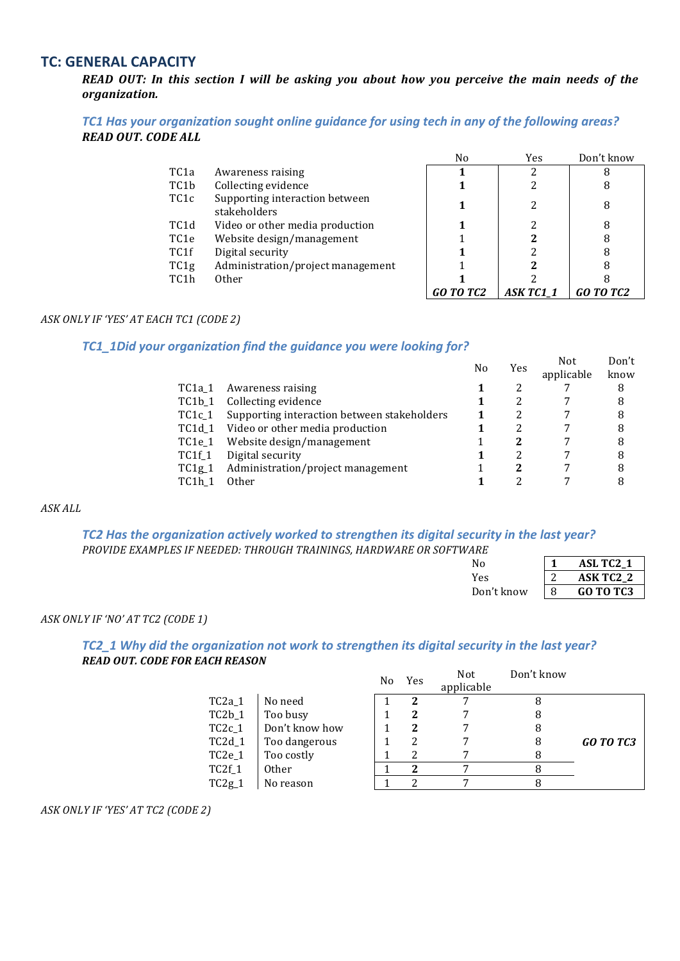### **TC: GENERAL CAPACITY**

*READ OUT: In this section I will be asking you about how you perceive the main needs of the organization.*

*TC1 Has your organization sought online guidance for using tech in any of the following areas? READ OUT. CODE ALL* 

|                   |                                                | No        | Yes       | Don't know       |
|-------------------|------------------------------------------------|-----------|-----------|------------------|
| TC <sub>1</sub> a | Awareness raising                              |           |           | 8                |
| TC1b              | Collecting evidence                            |           |           | 8                |
| TC1c              | Supporting interaction between<br>stakeholders |           |           | 8                |
| TC1d              | Video or other media production                |           |           | 8                |
| TC1e              | Website design/management                      |           |           | 8                |
| TC1f              | Digital security                               |           |           | 8                |
| TC <sub>1g</sub>  | Administration/project management              |           |           | 8                |
| TC1h              | Other                                          |           |           |                  |
|                   |                                                | GO TO TC2 | ASK TC1 1 | <b>GO TO TC2</b> |

### *ASK%ONLY%IF%'YES'%AT EACH%TC1%(CODE%2)*

### *TC1\_1Did your organization find the guidance you were looking for?*

|             |                                             | No | Yes | Not<br>applicable | Don't<br>know |
|-------------|---------------------------------------------|----|-----|-------------------|---------------|
| TC1a 1      | Awareness raising                           |    |     |                   | 8             |
| $T C1b_1$   | Collecting evidence                         |    |     |                   | 8             |
| TC1c 1      | Supporting interaction between stakeholders |    | 2   |                   | 8             |
| $T C 1 d_1$ | Video or other media production             |    | 2   |                   | 8             |
| TC1e 1      | Website design/management                   |    | 2   |                   | 8             |
| $TCIf_1$    | Digital security                            |    | 2   |                   | 8             |
| TC1g1       | Administration/project management           |    | 2   |                   | 8             |
| TC1h 1      | Other                                       |    |     |                   | 8             |
|             |                                             |    |     |                   |               |

### $ASKALL$

#### *TC2%Has%the%organization%actively%worked%to%strengthen%its%digital%security%in%the%last%year?* **PROVIDE EXAMPLES IF NEEDED: THROUGH TRAININGS, HARDWARE OR SOFTWARE**

| UVIDE EAAMFEE) IF NEEDED. TIINUUGII TIMININGS, IIANDWANE UN SUFTWANE |            |   |                       |
|----------------------------------------------------------------------|------------|---|-----------------------|
|                                                                      | No         |   | ASL TC2_1             |
|                                                                      | Yes        |   | ASK TC <sub>2</sub> 2 |
|                                                                      | Don't know | 8 | <b>GO TO TC3</b>      |
|                                                                      |            |   |                       |

#### *ASK%ONLY%IF%'NO'%AT%TC2%(CODE%1)*

#### *TC2\_1 Why did the organization not work to strengthen its digital security in the last year?* **READ OUT. CODE FOR EACH REASON**  $D_{\alpha}u^{\prime}h$

|                     |                | No | Yes | Not<br>applicable | Don't know |                  |
|---------------------|----------------|----|-----|-------------------|------------|------------------|
| TC <sub>2a</sub> _1 | No need        |    | 2   |                   |            |                  |
| $TC2b_1$            | Too busy       |    |     |                   |            |                  |
| TC <sub>2c</sub> 1  | Don't know how |    |     |                   | 8          |                  |
| $TC2d_1$            | Too dangerous  |    |     |                   | 8          | <b>GO TO TC3</b> |
| TC2e_1              | Too costly     |    |     |                   | 8          |                  |
| TC2f_1              | <b>Other</b>   |    | 2   | 7                 |            |                  |
| $TC2g_1$            | No reason      |    |     |                   |            |                  |

*ASK%ONLY%IF%'YES'%AT TC2%(CODE%2)*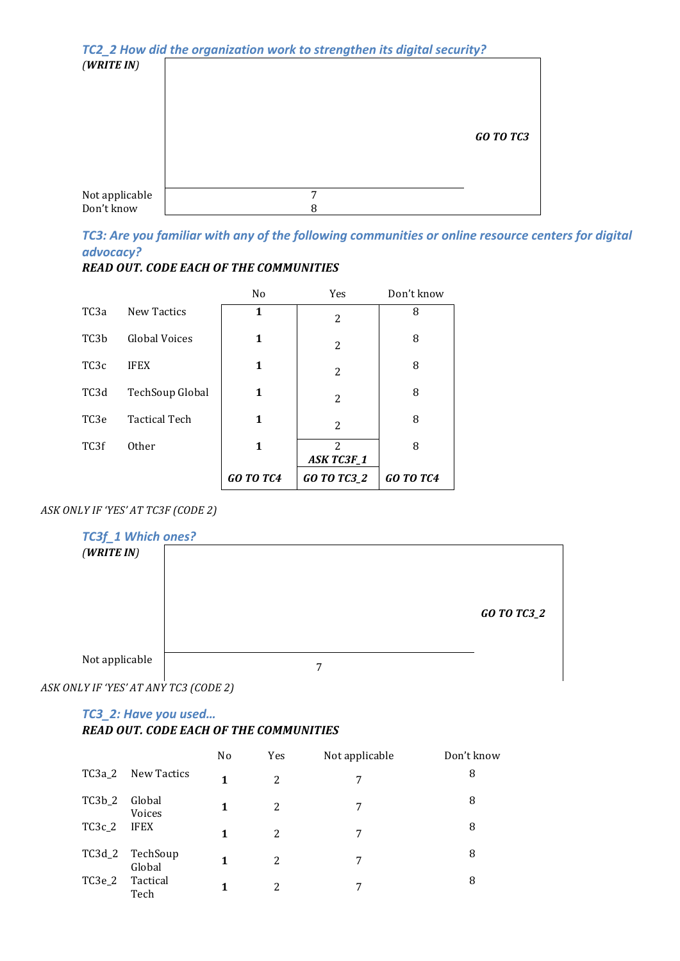

*TC3: Are you familiar with any of the following communities or online resource centers for digital advocacy?%*

### *READ'OUT.'CODE'EACH'OF'THE'COMMUNITIES*

|                   |                      | N <sub>o</sub>   | <b>Yes</b>             | Don't know       |
|-------------------|----------------------|------------------|------------------------|------------------|
| TC <sub>3</sub> a | <b>New Tactics</b>   | 1                | 2                      | 8                |
| TC3b              | <b>Global Voices</b> | 1                | 2                      | 8                |
| TC <sub>3</sub> c | <b>IFEX</b>          | 1                | 2                      | 8                |
| TC3d              | TechSoup Global      | 1                | 2                      | 8                |
| TC <sub>3e</sub>  | <b>Tactical Tech</b> | 1                | 2                      | 8                |
| TC3f              | <b>Other</b>         | 1                | 2<br><b>ASK TC3F_1</b> | 8                |
|                   |                      | <b>GO TO TC4</b> | <b>GO TO TC3_2</b>     | <b>GO TO TC4</b> |

### *ASK%ONLY%IF%'YES'%AT TC3F%(CODE%2)*

| <b>TC3f_1 Which ones?</b>             |   |                    |
|---------------------------------------|---|--------------------|
| (WRITEIN)                             |   |                    |
|                                       |   |                    |
|                                       |   |                    |
|                                       |   | <b>GO TO TC3_2</b> |
|                                       |   |                    |
|                                       |   |                    |
| Not applicable                        | 7 |                    |
| ASK ONLY IF 'YES' AT ANY TC3 (CODE 2) |   |                    |

# TC3\_2: Have you used...

# *READ'OUT.'CODE'EACH'OF'THE'COMMUNITIES*

|          |                    | N <sub>o</sub> | Yes            | Not applicable | Don't know |
|----------|--------------------|----------------|----------------|----------------|------------|
| TC3a 2   | New Tactics        | 1              | $\overline{c}$ | 7              | 8          |
| $TC3b_2$ | Global<br>Voices   | 1              | 2              | 7              | 8          |
| TC3c_2   | <b>IFEX</b>        | 1              | 2              | 7              | 8          |
| $TC3d_2$ | TechSoup<br>Global | 1              | 2              | 7              | 8          |
| TC3e_2   | Tactical<br>Tech   | 1              | 2              | 7              | 8          |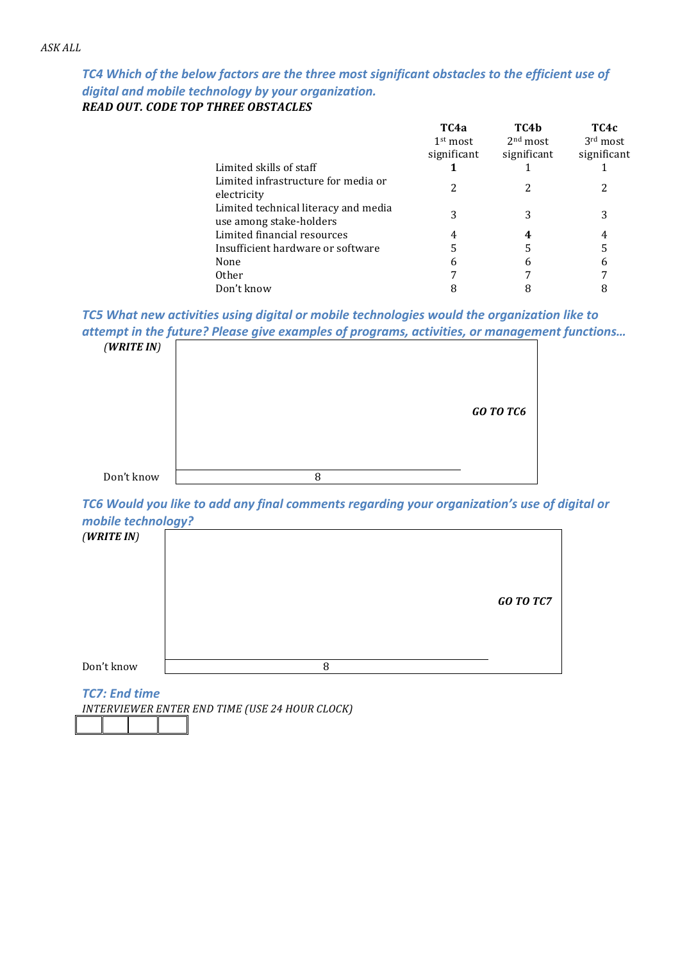### *TC4 Which of the below factors are the three most significant obstacles to the efficient use of* digital and mobile technology by your organization. *READ OUT. CODE TOP THREE OBSTACLES*

|                                                                 | TC <sub>4a</sub> | TC4b        | TC4c                 |
|-----------------------------------------------------------------|------------------|-------------|----------------------|
|                                                                 | $1st$ most       | $2nd$ most  | 3 <sup>rd</sup> most |
|                                                                 | significant      | significant | significant          |
| Limited skills of staff                                         |                  |             |                      |
| Limited infrastructure for media or<br>electricity              |                  |             |                      |
| Limited technical literacy and media<br>use among stake-holders |                  | 3           | 3                    |
| Limited financial resources                                     | 4                | 4           | 4                    |
| Insufficient hardware or software                               | 5                | 5           | 5                    |
| None                                                            | h                | 6           | 6                    |
| 0ther                                                           |                  |             |                      |
| Don't know                                                      |                  |             |                      |

*TC5%What%new%activities%using%digital%or%mobile%technologies%would%the%organization%like%to%* attempt in the future? Please give examples of programs, activities, or management functions...



*TC6%Would%you%like%to%add%any%final%comments%regarding%your%organization's%use%of%digital%or%* mobile technology?

| (WRITEIN)  |   | <b>GO TO TC7</b> |
|------------|---|------------------|
| Don't know | 8 |                  |

*TC7: End time* 

*INTERVIEWER%ENTER%END%TIME%(USE%24%HOUR%CLOCK)*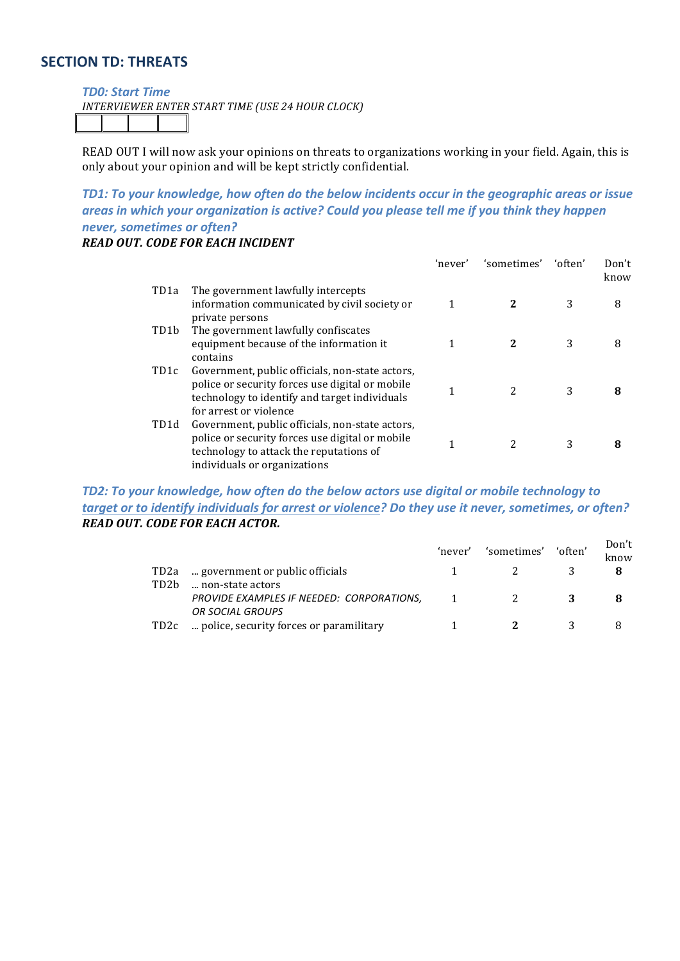### **SECTION TD: THREATS**

*TD0: Start%Time*

**INTERVIEWER ENTER START TIME (USE 24 HOUR CLOCK)** 

READ OUT I will now ask your opinions on threats to organizations working in your field. Again, this is only about your opinion and will be kept strictly confidential.

*TD1: To your knowledge, how often do the below incidents occur in the geographic areas or issue areas%in%which%your%organization%is active?%Could%you%please%tell%me%if%you%think%they%happen% never, sometimes or often?* 

### **READ OUT. CODE FOR EACH INCIDENT**

|                   |                                                                                                                                                                               | 'never' | 'sometimes' | 'often' | Don't<br>know |
|-------------------|-------------------------------------------------------------------------------------------------------------------------------------------------------------------------------|---------|-------------|---------|---------------|
| TD <sub>1</sub> a | The government lawfully intercepts<br>information communicated by civil society or<br>private persons                                                                         | 1       | 2           | 3       | 8             |
| TD1b              | The government lawfully confiscates<br>equipment because of the information it<br>contains                                                                                    | 1       | 2           | 3       | 8             |
| TD1c              | Government, public officials, non-state actors,<br>police or security forces use digital or mobile<br>technology to identify and target individuals<br>for arrest or violence |         | 2           | 3       | 8             |
| TD1d              | Government, public officials, non-state actors,<br>police or security forces use digital or mobile<br>technology to attack the reputations of<br>individuals or organizations |         | 2           | 3       | 8             |

### *TD2: To your knowledge, how often do the below actors use digital or mobile technology to target or to identify individuals for arrest or violence? Do they use it never, sometimes, or often? READ'OUT.'CODE'FOR'EACH'ACTOR.'*

|      |                                                               | 'never' | 'sometimes' | 'often' | Don't<br>know |
|------|---------------------------------------------------------------|---------|-------------|---------|---------------|
| TD2a | government or public officials                                |         |             |         |               |
| TD2b | non-state actors<br>PROVIDE EXAMPLES IF NEEDED: CORPORATIONS, |         |             |         |               |
|      | OR SOCIAL GROUPS                                              |         |             |         |               |
| TD2c | police, security forces or paramilitary                       |         |             |         |               |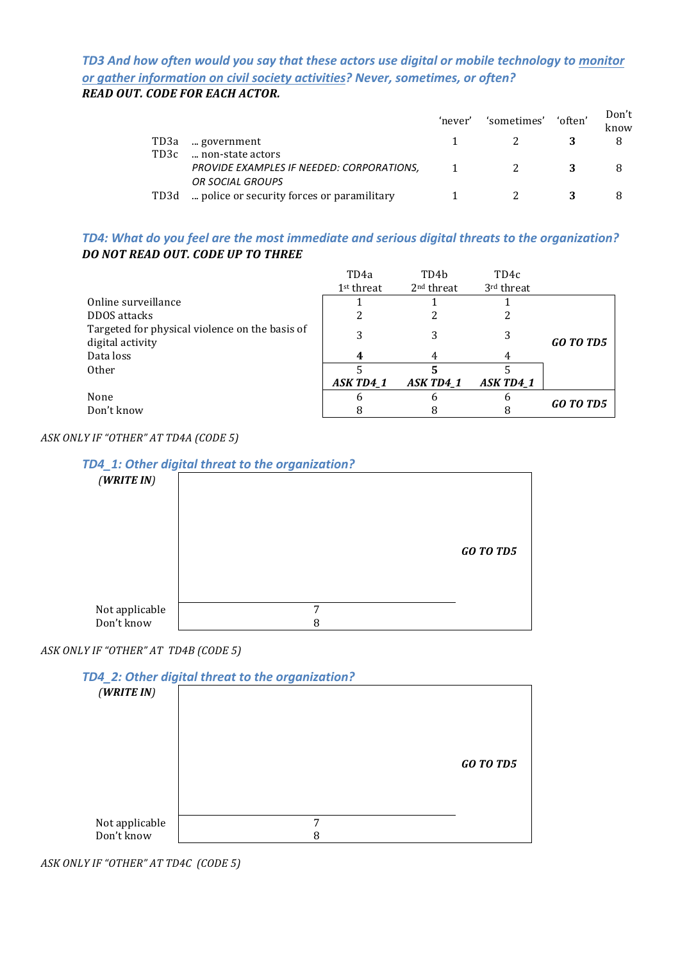# *TD3%And%how%often%would%you%say%that%these%actors%use%digital%or%mobile%technology%to%monitor%* or gather information on civil society activities? Never, sometimes, or often?

*READ'OUT.'CODE'FOR'EACH'ACTOR.'*

|      |                                           | 'never' | 'sometimes' 'often' | Don't<br>know |
|------|-------------------------------------------|---------|---------------------|---------------|
| TD3a | … government                              |         |                     |               |
| TD3c | non-state actors                          |         |                     |               |
|      | PROVIDE EXAMPLES IF NEEDED: CORPORATIONS, |         |                     |               |
|      | OR SOCIAL GROUPS                          |         |                     |               |
| TD3d | police or security forces or paramilitary |         |                     |               |

### *TD4: What do you feel are the most immediate and serious digital threats to the organization? DO NOT READ OUT. CODE UP TO THREE*

|                                                                    | TD4a                   | TD4b         | TD4c       |                  |
|--------------------------------------------------------------------|------------------------|--------------|------------|------------------|
|                                                                    | 1 <sup>st</sup> threat | $2nd$ threat | 3rd threat |                  |
| Online surveillance                                                |                        |              |            |                  |
| DDOS attacks                                                       | 2                      |              |            |                  |
| Targeted for physical violence on the basis of<br>digital activity | 3                      |              | 3          | <b>GO TO TD5</b> |
| Data loss                                                          | 4                      |              | 4          |                  |
| <b>Other</b>                                                       |                        |              |            |                  |
|                                                                    | ASK TD4_1              | ASK TD4_1    | ASK TD4_1  |                  |
| None                                                               | h                      |              |            | <b>GO TO TD5</b> |
| Don't know                                                         | 8                      |              |            |                  |

### *ASK%ONLY%IF%"OTHER"%AT%TD4A (CODE%5)*



#### *ASK%ONLY%IF%"OTHER"%AT TD4B%(CODE%5)*



*ASK%ONLY%IF%"OTHER"%AT%TD4C%%(CODE%5)*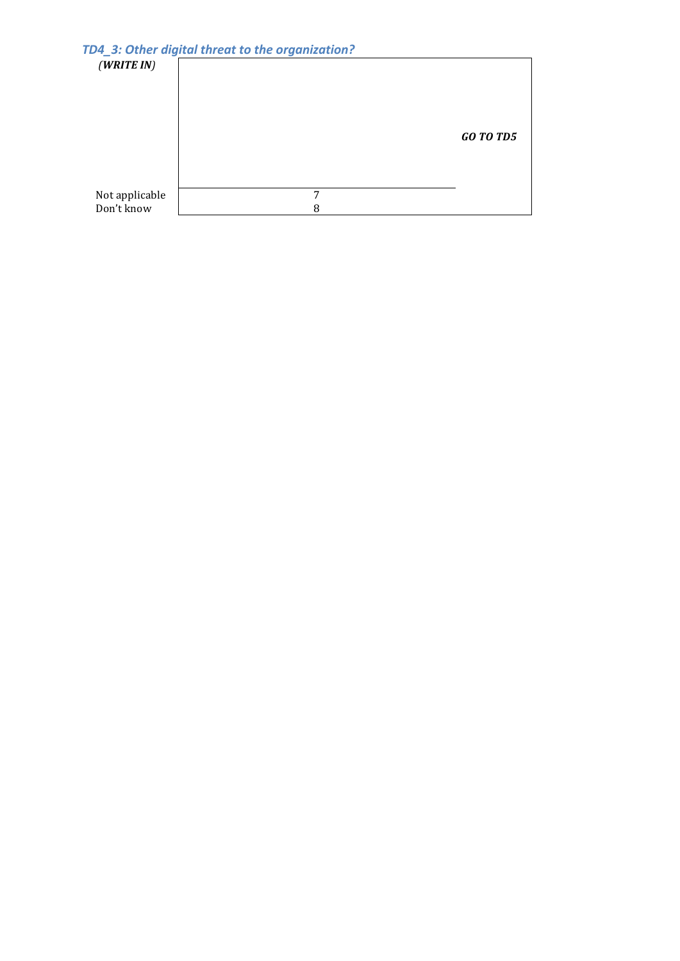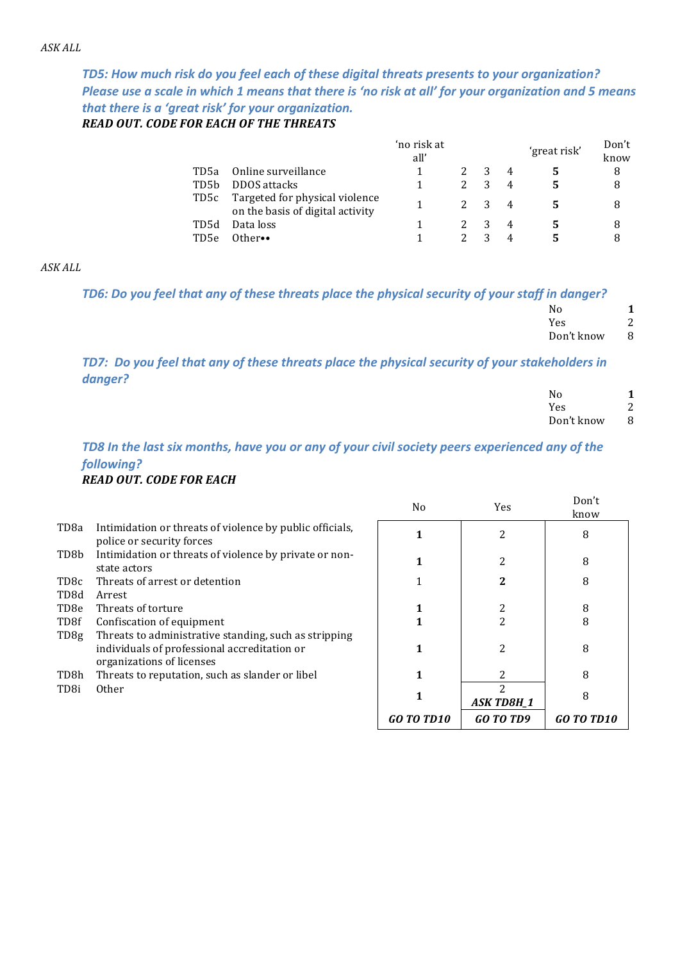*TD5:%How%much%risk%do%you%feel%each%of%these%digital%threats%presents%to%your%organization?% Please use a scale in which 1 means that there is 'no risk at all' for your organization and 5 means that there is a 'areat risk' for your organization. READ'OUT.'CODE'FOR'EACH'OF'THE THREATS*

|      |                                                                    | ʻno risk at<br>all' |             |              |                | 'great risk' | Don't<br>know |
|------|--------------------------------------------------------------------|---------------------|-------------|--------------|----------------|--------------|---------------|
| TD5a | Online surveillance                                                |                     |             | -3           | $\overline{4}$ | 5            | 8             |
| TD5b | DDOS attacks                                                       |                     | $2 \quad 3$ |              | $\overline{4}$ | 5            | 8             |
| TD5c | Targeted for physical violence<br>on the basis of digital activity |                     | 2           | $\mathbf{3}$ | $\overline{4}$ | 5            | 8             |
| TD5d | Data loss                                                          |                     |             | -3           | $\overline{4}$ | 5            | 8             |
| TD5e | $Other \bullet \bullet$                                            |                     |             | 3            | 4              | 5            | 8             |

#### $ASKALL$

| TD6: Do you feel that any of these threats place the physical security of your staff in danger? |     |  |
|-------------------------------------------------------------------------------------------------|-----|--|
|                                                                                                 | No. |  |
|                                                                                                 | Yes |  |

| Don't know |  |
|------------|--|
|            |  |

*TD7: Do you feel that any of these threats place the physical security of your stakeholders in danger?*

| No         | $\overline{\phantom{a}}$ |
|------------|--------------------------|
| Yes        | $\sim$<br>{.             |
| Don't know | 8                        |

*TD8%In%the%last%six%months,%have%you%or%any%of%your%civil%society%peers%experienced%any%of%the% following?%*

### *READ OUT. CODE FOR EACH*

|                   |                                                                                                                                    | N <sub>0</sub> | Yes               | Don't<br>know |
|-------------------|------------------------------------------------------------------------------------------------------------------------------------|----------------|-------------------|---------------|
| TD8a              | Intimidation or threats of violence by public officials,<br>police or security forces                                              |                | 2                 | 8             |
| TD <sub>8</sub> b | Intimidation or threats of violence by private or non-<br>state actors                                                             |                | 2                 | 8             |
| TD8c              | Threats of arrest or detention                                                                                                     |                | 2                 | 8             |
| TD <sub>8</sub> d | Arrest                                                                                                                             |                |                   |               |
| TD <sub>8e</sub>  | Threats of torture                                                                                                                 |                |                   | 8             |
| TD <sub>8f</sub>  | Confiscation of equipment                                                                                                          | 1              | $\overline{2}$    | 8             |
| TD <sub>8g</sub>  | Threats to administrative standing, such as stripping<br>individuals of professional accreditation or<br>organizations of licenses |                | 2                 | 8             |
| TD8h              | Threats to reputation, such as slander or libel                                                                                    |                | 2                 | 8             |
| TD <sub>8i</sub>  | <b>Other</b>                                                                                                                       |                | <b>ASK TD8H_1</b> | 8             |
|                   |                                                                                                                                    | GO TO TD10     | GO TO TD9         | GO TO TD10    |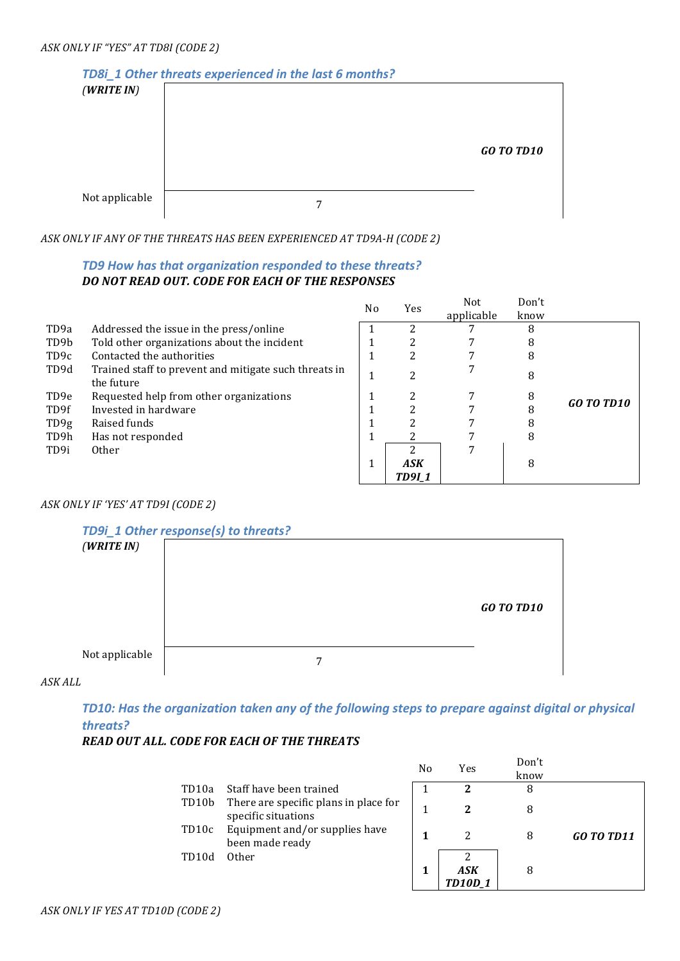

ASK ONLY IF ANY OF THE THREATS HAS BEEN EXPERIENCED AT TD9A-H (CODE 2)

#### *TD9%How%has%that%organization%responded%to%these%threats?% DO'NOT'READ'OUT.'CODE'FOR'EACH'OF'THE'RESPONSES*

|                   |                                                                     | N <sub>o</sub> | Yes                 | Not<br>applicable | Don't<br>know |                   |
|-------------------|---------------------------------------------------------------------|----------------|---------------------|-------------------|---------------|-------------------|
| TD9a              | Addressed the issue in the press/online                             |                | 2                   |                   |               |                   |
| TD <sub>9</sub> b | Told other organizations about the incident                         |                | າ                   |                   |               |                   |
| TD <sub>9c</sub>  | Contacted the authorities                                           |                | 2                   |                   | 8             |                   |
| TD <sub>9d</sub>  | Trained staff to prevent and mitigate such threats in<br>the future |                | 2                   |                   | 8             |                   |
| TD <sub>9e</sub>  | Requested help from other organizations                             |                | 2                   |                   | 8             |                   |
| TD9f              | Invested in hardware                                                |                | າ                   |                   |               | <b>GO TO TD10</b> |
| TD <sub>9g</sub>  | Raised funds                                                        |                | າ                   |                   |               |                   |
| TD9h              | Has not responded                                                   |                |                     |                   | 8             |                   |
| TD9i              | 0ther                                                               |                | っ                   | 7                 |               |                   |
|                   |                                                                     |                | ASK<br><b>TD911</b> |                   | 8             |                   |

#### *ASK%ONLY%IF%'YES'%AT TD9I%(CODE%2)*



 $ASKALL$ 

*TD10: Has the organization taken any of the following steps to prepare against digital or physical threats?*

#### *READ'OUT'ALL.'CODE'FOR'EACH'OF'THE'THREATS*

|                    |                                                              | N <sub>0</sub> | Yes            | Don't<br>know |            |
|--------------------|--------------------------------------------------------------|----------------|----------------|---------------|------------|
| TD <sub>10</sub> a | Staff have been trained                                      |                | 2              | 8             |            |
| TD10b              | There are specific plans in place for<br>specific situations |                | 2              | 8             |            |
| TD10c              | Equipment and/or supplies have<br>been made ready            |                | 2              | 8             | GO TO TD11 |
| TD <sub>10</sub> d | 0ther                                                        |                | ASK<br>TD10D 1 | 8             |            |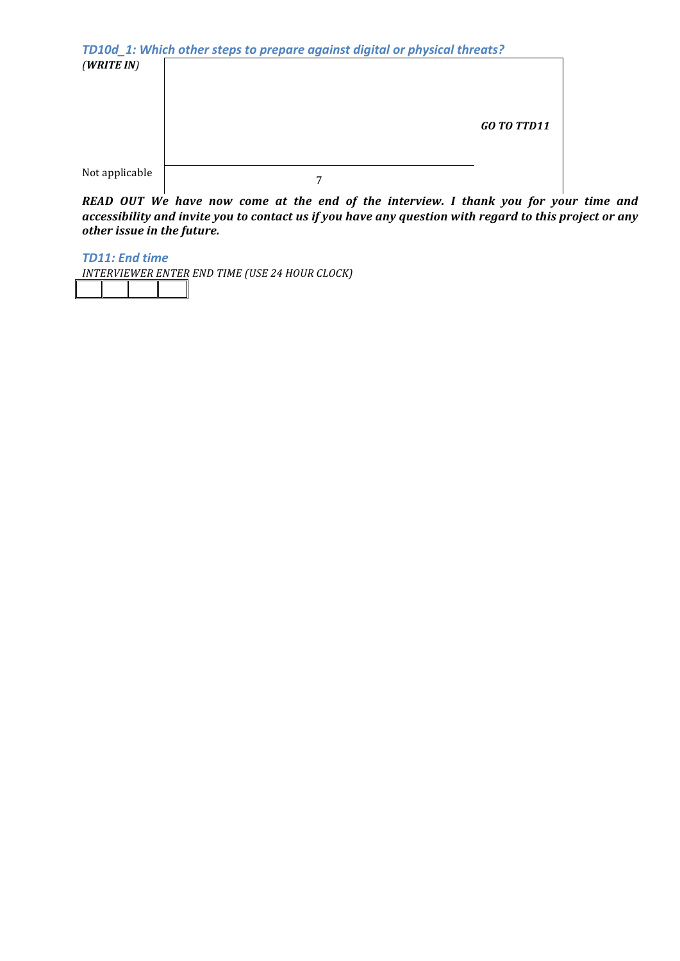|                | TD10d_1: Which other steps to prepare against digital or physical threats? |             |
|----------------|----------------------------------------------------------------------------|-------------|
| (WRITEIN)      |                                                                            |             |
|                |                                                                            | GO TO TTD11 |
| Not applicable |                                                                            |             |

*READ' OUT' We' have' now' come' at' the' end' of' the' interview.' I' thank' you' for' your' time' and' accessibility'and'invite'you'to'contact'us'if'you'have'any'question'with'regard'to'this'project'or'any' other'issue'in'the'future.*

**TD11: End time** 

*INTERVIEWER%ENTER%END%TIME%(USE%24%HOUR%CLOCK)*

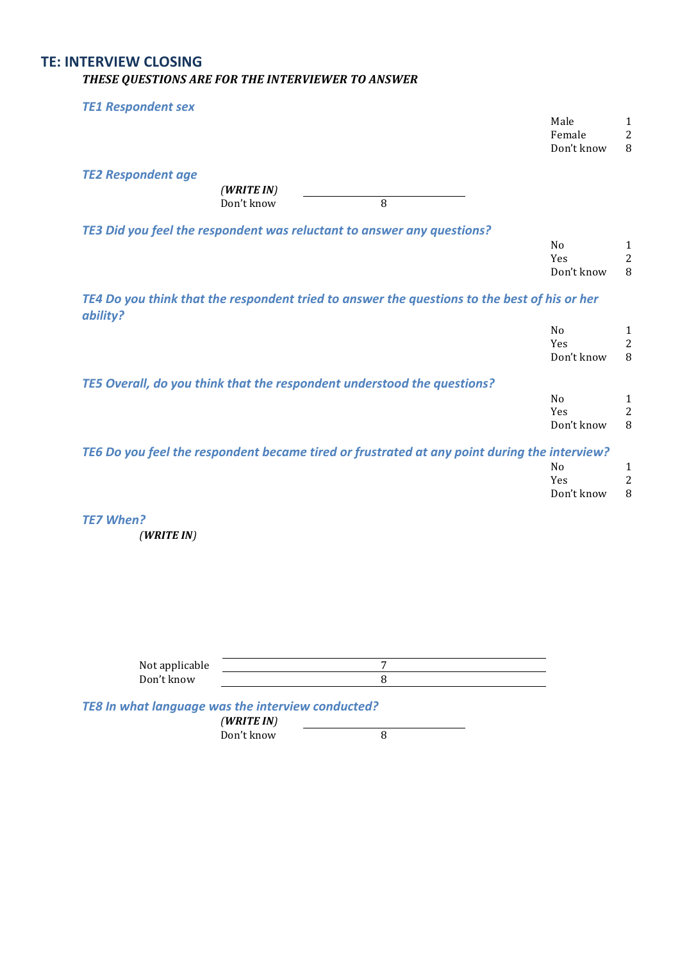# **TE: INTERVIEW CLOSING** *THESE'QUESTIONS'ARE'FOR'THE'INTERVIEWER'TO'ANSWER*

| <b>TE1 Respondent sex</b> |            |                                                                                              | Male<br>Female<br>Don't know        | 1<br>$\overline{c}$<br>8            |
|---------------------------|------------|----------------------------------------------------------------------------------------------|-------------------------------------|-------------------------------------|
| <b>TE2 Respondent age</b> | (WRITEIN)  |                                                                                              |                                     |                                     |
|                           | Don't know | 8                                                                                            |                                     |                                     |
|                           |            | TE3 Did you feel the respondent was reluctant to answer any questions?                       | N <sub>0</sub><br>Yes<br>Don't know | 1<br>$\overline{c}$<br>8            |
| ability?                  |            | TE4 Do you think that the respondent tried to answer the questions to the best of his or her |                                     |                                     |
|                           |            |                                                                                              | No<br>Yes<br>Don't know             | $\mathbf{1}$<br>$\overline{c}$<br>8 |
|                           |            | TE5 Overall, do you think that the respondent understood the questions?                      |                                     |                                     |
|                           |            |                                                                                              | N <sub>o</sub><br>Yes<br>Don't know | $\mathbf{1}$<br>$\overline{c}$<br>8 |
|                           |            | TE6 Do you feel the respondent became tired or frustrated at any point during the interview? | N <sub>0</sub><br>Yes<br>Don't know | 1<br>$\overline{2}$<br>8            |
| <b>TE7 When?</b>          |            |                                                                                              |                                     |                                     |

*(WRITE'IN)*

| Not applicable |  |
|----------------|--|
| Don't know     |  |

**TE8 In what language was the interview conducted?** 

*(WRITE'IN)* (**WRITE IN**)<br>Don't know 8